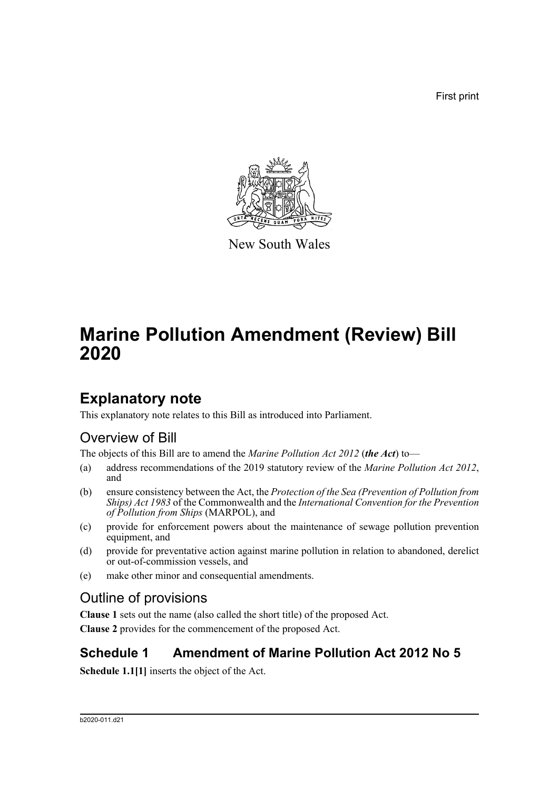First print



New South Wales

# **Marine Pollution Amendment (Review) Bill 2020**

## **Explanatory note**

This explanatory note relates to this Bill as introduced into Parliament.

## Overview of Bill

The objects of this Bill are to amend the *Marine Pollution Act 2012* (*the Act*) to—

- (a) address recommendations of the 2019 statutory review of the *Marine Pollution Act 2012*, and
- (b) ensure consistency between the Act, the *Protection of the Sea (Prevention of Pollution from Ships) Act 1983* of the Commonwealth and the *International Convention for the Prevention of Pollution from Ships* (MARPOL), and
- (c) provide for enforcement powers about the maintenance of sewage pollution prevention equipment, and
- (d) provide for preventative action against marine pollution in relation to abandoned, derelict or out-of-commission vessels, and
- (e) make other minor and consequential amendments.

## Outline of provisions

**Clause 1** sets out the name (also called the short title) of the proposed Act. **Clause 2** provides for the commencement of the proposed Act.

## **Schedule 1 Amendment of Marine Pollution Act 2012 No 5**

**Schedule 1.1[1]** inserts the object of the Act.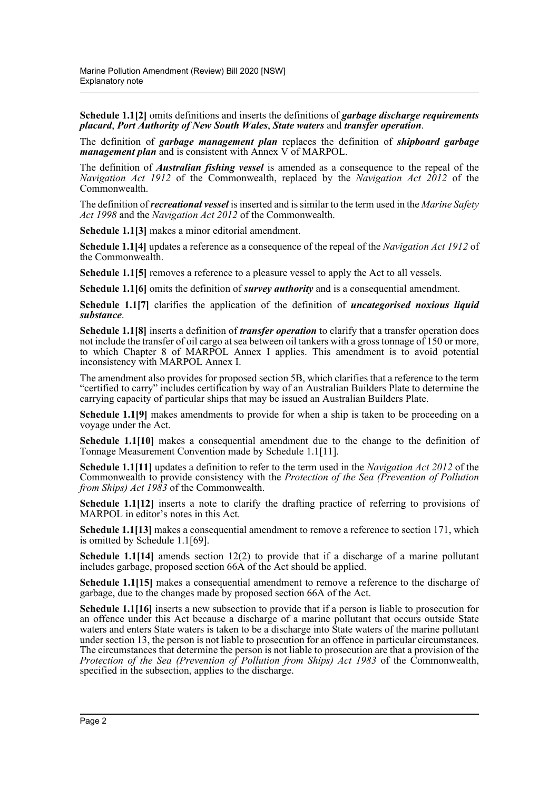**Schedule 1.1[2]** omits definitions and inserts the definitions of *garbage discharge requirements placard*, *Port Authority of New South Wales*, *State waters* and *transfer operation*.

The definition of *garbage management plan* replaces the definition of *shipboard garbage management plan* and is consistent with Annex V of MARPOL.

The definition of *Australian fishing vessel* is amended as a consequence to the repeal of the *Navigation Act 1912* of the Commonwealth, replaced by the *Navigation Act 2012* of the Commonwealth.

The definition of *recreational vessel* is inserted and is similar to the term used in the *Marine Safety Act 1998* and the *Navigation Act 2012* of the Commonwealth.

**Schedule 1.1[3]** makes a minor editorial amendment.

**Schedule 1.1[4]** updates a reference as a consequence of the repeal of the *Navigation Act 1912* of the Commonwealth.

**Schedule 1.1[5]** removes a reference to a pleasure vessel to apply the Act to all vessels.

**Schedule 1.1[6]** omits the definition of *survey authority* and is a consequential amendment.

**Schedule 1.1[7]** clarifies the application of the definition of *uncategorised noxious liquid substance*.

**Schedule 1.1[8]** inserts a definition of *transfer operation* to clarify that a transfer operation does not include the transfer of oil cargo at sea between oil tankers with a gross tonnage of 150 or more, to which Chapter 8 of MARPOL Annex I applies. This amendment is to avoid potential inconsistency with MARPOL Annex I.

The amendment also provides for proposed section 5B, which clarifies that a reference to the term "certified to carry" includes certification by way of an Australian Builders Plate to determine the carrying capacity of particular ships that may be issued an Australian Builders Plate.

**Schedule 1.1[9]** makes amendments to provide for when a ship is taken to be proceeding on a voyage under the Act.

**Schedule 1.1[10]** makes a consequential amendment due to the change to the definition of Tonnage Measurement Convention made by Schedule 1.1[11].

**Schedule 1.1[11]** updates a definition to refer to the term used in the *Navigation Act 2012* of the Commonwealth to provide consistency with the *Protection of the Sea (Prevention of Pollution from Ships) Act 1983* of the Commonwealth.

**Schedule 1.1[12]** inserts a note to clarify the drafting practice of referring to provisions of MARPOL in editor's notes in this Act.

**Schedule 1.1[13]** makes a consequential amendment to remove a reference to section 171, which is omitted by Schedule 1.1[69].

**Schedule 1.1[14]** amends section 12(2) to provide that if a discharge of a marine pollutant includes garbage, proposed section 66A of the Act should be applied.

**Schedule 1.1[15]** makes a consequential amendment to remove a reference to the discharge of garbage, due to the changes made by proposed section 66A of the Act.

**Schedule 1.1[16]** inserts a new subsection to provide that if a person is liable to prosecution for an offence under this Act because a discharge of a marine pollutant that occurs outside State waters and enters State waters is taken to be a discharge into State waters of the marine pollutant under section 13, the person is not liable to prosecution for an offence in particular circumstances. The circumstances that determine the person is not liable to prosecution are that a provision of the *Protection of the Sea (Prevention of Pollution from Ships) Act 1983* of the Commonwealth, specified in the subsection, applies to the discharge.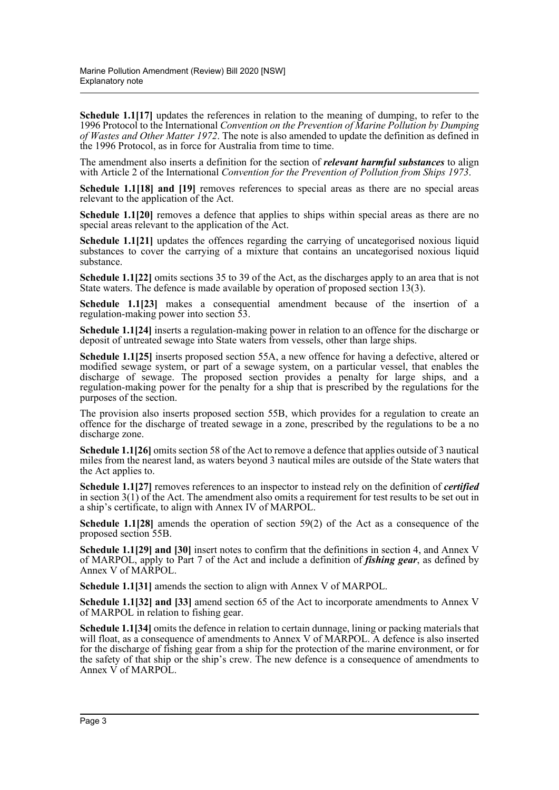**Schedule 1.1[17]** updates the references in relation to the meaning of dumping, to refer to the 1996 Protocol to the International *Convention on the Prevention of Marine Pollution by Dumping of Wastes and Other Matter 1972*. The note is also amended to update the definition as defined in the 1996 Protocol, as in force for Australia from time to time.

The amendment also inserts a definition for the section of *relevant harmful substances* to align with Article 2 of the International *Convention for the Prevention of Pollution from Ships 1973*.

**Schedule 1.1[18] and [19]** removes references to special areas as there are no special areas relevant to the application of the Act.

**Schedule 1.1[20]** removes a defence that applies to ships within special areas as there are no special areas relevant to the application of the Act.

**Schedule 1.1[21]** updates the offences regarding the carrying of uncategorised noxious liquid substances to cover the carrying of a mixture that contains an uncategorised noxious liquid substance.

**Schedule 1.1[22]** omits sections 35 to 39 of the Act, as the discharges apply to an area that is not State waters. The defence is made available by operation of proposed section 13(3).

**Schedule 1.1[23]** makes a consequential amendment because of the insertion of a regulation-making power into section 53.

**Schedule 1.1[24]** inserts a regulation-making power in relation to an offence for the discharge or deposit of untreated sewage into State waters from vessels, other than large ships.

**Schedule 1.1[25]** inserts proposed section 55A, a new offence for having a defective, altered or modified sewage system, or part of a sewage system, on a particular vessel, that enables the discharge of sewage. The proposed section provides a penalty for large ships, and a regulation-making power for the penalty for a ship that is prescribed by the regulations for the purposes of the section.

The provision also inserts proposed section 55B, which provides for a regulation to create an offence for the discharge of treated sewage in a zone, prescribed by the regulations to be a no discharge zone.

**Schedule 1.1[26]** omits section 58 of the Act to remove a defence that applies outside of 3 nautical miles from the nearest land, as waters beyond 3 nautical miles are outside of the State waters that the Act applies to.

**Schedule 1.1[27]** removes references to an inspector to instead rely on the definition of *certified* in section 3(1) of the Act. The amendment also omits a requirement for test results to be set out in a ship's certificate, to align with Annex IV of MARPOL.

**Schedule 1.1[28]** amends the operation of section 59(2) of the Act as a consequence of the proposed section 55B.

**Schedule 1.1[29] and [30]** insert notes to confirm that the definitions in section 4, and Annex V of MARPOL, apply to Part 7 of the Act and include a definition of *fishing gear*, as defined by Annex V of MARPOL.

**Schedule 1.1[31]** amends the section to align with Annex V of MARPOL.

**Schedule 1.1[32] and [33]** amend section 65 of the Act to incorporate amendments to Annex V of MARPOL in relation to fishing gear.

**Schedule 1.1[34]** omits the defence in relation to certain dunnage, lining or packing materials that will float, as a consequence of amendments to Annex V of MARPOL. A defence is also inserted for the discharge of fishing gear from a ship for the protection of the marine environment, or for the safety of that ship or the ship's crew. The new defence is a consequence of amendments to Annex V of MARPOL.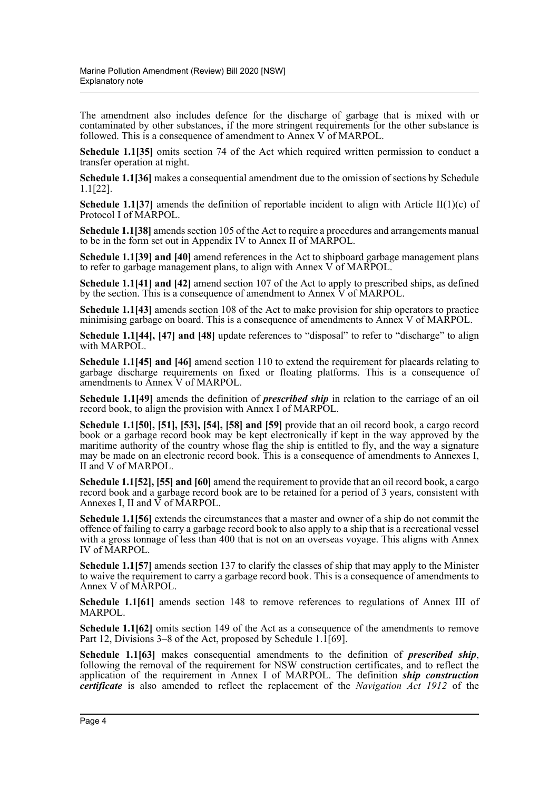The amendment also includes defence for the discharge of garbage that is mixed with or contaminated by other substances, if the more stringent requirements for the other substance is followed. This is a consequence of amendment to Annex V of MARPOL.

**Schedule 1.1[35]** omits section 74 of the Act which required written permission to conduct a transfer operation at night.

**Schedule 1.1[36]** makes a consequential amendment due to the omission of sections by Schedule 1.1[22].

**Schedule 1.1[37]** amends the definition of reportable incident to align with Article II(1)(c) of Protocol I of MARPOL.

**Schedule 1.1[38]** amends section 105 of the Act to require a procedures and arrangements manual to be in the form set out in Appendix IV to Annex II of MARPOL.

**Schedule 1.1[39] and [40]** amend references in the Act to shipboard garbage management plans to refer to garbage management plans, to align with Annex V of MARPOL.

**Schedule 1.1[41] and [42]** amend section 107 of the Act to apply to prescribed ships, as defined by the section. This is a consequence of amendment to Annex V of MARPOL.

**Schedule 1.1[43]** amends section 108 of the Act to make provision for ship operators to practice minimising garbage on board. This is a consequence of amendments to Annex V of MARPOL.

**Schedule 1.1[44], [47] and [48]** update references to "disposal" to refer to "discharge" to align with MARPOL.

**Schedule 1.1<sup>[45]</sup> and <sup>[46]</sup>** amend section 110 to extend the requirement for placards relating to garbage discharge requirements on fixed or floating platforms. This is a consequence of amendments to Annex V of MARPOL.

**Schedule 1.1[49]** amends the definition of *prescribed ship* in relation to the carriage of an oil record book, to align the provision with Annex I of MARPOL.

**Schedule 1.1[50], [51], [53], [54], [58] and [59]** provide that an oil record book, a cargo record book or a garbage record book may be kept electronically if kept in the way approved by the maritime authority of the country whose flag the ship is entitled to fly, and the way a signature may be made on an electronic record book. This is a consequence of amendments to Annexes I, II and V of MARPOL.

**Schedule 1.1[52], [55] and [60]** amend the requirement to provide that an oil record book, a cargo record book and a garbage record book are to be retained for a period of 3 years, consistent with Annexes I, II and  $\overline{V}$  of MARPOL.

**Schedule 1.1[56]** extends the circumstances that a master and owner of a ship do not commit the offence of failing to carry a garbage record book to also apply to a ship that is a recreational vessel with a gross tonnage of less than 400 that is not on an overseas voyage. This aligns with Annex IV of MARPOL.

**Schedule 1.1[57]** amends section 137 to clarify the classes of ship that may apply to the Minister to waive the requirement to carry a garbage record book. This is a consequence of amendments to Annex V of MARPOL.

**Schedule 1.1[61]** amends section 148 to remove references to regulations of Annex III of MARPOL.

**Schedule 1.1[62]** omits section 149 of the Act as a consequence of the amendments to remove Part 12, Divisions 3–8 of the Act, proposed by Schedule 1. $\overline{1}$ [69].

**Schedule 1.1[63]** makes consequential amendments to the definition of *prescribed ship*, following the removal of the requirement for NSW construction certificates, and to reflect the application of the requirement in Annex I of MARPOL. The definition *ship construction certificate* is also amended to reflect the replacement of the *Navigation Act 1912* of the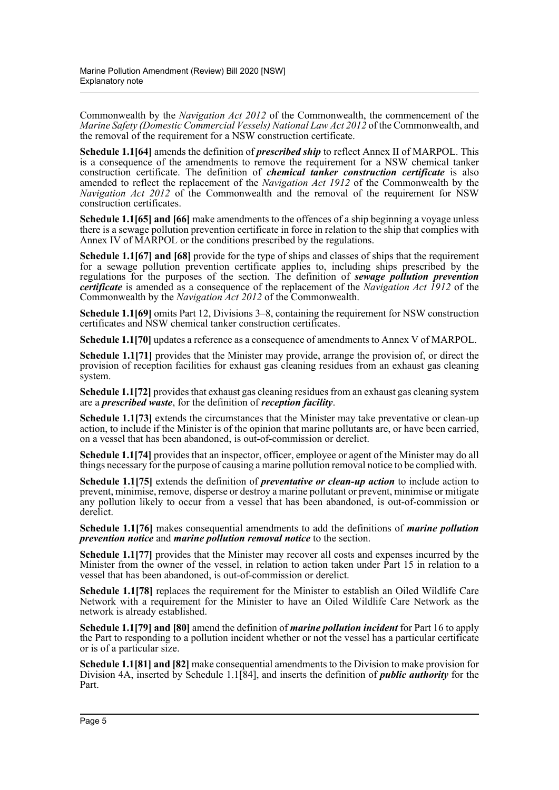Commonwealth by the *Navigation Act 2012* of the Commonwealth, the commencement of the *Marine Safety (Domestic Commercial Vessels) National Law Act 2012* of the Commonwealth, and the removal of the requirement for a NSW construction certificate.

**Schedule 1.1[64]** amends the definition of *prescribed ship* to reflect Annex II of MARPOL. This is a consequence of the amendments to remove the requirement for a NSW chemical tanker construction certificate. The definition of *chemical tanker construction certificate* is also amended to reflect the replacement of the *Navigation Act 1912* of the Commonwealth by the *Navigation Act 2012* of the Commonwealth and the removal of the requirement for NSW construction certificates.

**Schedule 1.1[65] and [66]** make amendments to the offences of a ship beginning a voyage unless there is a sewage pollution prevention certificate in force in relation to the ship that complies with Annex IV of MARPOL or the conditions prescribed by the regulations.

**Schedule 1.1[67] and [68]** provide for the type of ships and classes of ships that the requirement for a sewage pollution prevention certificate applies to, including ships prescribed by the regulations for the purposes of the section. The definition of *sewage pollution prevention certificate* is amended as a consequence of the replacement of the *Navigation Act 1912* of the Commonwealth by the *Navigation Act 2012* of the Commonwealth.

**Schedule 1.1[69]** omits Part 12, Divisions 3–8, containing the requirement for NSW construction certificates and NSW chemical tanker construction certificates.

**Schedule 1.1[70]** updates a reference as a consequence of amendments to Annex V of MARPOL.

**Schedule 1.1[71]** provides that the Minister may provide, arrange the provision of, or direct the provision of reception facilities for exhaust gas cleaning residues from an exhaust gas cleaning system.

**Schedule 1.1[72]** provides that exhaust gas cleaning residues from an exhaust gas cleaning system are a *prescribed waste*, for the definition of *reception facility*.

**Schedule 1.1[73]** extends the circumstances that the Minister may take preventative or clean-up action, to include if the Minister is of the opinion that marine pollutants are, or have been carried, on a vessel that has been abandoned, is out-of-commission or derelict.

**Schedule 1.1[74]** provides that an inspector, officer, employee or agent of the Minister may do all things necessary for the purpose of causing a marine pollution removal notice to be complied with.

**Schedule 1.1[75]** extends the definition of *preventative or clean-up action* to include action to prevent, minimise, remove, disperse or destroy a marine pollutant or prevent, minimise or mitigate any pollution likely to occur from a vessel that has been abandoned, is out-of-commission or derelict.

**Schedule 1.1[76]** makes consequential amendments to add the definitions of *marine pollution prevention notice* and *marine pollution removal notice* to the section.

**Schedule 1.1[77]** provides that the Minister may recover all costs and expenses incurred by the Minister from the owner of the vessel, in relation to action taken under Part 15 in relation to a vessel that has been abandoned, is out-of-commission or derelict.

**Schedule 1.1[78]** replaces the requirement for the Minister to establish an Oiled Wildlife Care Network with a requirement for the Minister to have an Oiled Wildlife Care Network as the network is already established.

**Schedule 1.1[79] and [80]** amend the definition of *marine pollution incident* for Part 16 to apply the Part to responding to a pollution incident whether or not the vessel has a particular certificate or is of a particular size.

**Schedule 1.1[81] and [82]** make consequential amendments to the Division to make provision for Division 4A, inserted by Schedule 1.1[84], and inserts the definition of *public authority* for the Part.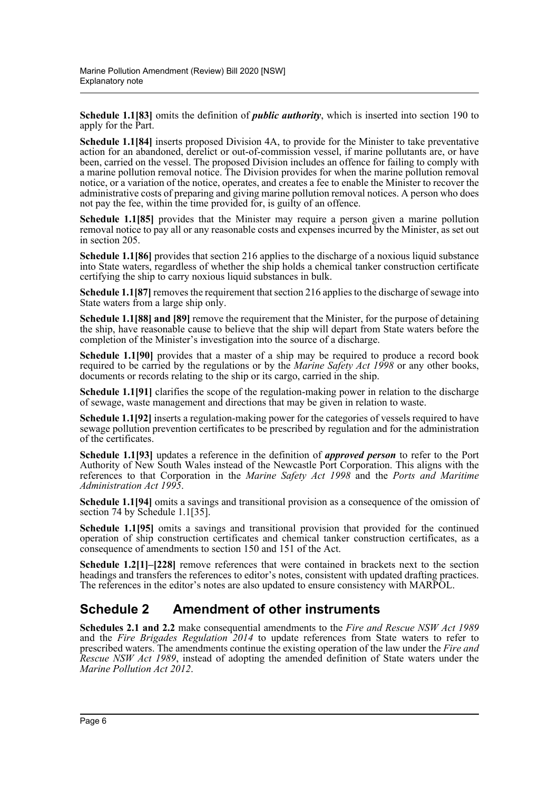**Schedule 1.1[83]** omits the definition of *public authority*, which is inserted into section 190 to apply for the Part.

**Schedule 1.1[84]** inserts proposed Division 4A, to provide for the Minister to take preventative action for an abandoned, derelict or out-of-commission vessel, if marine pollutants are, or have been, carried on the vessel. The proposed Division includes an offence for failing to comply with a marine pollution removal notice. The Division provides for when the marine pollution removal notice, or a variation of the notice, operates, and creates a fee to enable the Minister to recover the administrative costs of preparing and giving marine pollution removal notices. A person who does not pay the fee, within the time provided for, is guilty of an offence.

**Schedule 1.1[85]** provides that the Minister may require a person given a marine pollution removal notice to pay all or any reasonable costs and expenses incurred by the Minister, as set out in section 205.

**Schedule 1.1[86]** provides that section 216 applies to the discharge of a noxious liquid substance into State waters, regardless of whether the ship holds a chemical tanker construction certificate certifying the ship to carry noxious liquid substances in bulk.

**Schedule 1.1[87]** removes the requirement that section 216 applies to the discharge of sewage into State waters from a large ship only.

**Schedule 1.1[88] and [89]** remove the requirement that the Minister, for the purpose of detaining the ship, have reasonable cause to believe that the ship will depart from State waters before the completion of the Minister's investigation into the source of a discharge.

**Schedule 1.1[90]** provides that a master of a ship may be required to produce a record book required to be carried by the regulations or by the *Marine Safety Act 1998* or any other books, documents or records relating to the ship or its cargo, carried in the ship.

**Schedule 1.1[91]** clarifies the scope of the regulation-making power in relation to the discharge of sewage, waste management and directions that may be given in relation to waste.

**Schedule 1.1[92]** inserts a regulation-making power for the categories of vessels required to have sewage pollution prevention certificates to be prescribed by regulation and for the administration of the certificates.

**Schedule 1.1[93]** updates a reference in the definition of *approved person* to refer to the Port Authority of New South Wales instead of the Newcastle Port Corporation. This aligns with the references to that Corporation in the *Marine Safety Act 1998* and the *Ports and Maritime Administration Act 1995*.

**Schedule 1.1[94]** omits a savings and transitional provision as a consequence of the omission of section 74 by Schedule 1.1[35].

**Schedule 1.1[95]** omits a savings and transitional provision that provided for the continued operation of ship construction certificates and chemical tanker construction certificates, as a consequence of amendments to section 150 and 151 of the Act.

**Schedule 1.2[1]–[228]** remove references that were contained in brackets next to the section headings and transfers the references to editor's notes, consistent with updated drafting practices. The references in the editor's notes are also updated to ensure consistency with MARPOL.

## **Schedule 2 Amendment of other instruments**

**Schedules 2.1 and 2.2** make consequential amendments to the *Fire and Rescue NSW Act 1989* and the *Fire Brigades Regulation 2014* to update references from State waters to refer to prescribed waters. The amendments continue the existing operation of the law under the *Fire and Rescue NSW Act 1989*, instead of adopting the amended definition of State waters under the *Marine Pollution Act 2012*.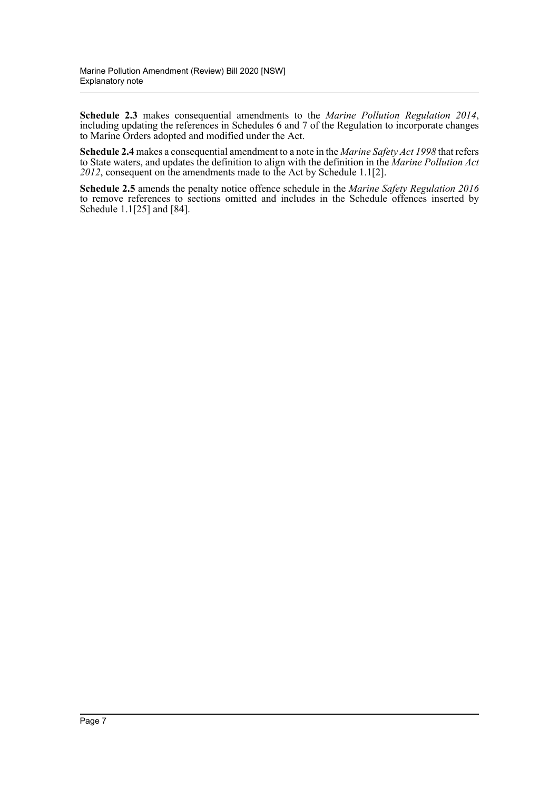**Schedule 2.3** makes consequential amendments to the *Marine Pollution Regulation 2014*, including updating the references in Schedules 6 and 7 of the Regulation to incorporate changes to Marine Orders adopted and modified under the Act.

**Schedule 2.4** makes a consequential amendment to a note in the *Marine Safety Act 1998* that refers to State waters, and updates the definition to align with the definition in the *Marine Pollution Act 2012*, consequent on the amendments made to the Act by Schedule 1.1[2].

**Schedule 2.5** amends the penalty notice offence schedule in the *Marine Safety Regulation 2016* to remove references to sections omitted and includes in the Schedule offences inserted by Schedule 1.1[25] and [84].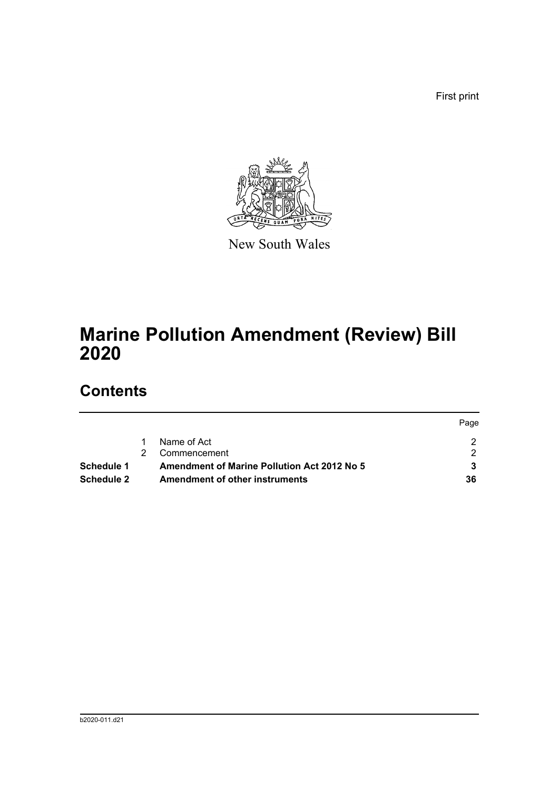First print



New South Wales

# **Marine Pollution Amendment (Review) Bill 2020**

# **Contents**

|                   |                                                    | Page |
|-------------------|----------------------------------------------------|------|
|                   | Name of Act                                        |      |
|                   | Commencement                                       |      |
| Schedule 1        | <b>Amendment of Marine Pollution Act 2012 No 5</b> |      |
| <b>Schedule 2</b> | <b>Amendment of other instruments</b>              | 36   |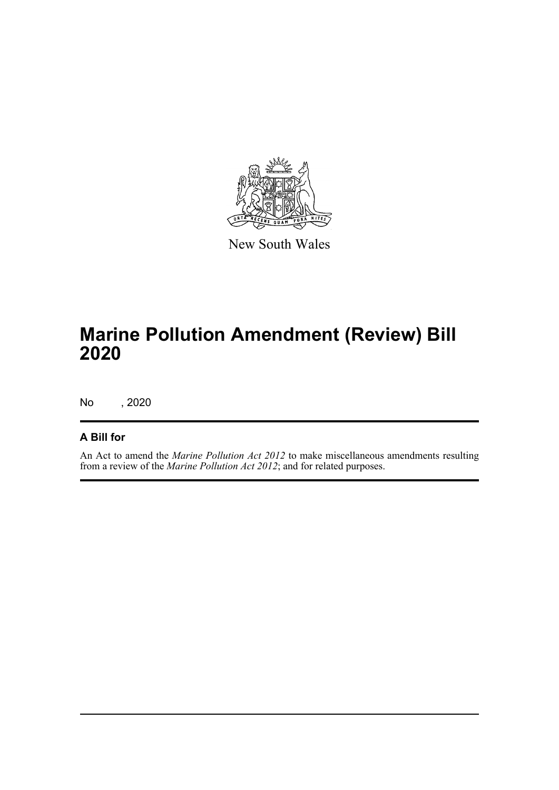

New South Wales

# **Marine Pollution Amendment (Review) Bill 2020**

No , 2020

### **A Bill for**

An Act to amend the *Marine Pollution Act 2012* to make miscellaneous amendments resulting from a review of the *Marine Pollution Act 2012*; and for related purposes.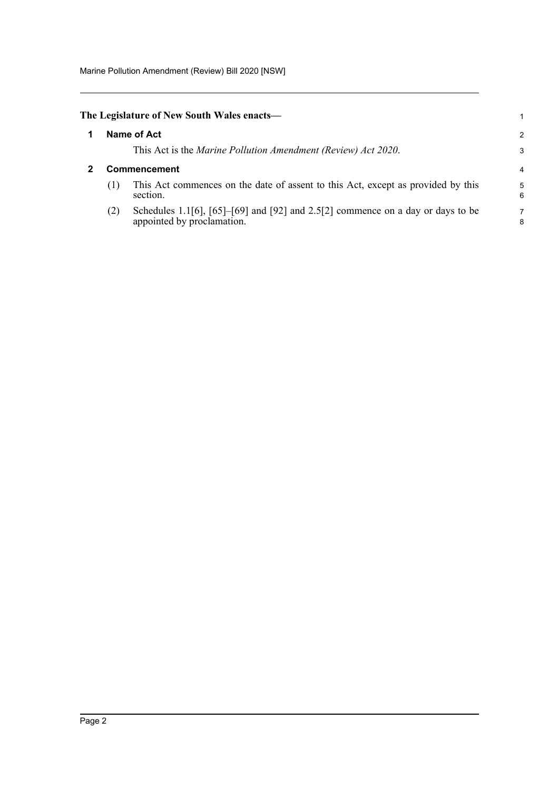Marine Pollution Amendment (Review) Bill 2020 [NSW]

<span id="page-9-1"></span><span id="page-9-0"></span>

|                     | The Legislature of New South Wales enacts—                                                                            | 1      |  |  |  |
|---------------------|-----------------------------------------------------------------------------------------------------------------------|--------|--|--|--|
|                     | Name of Act                                                                                                           | 2      |  |  |  |
|                     | This Act is the <i>Marine Pollution Amendment (Review) Act 2020</i> .                                                 | 3      |  |  |  |
| <b>Commencement</b> |                                                                                                                       |        |  |  |  |
| (1)                 | This Act commences on the date of assent to this Act, except as provided by this<br>section.                          | 5<br>6 |  |  |  |
| (2)                 | Schedules 1.1[6], $[65]$ – $[69]$ and $[92]$ and 2.5[2] commence on a day or days to be<br>appointed by proclamation. | 7<br>8 |  |  |  |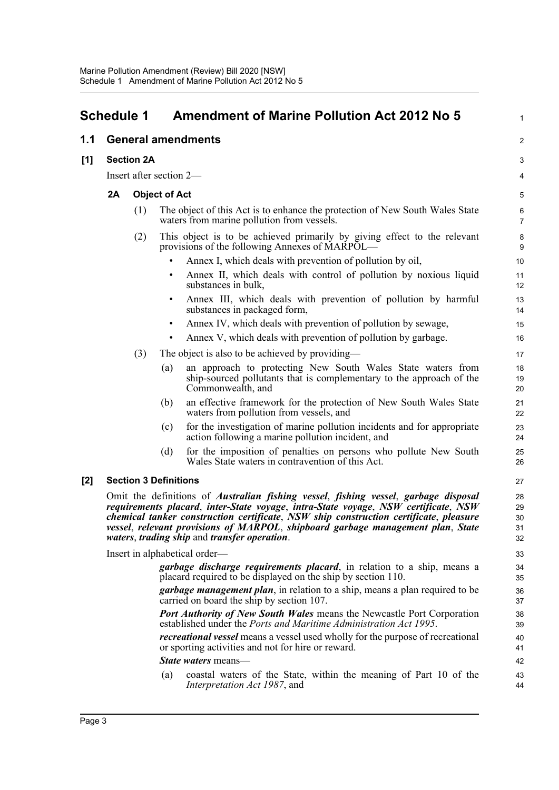<span id="page-10-0"></span>

|       | <b>Schedule 1</b>                                                                                                                                                                                                                                                                                                                                                                                                                   |                   | <b>Amendment of Marine Pollution Act 2012 No 5</b>                                                                                                              | 1                   |  |  |  |
|-------|-------------------------------------------------------------------------------------------------------------------------------------------------------------------------------------------------------------------------------------------------------------------------------------------------------------------------------------------------------------------------------------------------------------------------------------|-------------------|-----------------------------------------------------------------------------------------------------------------------------------------------------------------|---------------------|--|--|--|
| 1.1   |                                                                                                                                                                                                                                                                                                                                                                                                                                     |                   | <b>General amendments</b>                                                                                                                                       | $\overline{a}$      |  |  |  |
| $[1]$ |                                                                                                                                                                                                                                                                                                                                                                                                                                     | <b>Section 2A</b> |                                                                                                                                                                 | 3                   |  |  |  |
|       |                                                                                                                                                                                                                                                                                                                                                                                                                                     |                   | Insert after section 2-                                                                                                                                         | 4                   |  |  |  |
|       | 2A                                                                                                                                                                                                                                                                                                                                                                                                                                  |                   | <b>Object of Act</b>                                                                                                                                            | 5                   |  |  |  |
|       |                                                                                                                                                                                                                                                                                                                                                                                                                                     | (1)               | The object of this Act is to enhance the protection of New South Wales State<br>waters from marine pollution from vessels.                                      | 6<br>$\overline{7}$ |  |  |  |
|       |                                                                                                                                                                                                                                                                                                                                                                                                                                     | (2)               | This object is to be achieved primarily by giving effect to the relevant<br>provisions of the following Annexes of MARPOL—                                      | 8<br>9              |  |  |  |
|       |                                                                                                                                                                                                                                                                                                                                                                                                                                     |                   | Annex I, which deals with prevention of pollution by oil,                                                                                                       | 10                  |  |  |  |
|       |                                                                                                                                                                                                                                                                                                                                                                                                                                     |                   | Annex II, which deals with control of pollution by noxious liquid<br>$\bullet$<br>substances in bulk,                                                           | 11<br>12            |  |  |  |
|       |                                                                                                                                                                                                                                                                                                                                                                                                                                     |                   | Annex III, which deals with prevention of pollution by harmful<br>$\bullet$<br>substances in packaged form,                                                     | 13<br>14            |  |  |  |
|       |                                                                                                                                                                                                                                                                                                                                                                                                                                     |                   | Annex IV, which deals with prevention of pollution by sewage,                                                                                                   | 15                  |  |  |  |
|       |                                                                                                                                                                                                                                                                                                                                                                                                                                     |                   | Annex V, which deals with prevention of pollution by garbage.                                                                                                   | 16                  |  |  |  |
|       |                                                                                                                                                                                                                                                                                                                                                                                                                                     | (3)               | The object is also to be achieved by providing—                                                                                                                 | 17                  |  |  |  |
|       |                                                                                                                                                                                                                                                                                                                                                                                                                                     |                   | an approach to protecting New South Wales State waters from<br>(a)<br>ship-sourced pollutants that is complementary to the approach of the<br>Commonwealth, and | 18<br>19<br>20      |  |  |  |
|       |                                                                                                                                                                                                                                                                                                                                                                                                                                     |                   | an effective framework for the protection of New South Wales State<br>(b)<br>waters from pollution from vessels, and                                            | 21<br>22            |  |  |  |
|       |                                                                                                                                                                                                                                                                                                                                                                                                                                     |                   | for the investigation of marine pollution incidents and for appropriate<br>(c)<br>action following a marine pollution incident, and                             | 23<br>24            |  |  |  |
|       |                                                                                                                                                                                                                                                                                                                                                                                                                                     |                   | for the imposition of penalties on persons who pollute New South<br>(d)<br>Wales State waters in contravention of this Act.                                     | 25<br>26            |  |  |  |
| $[2]$ |                                                                                                                                                                                                                                                                                                                                                                                                                                     |                   | <b>Section 3 Definitions</b>                                                                                                                                    | 27                  |  |  |  |
|       | Omit the definitions of <i>Australian fishing vessel</i> , <i>fishing vessel</i> , <i>garbage disposal</i><br>requirements placard, inter-State voyage, intra-State voyage, NSW certificate, NSW<br>chemical tanker construction certificate, NSW ship construction certificate, pleasure<br>vessel, relevant provisions of MARPOL, shipboard garbage management plan, State<br><i>waters, trading ship and transfer operation.</i> |                   |                                                                                                                                                                 |                     |  |  |  |
|       |                                                                                                                                                                                                                                                                                                                                                                                                                                     |                   | Insert in alphabetical order—                                                                                                                                   | 33                  |  |  |  |
|       |                                                                                                                                                                                                                                                                                                                                                                                                                                     |                   | <i>garbage discharge requirements placard</i> , in relation to a ship, means a<br>placard required to be displayed on the ship by section 110.                  | 34<br>35            |  |  |  |
|       |                                                                                                                                                                                                                                                                                                                                                                                                                                     |                   | <i>garbage management plan</i> , in relation to a ship, means a plan required to be<br>carried on board the ship by section 107.                                | 36<br>37            |  |  |  |
|       |                                                                                                                                                                                                                                                                                                                                                                                                                                     |                   | <b>Port Authority of New South Wales means the Newcastle Port Corporation</b><br>established under the Ports and Maritime Administration Act 1995.              | 38<br>39            |  |  |  |
|       |                                                                                                                                                                                                                                                                                                                                                                                                                                     |                   | recreational vessel means a vessel used wholly for the purpose of recreational<br>or sporting activities and not for hire or reward.                            | 40<br>41            |  |  |  |
|       |                                                                                                                                                                                                                                                                                                                                                                                                                                     |                   | <i>State waters</i> means—                                                                                                                                      | 42                  |  |  |  |
|       |                                                                                                                                                                                                                                                                                                                                                                                                                                     |                   | coastal waters of the State, within the meaning of Part 10 of the<br>(a)<br>Interpretation Act 1987, and                                                        | 43<br>44            |  |  |  |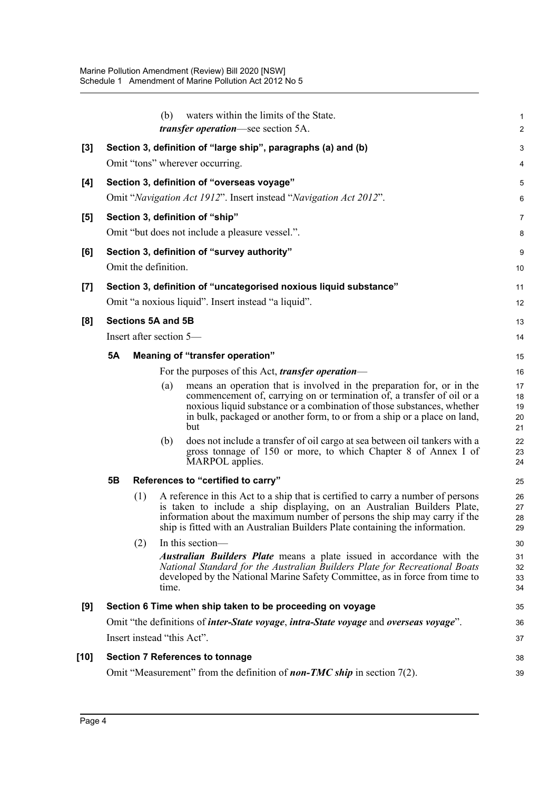|       |                                                                                                  |     | (b)                     | waters within the limits of the State.<br><i>transfer operation</i> —see section 5A.                                                                                                                                                                                                                                     | 1<br>$\overline{\mathbf{c}}$ |  |  |  |  |
|-------|--------------------------------------------------------------------------------------------------|-----|-------------------------|--------------------------------------------------------------------------------------------------------------------------------------------------------------------------------------------------------------------------------------------------------------------------------------------------------------------------|------------------------------|--|--|--|--|
|       |                                                                                                  |     |                         |                                                                                                                                                                                                                                                                                                                          | 3                            |  |  |  |  |
| $[3]$ | Section 3, definition of "large ship", paragraphs (a) and (b)<br>Omit "tons" wherever occurring. |     |                         |                                                                                                                                                                                                                                                                                                                          |                              |  |  |  |  |
| [4]   |                                                                                                  |     |                         | Section 3, definition of "overseas voyage"                                                                                                                                                                                                                                                                               | 4<br>5                       |  |  |  |  |
|       |                                                                                                  |     |                         | Omit "Navigation Act 1912". Insert instead "Navigation Act 2012".                                                                                                                                                                                                                                                        | 6                            |  |  |  |  |
| [5]   |                                                                                                  |     |                         | Section 3, definition of "ship"                                                                                                                                                                                                                                                                                          | 7                            |  |  |  |  |
|       |                                                                                                  |     |                         | Omit "but does not include a pleasure vessel.".                                                                                                                                                                                                                                                                          | 8                            |  |  |  |  |
| [6]   |                                                                                                  |     |                         | Section 3, definition of "survey authority"                                                                                                                                                                                                                                                                              | 9                            |  |  |  |  |
|       |                                                                                                  |     | Omit the definition.    |                                                                                                                                                                                                                                                                                                                          | 10                           |  |  |  |  |
| $[7]$ |                                                                                                  |     |                         | Section 3, definition of "uncategorised noxious liquid substance"                                                                                                                                                                                                                                                        | 11                           |  |  |  |  |
|       |                                                                                                  |     |                         | Omit "a noxious liquid". Insert instead "a liquid".                                                                                                                                                                                                                                                                      | 12                           |  |  |  |  |
| [8]   |                                                                                                  |     | Sections 5A and 5B      |                                                                                                                                                                                                                                                                                                                          | 13                           |  |  |  |  |
|       |                                                                                                  |     | Insert after section 5— |                                                                                                                                                                                                                                                                                                                          | 14                           |  |  |  |  |
|       | <b>5A</b>                                                                                        |     |                         | Meaning of "transfer operation"                                                                                                                                                                                                                                                                                          | 15                           |  |  |  |  |
|       |                                                                                                  |     |                         | For the purposes of this Act, <i>transfer operation</i> —                                                                                                                                                                                                                                                                | 16                           |  |  |  |  |
|       |                                                                                                  |     | (a)                     | means an operation that is involved in the preparation for, or in the<br>commencement of, carrying on or termination of, a transfer of oil or a<br>noxious liquid substance or a combination of those substances, whether<br>in bulk, packaged or another form, to or from a ship or a place on land,<br>but             | 17<br>18<br>19<br>20<br>21   |  |  |  |  |
|       |                                                                                                  |     | (b)                     | does not include a transfer of oil cargo at sea between oil tankers with a<br>gross tonnage of 150 or more, to which Chapter 8 of Annex I of<br>MARPOL applies.                                                                                                                                                          | 22<br>23<br>24               |  |  |  |  |
|       | 5B                                                                                               |     |                         | References to "certified to carry"                                                                                                                                                                                                                                                                                       | 25                           |  |  |  |  |
|       |                                                                                                  | (1) |                         | A reference in this Act to a ship that is certified to carry a number of persons<br>is taken to include a ship displaying, on an Australian Builders Plate,<br>information about the maximum number of persons the ship may carry if the<br>ship is fitted with an Australian Builders Plate containing the information. | 26<br>27<br>28<br>29         |  |  |  |  |
|       |                                                                                                  | (2) |                         | In this section-                                                                                                                                                                                                                                                                                                         | 30                           |  |  |  |  |
|       |                                                                                                  |     | time.                   | <i>Australian Builders Plate</i> means a plate issued in accordance with the<br>National Standard for the Australian Builders Plate for Recreational Boats<br>developed by the National Marine Safety Committee, as in force from time to                                                                                | 31<br>32<br>33<br>34         |  |  |  |  |
| [9]   |                                                                                                  |     |                         | Section 6 Time when ship taken to be proceeding on voyage                                                                                                                                                                                                                                                                | 35                           |  |  |  |  |
|       |                                                                                                  |     |                         | Omit "the definitions of <i>inter-State voyage</i> , <i>intra-State voyage</i> and <i>overseas voyage</i> ".                                                                                                                                                                                                             | 36                           |  |  |  |  |
|       |                                                                                                  |     |                         | Insert instead "this Act".                                                                                                                                                                                                                                                                                               | 37                           |  |  |  |  |
| [10]  |                                                                                                  |     |                         | <b>Section 7 References to tonnage</b>                                                                                                                                                                                                                                                                                   | 38                           |  |  |  |  |
|       |                                                                                                  |     |                         | Omit "Measurement" from the definition of <b>non-TMC</b> ship in section $7(2)$ .                                                                                                                                                                                                                                        | 39                           |  |  |  |  |
|       |                                                                                                  |     |                         |                                                                                                                                                                                                                                                                                                                          |                              |  |  |  |  |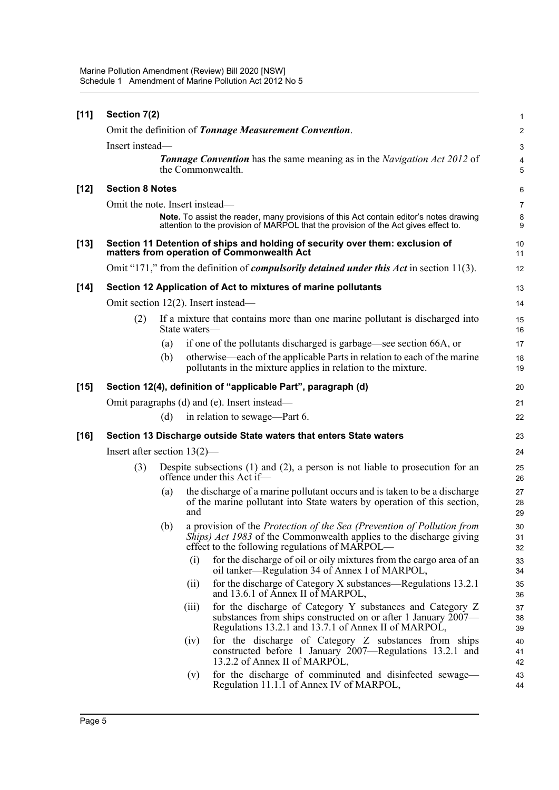| $[11]$ | Section 7(2)                           |     |               |                                                                                                                                                                                                 | 1              |  |  |  |  |
|--------|----------------------------------------|-----|---------------|-------------------------------------------------------------------------------------------------------------------------------------------------------------------------------------------------|----------------|--|--|--|--|
|        |                                        |     |               | Omit the definition of Tonnage Measurement Convention.                                                                                                                                          | $\mathbf 2$    |  |  |  |  |
|        | Insert instead-                        |     |               |                                                                                                                                                                                                 |                |  |  |  |  |
|        |                                        |     |               | <b>Tonnage Convention</b> has the same meaning as in the Navigation Act 2012 of<br>the Commonwealth.                                                                                            | 4<br>5         |  |  |  |  |
| $[12]$ | <b>Section 8 Notes</b>                 |     |               |                                                                                                                                                                                                 | 6              |  |  |  |  |
|        | Omit the note. Insert instead—         |     |               |                                                                                                                                                                                                 | $\overline{7}$ |  |  |  |  |
|        |                                        |     |               | Note. To assist the reader, many provisions of this Act contain editor's notes drawing<br>attention to the provision of MARPOL that the provision of the Act gives effect to.                   | 8<br>9         |  |  |  |  |
| $[13]$ |                                        |     |               | Section 11 Detention of ships and holding of security over them: exclusion of<br>matters from operation of Commonwealth Act                                                                     | 10<br>11       |  |  |  |  |
|        |                                        |     |               | Omit "171," from the definition of <i>compulsorily detained under this Act</i> in section 11(3).                                                                                                | 12             |  |  |  |  |
| $[14]$ |                                        |     |               | Section 12 Application of Act to mixtures of marine pollutants                                                                                                                                  | 13             |  |  |  |  |
|        | Omit section $12(2)$ . Insert instead— |     |               |                                                                                                                                                                                                 | 14             |  |  |  |  |
|        | (2)                                    |     | State waters— | If a mixture that contains more than one marine pollutant is discharged into                                                                                                                    | 15<br>16       |  |  |  |  |
|        |                                        | (a) |               | if one of the pollutants discharged is garbage—see section 66A, or                                                                                                                              | 17             |  |  |  |  |
|        |                                        | (b) |               | otherwise—each of the applicable Parts in relation to each of the marine<br>pollutants in the mixture applies in relation to the mixture.                                                       | 18<br>19       |  |  |  |  |
| $[15]$ |                                        |     |               | Section 12(4), definition of "applicable Part", paragraph (d)                                                                                                                                   | 20             |  |  |  |  |
|        |                                        |     |               | Omit paragraphs (d) and (e). Insert instead—                                                                                                                                                    | 21             |  |  |  |  |
|        |                                        | (d) |               | in relation to sewage—Part 6.                                                                                                                                                                   | 22             |  |  |  |  |
| $[16]$ |                                        |     |               | Section 13 Discharge outside State waters that enters State waters                                                                                                                              | 23             |  |  |  |  |
|        | Insert after section $13(2)$ —         |     |               |                                                                                                                                                                                                 | 24             |  |  |  |  |
|        | (3)                                    |     |               | Despite subsections $(1)$ and $(2)$ , a person is not liable to prosecution for an<br>offence under this Act if-                                                                                | 25<br>26       |  |  |  |  |
|        |                                        | (a) | and           | the discharge of a marine pollutant occurs and is taken to be a discharge<br>of the marine pollutant into State waters by operation of this section,                                            | 27<br>28<br>29 |  |  |  |  |
|        |                                        | (b) |               | a provision of the Protection of the Sea (Prevention of Pollution from<br>Ships) Act 1983 of the Commonwealth applies to the discharge giving<br>effect to the following regulations of MARPOL— | 30<br>31<br>32 |  |  |  |  |
|        |                                        |     | (1)           | for the discharge of oil or oily mixtures from the cargo area of an<br>oil tanker—Regulation 34 of Annex I of MARPOL,                                                                           | 33<br>34       |  |  |  |  |
|        |                                        |     | (11)          | for the discharge of Category X substances—Regulations 13.2.1<br>and 13.6.1 of Annex II of MARPOL,                                                                                              | 35<br>36       |  |  |  |  |
|        |                                        |     | (111)         | for the discharge of Category Y substances and Category Z<br>substances from ships constructed on or after 1 January 2007—<br>Regulations 13.2.1 and 13.7.1 of Annex II of MARPOL,              | 37<br>38<br>39 |  |  |  |  |
|        |                                        |     | (1V)          | for the discharge of Category Z substances from ships<br>constructed before 1 January 2007—Regulations 13.2.1 and<br>13.2.2 of Annex II of MARPOL,                                              | 40<br>41<br>42 |  |  |  |  |
|        |                                        |     | (v)           | for the discharge of comminuted and disinfected sewage—<br>Regulation 11.1.1 of Annex IV of MARPOL,                                                                                             | 43<br>44       |  |  |  |  |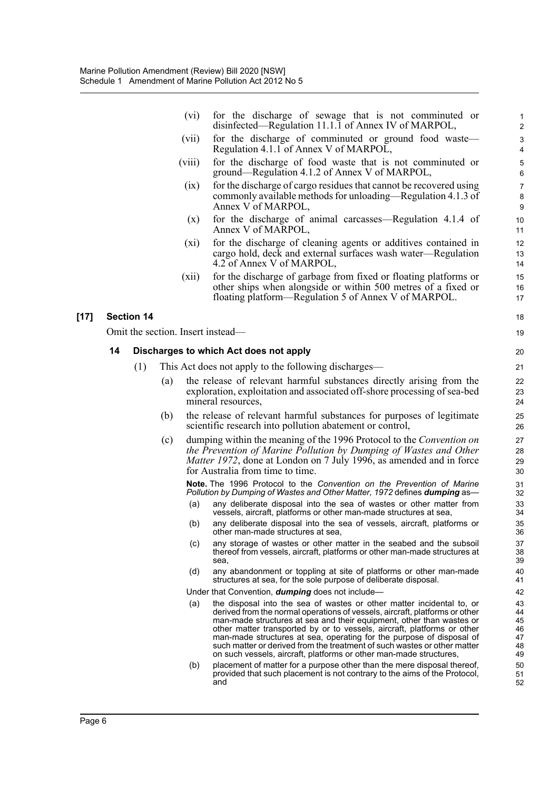|        |    |                   |     | (vi)    | for the discharge of sewage that is not comminuted or<br>disinfected—Regulation 11.1.1 of Annex IV of MARPOL,                                                                                                                                                                                                                                                                                                                                                                                                                     | 1<br>$\overline{2}$                    |
|--------|----|-------------------|-----|---------|-----------------------------------------------------------------------------------------------------------------------------------------------------------------------------------------------------------------------------------------------------------------------------------------------------------------------------------------------------------------------------------------------------------------------------------------------------------------------------------------------------------------------------------|----------------------------------------|
|        |    |                   |     | (vii)   | for the discharge of comminuted or ground food waste—<br>Regulation 4.1.1 of Annex V of MARPOL,                                                                                                                                                                                                                                                                                                                                                                                                                                   | 3<br>$\overline{4}$                    |
|        |    |                   |     | (V111)  | for the discharge of food waste that is not comminuted or<br>ground—Regulation 4.1.2 of Annex V of MARPOL,                                                                                                                                                                                                                                                                                                                                                                                                                        | 5<br>6                                 |
|        |    |                   |     | (1X)    | for the discharge of cargo residues that cannot be recovered using<br>commonly available methods for unloading—Regulation 4.1.3 of<br>Annex V of MARPOL,                                                                                                                                                                                                                                                                                                                                                                          | $\overline{7}$<br>8<br>9               |
|        |    |                   |     | (x)     | for the discharge of animal carcasses—Regulation 4.1.4 of<br>Annex V of MARPOL,                                                                                                                                                                                                                                                                                                                                                                                                                                                   | 10<br>11                               |
|        |    |                   |     | $(x_i)$ | for the discharge of cleaning agents or additives contained in<br>cargo hold, deck and external surfaces wash water—Regulation<br>4.2 of Annex V of MARPOL,                                                                                                                                                                                                                                                                                                                                                                       | 12<br>13<br>14                         |
|        |    |                   |     | (xii)   | for the discharge of garbage from fixed or floating platforms or<br>other ships when alongside or within 500 metres of a fixed or<br>floating platform—Regulation 5 of Annex V of MARPOL.                                                                                                                                                                                                                                                                                                                                         | 15<br>16<br>17                         |
| $[17]$ |    | <b>Section 14</b> |     |         |                                                                                                                                                                                                                                                                                                                                                                                                                                                                                                                                   | 18                                     |
|        |    |                   |     |         | Omit the section. Insert instead—                                                                                                                                                                                                                                                                                                                                                                                                                                                                                                 | 19                                     |
|        | 14 |                   |     |         | Discharges to which Act does not apply                                                                                                                                                                                                                                                                                                                                                                                                                                                                                            | 20                                     |
|        |    | (1)               |     |         | This Act does not apply to the following discharges—                                                                                                                                                                                                                                                                                                                                                                                                                                                                              | 21                                     |
|        |    |                   | (a) |         | the release of relevant harmful substances directly arising from the<br>exploration, exploitation and associated off-shore processing of sea-bed<br>mineral resources,                                                                                                                                                                                                                                                                                                                                                            | 22<br>23<br>24                         |
|        |    |                   | (b) |         | the release of relevant harmful substances for purposes of legitimate<br>scientific research into pollution abatement or control,                                                                                                                                                                                                                                                                                                                                                                                                 | 25<br>26                               |
|        |    |                   | (c) |         | dumping within the meaning of the 1996 Protocol to the <i>Convention on</i><br>the Prevention of Marine Pollution by Dumping of Wastes and Other<br><i>Matter 1972</i> , done at London on 7 July 1996, as amended and in force<br>for Australia from time to time.                                                                                                                                                                                                                                                               | 27<br>28<br>29<br>30                   |
|        |    |                   |     | (a)     | <b>Note.</b> The 1996 Protocol to the Convention on the Prevention of Marine<br>Pollution by Dumping of Wastes and Other Matter, 1972 defines dumping as-<br>any deliberate disposal into the sea of wastes or other matter from                                                                                                                                                                                                                                                                                                  | 31<br>32<br>33                         |
|        |    |                   |     |         | vessels, aircraft, platforms or other man-made structures at sea,                                                                                                                                                                                                                                                                                                                                                                                                                                                                 | 34                                     |
|        |    |                   |     | (b)     | any deliberate disposal into the sea of vessels, aircraft, platforms or<br>other man-made structures at sea,                                                                                                                                                                                                                                                                                                                                                                                                                      | 35<br>36                               |
|        |    |                   |     | (c)     | any storage of wastes or other matter in the seabed and the subsoil<br>thereof from vessels, aircraft, platforms or other man-made structures at<br>sea,                                                                                                                                                                                                                                                                                                                                                                          | 37<br>38<br>39                         |
|        |    |                   |     | (d)     | any abandonment or toppling at site of platforms or other man-made<br>structures at sea, for the sole purpose of deliberate disposal.                                                                                                                                                                                                                                                                                                                                                                                             | 40<br>41                               |
|        |    |                   |     |         | Under that Convention, <b>dumping</b> does not include-                                                                                                                                                                                                                                                                                                                                                                                                                                                                           | 42                                     |
|        |    |                   |     | (a)     | the disposal into the sea of wastes or other matter incidental to, or<br>derived from the normal operations of vessels, aircraft, platforms or other<br>man-made structures at sea and their equipment, other than wastes or<br>other matter transported by or to vessels, aircraft, platforms or other<br>man-made structures at sea, operating for the purpose of disposal of<br>such matter or derived from the treatment of such wastes or other matter<br>on such vessels, aircraft, platforms or other man-made structures, | 43<br>44<br>45<br>46<br>47<br>48<br>49 |
|        |    |                   |     | (b)     | placement of matter for a purpose other than the mere disposal thereof,<br>provided that such placement is not contrary to the aims of the Protocol,<br>and                                                                                                                                                                                                                                                                                                                                                                       | 50<br>51<br>52                         |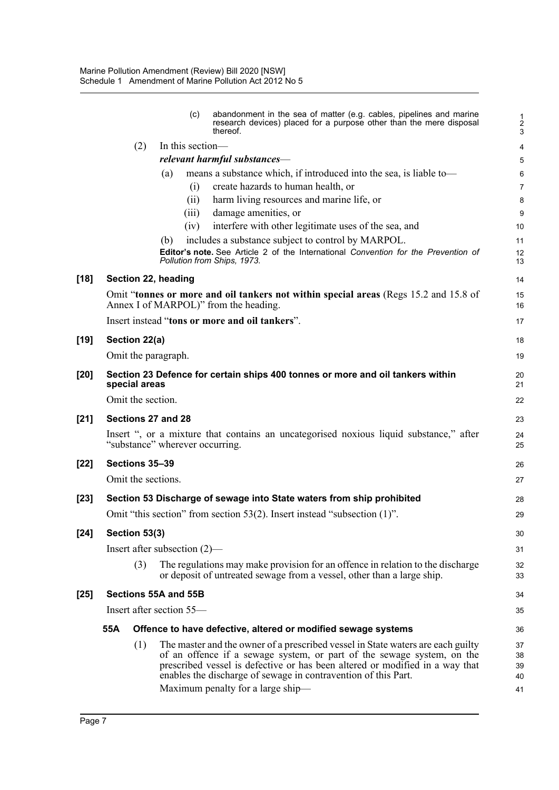|        |     |                    | (c)                             | abandonment in the sea of matter (e.g. cables, pipelines and marine<br>research devices) placed for a purpose other than the mere disposal<br>thereof.                                                                                                                                                                                           | $\frac{1}{3}$              |
|--------|-----|--------------------|---------------------------------|--------------------------------------------------------------------------------------------------------------------------------------------------------------------------------------------------------------------------------------------------------------------------------------------------------------------------------------------------|----------------------------|
|        |     | (2)                | In this section-                |                                                                                                                                                                                                                                                                                                                                                  | 4                          |
|        |     |                    |                                 | relevant harmful substances-                                                                                                                                                                                                                                                                                                                     | 5                          |
|        |     |                    | (a)                             | means a substance which, if introduced into the sea, is liable to-                                                                                                                                                                                                                                                                               | 6                          |
|        |     |                    | (i)                             | create hazards to human health, or                                                                                                                                                                                                                                                                                                               | 7                          |
|        |     |                    | (i)                             | harm living resources and marine life, or                                                                                                                                                                                                                                                                                                        | 8                          |
|        |     |                    | (iii)                           | damage amenities, or                                                                                                                                                                                                                                                                                                                             | 9                          |
|        |     |                    | (iv)                            | interfere with other legitimate uses of the sea, and                                                                                                                                                                                                                                                                                             | 10                         |
|        |     |                    | (b)                             | includes a substance subject to control by MARPOL.                                                                                                                                                                                                                                                                                               | 11                         |
|        |     |                    |                                 | Editor's note. See Article 2 of the International Convention for the Prevention of<br>Pollution from Ships, 1973.                                                                                                                                                                                                                                | 12<br>13                   |
| [18]   |     |                    | Section 22, heading             |                                                                                                                                                                                                                                                                                                                                                  | 14                         |
|        |     |                    |                                 | Omit "tonnes or more and oil tankers not within special areas (Regs 15.2 and 15.8 of<br>Annex I of MARPOL)" from the heading.                                                                                                                                                                                                                    | 15<br>16                   |
|        |     |                    |                                 | Insert instead "tons or more and oil tankers".                                                                                                                                                                                                                                                                                                   | 17                         |
| [19]   |     | Section 22(a)      |                                 |                                                                                                                                                                                                                                                                                                                                                  | 18                         |
|        |     |                    | Omit the paragraph.             |                                                                                                                                                                                                                                                                                                                                                  | 19                         |
| [20]   |     | special areas      |                                 | Section 23 Defence for certain ships 400 tonnes or more and oil tankers within                                                                                                                                                                                                                                                                   | 20<br>21                   |
|        |     | Omit the section.  |                                 |                                                                                                                                                                                                                                                                                                                                                  | 22                         |
| [21]   |     |                    | Sections 27 and 28              |                                                                                                                                                                                                                                                                                                                                                  | 23                         |
|        |     |                    | "substance" wherever occurring. | Insert ", or a mixture that contains an uncategorised noxious liquid substance," after                                                                                                                                                                                                                                                           | 24<br>25                   |
| [22]   |     | Sections 35-39     |                                 |                                                                                                                                                                                                                                                                                                                                                  | 26                         |
|        |     | Omit the sections. |                                 |                                                                                                                                                                                                                                                                                                                                                  | 27                         |
| $[23]$ |     |                    |                                 | Section 53 Discharge of sewage into State waters from ship prohibited                                                                                                                                                                                                                                                                            | 28                         |
|        |     |                    |                                 | Omit "this section" from section 53(2). Insert instead "subsection (1)".                                                                                                                                                                                                                                                                         | 29                         |
| $[24]$ |     | Section 53(3)      |                                 |                                                                                                                                                                                                                                                                                                                                                  | 30                         |
|        |     |                    | Insert after subsection $(2)$ — |                                                                                                                                                                                                                                                                                                                                                  | 31                         |
|        |     | (3)                |                                 | The regulations may make provision for an offence in relation to the discharge<br>or deposit of untreated sewage from a vessel, other than a large ship.                                                                                                                                                                                         | 32<br>33                   |
| [25]   |     |                    | Sections 55A and 55B            |                                                                                                                                                                                                                                                                                                                                                  | 34                         |
|        |     |                    | Insert after section 55—        |                                                                                                                                                                                                                                                                                                                                                  | 35                         |
|        | 55A |                    |                                 | Offence to have defective, altered or modified sewage systems                                                                                                                                                                                                                                                                                    | 36                         |
|        |     | (1)                |                                 | The master and the owner of a prescribed vessel in State waters are each guilty<br>of an offence if a sewage system, or part of the sewage system, on the<br>prescribed vessel is defective or has been altered or modified in a way that<br>enables the discharge of sewage in contravention of this Part.<br>Maximum penalty for a large ship— | 37<br>38<br>39<br>40<br>41 |
|        |     |                    |                                 |                                                                                                                                                                                                                                                                                                                                                  |                            |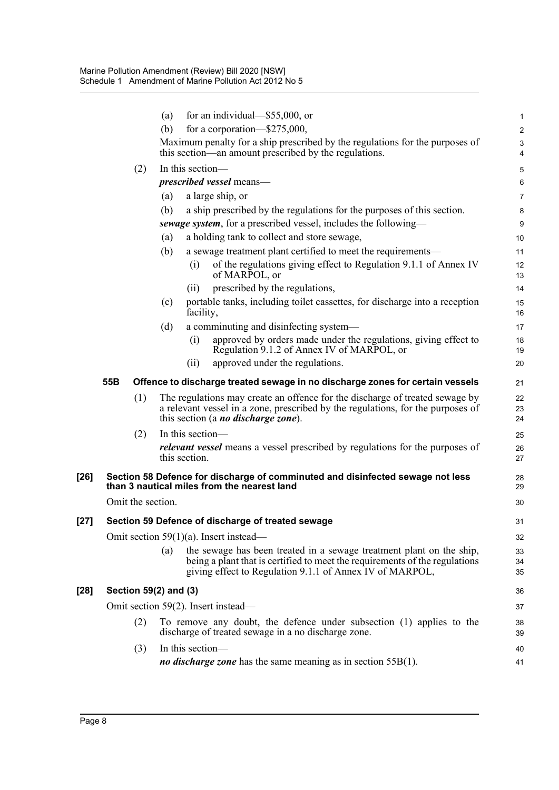|        |     |                       | (a) |                  | for an individual— $$55,000$ , or                                                                                                                                                                               | 1              |
|--------|-----|-----------------------|-----|------------------|-----------------------------------------------------------------------------------------------------------------------------------------------------------------------------------------------------------------|----------------|
|        |     |                       | (b) |                  | for a corporation— $$275,000$ ,                                                                                                                                                                                 | $\overline{c}$ |
|        |     |                       |     |                  | Maximum penalty for a ship prescribed by the regulations for the purposes of<br>this section—an amount prescribed by the regulations.                                                                           | 3<br>4         |
|        |     | (2)                   |     | In this section- |                                                                                                                                                                                                                 | 5              |
|        |     |                       |     |                  | <i>prescribed vessel</i> means—                                                                                                                                                                                 | 6              |
|        |     |                       | (a) |                  | a large ship, or                                                                                                                                                                                                | $\overline{7}$ |
|        |     |                       | (b) |                  | a ship prescribed by the regulations for the purposes of this section.                                                                                                                                          | 8              |
|        |     |                       |     |                  | sewage system, for a prescribed vessel, includes the following—                                                                                                                                                 | 9              |
|        |     |                       | (a) |                  | a holding tank to collect and store sewage,                                                                                                                                                                     | 10             |
|        |     |                       | (b) | (i)              | a sewage treatment plant certified to meet the requirements—<br>of the regulations giving effect to Regulation 9.1.1 of Annex IV<br>of MARPOL, or                                                               | 11<br>12<br>13 |
|        |     |                       |     | (i)              | prescribed by the regulations,                                                                                                                                                                                  | 14             |
|        |     |                       | (c) | facility,        | portable tanks, including toilet cassettes, for discharge into a reception                                                                                                                                      | 15<br>16       |
|        |     |                       | (d) |                  | a comminuting and disinfecting system-                                                                                                                                                                          | 17             |
|        |     |                       |     | (i)              | approved by orders made under the regulations, giving effect to<br>Regulation 9.1.2 of Annex IV of MARPOL, or                                                                                                   | 18<br>19       |
|        |     |                       |     | (ii)             | approved under the regulations.                                                                                                                                                                                 | 20             |
|        | 55B |                       |     |                  | Offence to discharge treated sewage in no discharge zones for certain vessels                                                                                                                                   | 21             |
|        |     | (1)                   |     |                  | The regulations may create an offence for the discharge of treated sewage by<br>a relevant vessel in a zone, prescribed by the regulations, for the purposes of<br>this section (a <i>no discharge zone</i> ).  | 22<br>23<br>24 |
|        |     | (2)                   |     | In this section- |                                                                                                                                                                                                                 | 25             |
|        |     |                       |     | this section.    | <i>relevant vessel</i> means a vessel prescribed by regulations for the purposes of                                                                                                                             | 26<br>27       |
| $[26]$ |     |                       |     |                  | Section 58 Defence for discharge of comminuted and disinfected sewage not less<br>than 3 nautical miles from the nearest land                                                                                   | 28<br>29       |
|        |     | Omit the section.     |     |                  |                                                                                                                                                                                                                 | 30             |
| $[27]$ |     |                       |     |                  | Section 59 Defence of discharge of treated sewage                                                                                                                                                               | 31             |
|        |     |                       |     |                  | Omit section $59(1)(a)$ . Insert instead—                                                                                                                                                                       | 32             |
|        |     |                       | (a) |                  | the sewage has been treated in a sewage treatment plant on the ship,<br>being a plant that is certified to meet the requirements of the regulations<br>giving effect to Regulation 9.1.1 of Annex IV of MARPOL, | 33<br>34<br>35 |
| $[28]$ |     | Section 59(2) and (3) |     |                  |                                                                                                                                                                                                                 | 36             |
|        |     |                       |     |                  | Omit section 59(2). Insert instead—                                                                                                                                                                             | 37             |
|        |     | (2)                   |     |                  | To remove any doubt, the defence under subsection (1) applies to the<br>discharge of treated sewage in a no discharge zone.                                                                                     | 38<br>39       |
|        |     | (3)                   |     | In this section- |                                                                                                                                                                                                                 | 40             |
|        |     |                       |     |                  | <i>no discharge zone</i> has the same meaning as in section $55B(1)$ .                                                                                                                                          | 41             |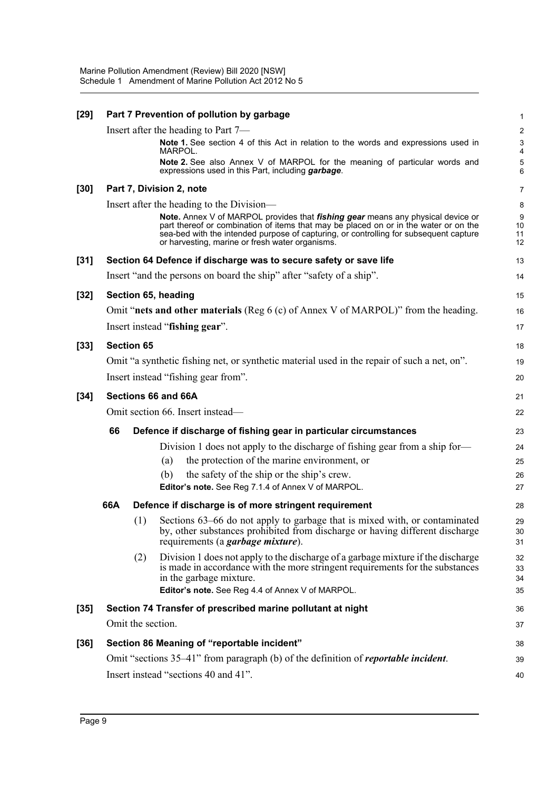| $[29]$ |     |                     | Part 7 Prevention of pollution by garbage                                                                                                                                                                                                                                                                                  | $\mathbf 1$                   |
|--------|-----|---------------------|----------------------------------------------------------------------------------------------------------------------------------------------------------------------------------------------------------------------------------------------------------------------------------------------------------------------------|-------------------------------|
|        |     |                     | Insert after the heading to Part 7—                                                                                                                                                                                                                                                                                        | $\boldsymbol{2}$              |
|        |     |                     | <b>Note 1.</b> See section 4 of this Act in relation to the words and expressions used in<br>MARPOL.                                                                                                                                                                                                                       | $\mathsf 3$<br>$\overline{4}$ |
|        |     |                     | Note 2. See also Annex V of MARPOL for the meaning of particular words and<br>expressions used in this Part, including garbage.                                                                                                                                                                                            | 5<br>6                        |
| $[30]$ |     |                     | Part 7, Division 2, note                                                                                                                                                                                                                                                                                                   | $\overline{7}$                |
|        |     |                     | Insert after the heading to the Division-                                                                                                                                                                                                                                                                                  | 8                             |
|        |     |                     | Note. Annex V of MARPOL provides that <i>fishing gear</i> means any physical device or<br>part thereof or combination of items that may be placed on or in the water or on the<br>sea-bed with the intended purpose of capturing, or controlling for subsequent capture<br>or harvesting, marine or fresh water organisms. | 9<br>10<br>11<br>12           |
| $[31]$ |     |                     | Section 64 Defence if discharge was to secure safety or save life                                                                                                                                                                                                                                                          | 13                            |
|        |     |                     | Insert "and the persons on board the ship" after "safety of a ship".                                                                                                                                                                                                                                                       | 14                            |
| $[32]$ |     |                     | Section 65, heading                                                                                                                                                                                                                                                                                                        | 15                            |
|        |     |                     | Omit "nets and other materials (Reg $6$ (c) of Annex V of MARPOL)" from the heading.                                                                                                                                                                                                                                       | 16                            |
|        |     |                     | Insert instead "fishing gear".                                                                                                                                                                                                                                                                                             | 17                            |
| $[33]$ |     | <b>Section 65</b>   |                                                                                                                                                                                                                                                                                                                            | 18                            |
|        |     |                     | Omit "a synthetic fishing net, or synthetic material used in the repair of such a net, on".                                                                                                                                                                                                                                | 19                            |
|        |     |                     | Insert instead "fishing gear from".                                                                                                                                                                                                                                                                                        | 20                            |
| $[34]$ |     | Sections 66 and 66A | 21                                                                                                                                                                                                                                                                                                                         |                               |
|        |     |                     | Omit section 66. Insert instead-                                                                                                                                                                                                                                                                                           | 22                            |
|        | 66  |                     | Defence if discharge of fishing gear in particular circumstances                                                                                                                                                                                                                                                           | 23                            |
|        |     |                     | Division 1 does not apply to the discharge of fishing gear from a ship for-                                                                                                                                                                                                                                                | 24                            |
|        |     |                     | the protection of the marine environment, or<br>(a)                                                                                                                                                                                                                                                                        | 25                            |
|        |     |                     | the safety of the ship or the ship's crew.<br>(b)                                                                                                                                                                                                                                                                          | 26                            |
|        |     |                     | Editor's note. See Reg 7.1.4 of Annex V of MARPOL.                                                                                                                                                                                                                                                                         | 27                            |
|        | 66A |                     | Defence if discharge is of more stringent requirement                                                                                                                                                                                                                                                                      | 28                            |
|        |     | (1)                 | Sections 63–66 do not apply to garbage that is mixed with, or contaminated<br>by, other substances prohibited from discharge or having different discharge<br>requirements (a <i>garbage mixture</i> ).                                                                                                                    | 29<br>30<br>31                |
|        |     | (2)                 | Division 1 does not apply to the discharge of a garbage mixture if the discharge<br>is made in accordance with the more stringent requirements for the substances<br>in the garbage mixture.                                                                                                                               | 32<br>33<br>34                |
|        |     |                     | Editor's note. See Reg 4.4 of Annex V of MARPOL.                                                                                                                                                                                                                                                                           | 35                            |
| $[35]$ |     |                     | Section 74 Transfer of prescribed marine pollutant at night                                                                                                                                                                                                                                                                | 36                            |
|        |     | Omit the section.   |                                                                                                                                                                                                                                                                                                                            | 37                            |
| $[36]$ |     |                     | Section 86 Meaning of "reportable incident"                                                                                                                                                                                                                                                                                | 38                            |
|        |     |                     | Omit "sections 35–41" from paragraph (b) of the definition of <i>reportable incident</i> .                                                                                                                                                                                                                                 | 39                            |
|        |     |                     | Insert instead "sections 40 and 41".                                                                                                                                                                                                                                                                                       | 40                            |
|        |     |                     |                                                                                                                                                                                                                                                                                                                            |                               |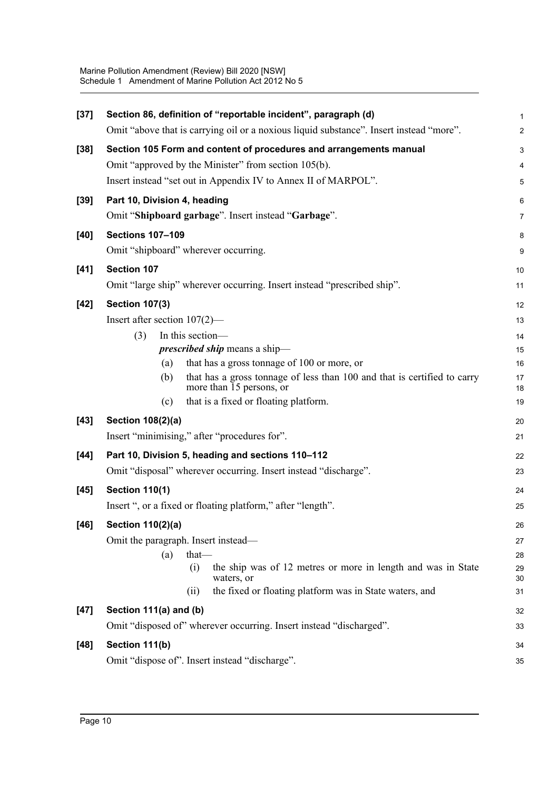| $[37]$ | Section 86, definition of "reportable incident", paragraph (d)                                              | 1              |
|--------|-------------------------------------------------------------------------------------------------------------|----------------|
|        | Omit "above that is carrying oil or a noxious liquid substance". Insert instead "more".                     | $\overline{a}$ |
| $[38]$ | Section 105 Form and content of procedures and arrangements manual                                          | 3              |
|        | Omit "approved by the Minister" from section 105(b).                                                        | 4              |
|        | Insert instead "set out in Appendix IV to Annex II of MARPOL".                                              | 5              |
| $[39]$ | Part 10, Division 4, heading                                                                                | 6              |
|        | Omit "Shipboard garbage". Insert instead "Garbage".                                                         | 7              |
| [40]   | <b>Sections 107-109</b>                                                                                     | 8              |
|        | Omit "shipboard" wherever occurring.                                                                        | 9              |
| $[41]$ | Section 107                                                                                                 | 10             |
|        | Omit "large ship" wherever occurring. Insert instead "prescribed ship".                                     | 11             |
| $[42]$ | <b>Section 107(3)</b>                                                                                       | 12             |
|        | Insert after section $107(2)$ —                                                                             | 13             |
|        | In this section-<br>(3)                                                                                     | 14             |
|        | <i>prescribed ship</i> means a ship-                                                                        | 15             |
|        | that has a gross tonnage of 100 or more, or<br>(a)                                                          | 16             |
|        | that has a gross tonnage of less than 100 and that is certified to carry<br>(b)<br>more than 15 persons, or | 17<br>18       |
|        | that is a fixed or floating platform.<br>(c)                                                                | 19             |
| $[43]$ | Section 108(2)(a)                                                                                           | 20             |
|        | Insert "minimising," after "procedures for".                                                                | 21             |
| $[44]$ | Part 10, Division 5, heading and sections 110-112                                                           | 22             |
|        | Omit "disposal" wherever occurring. Insert instead "discharge".                                             | 23             |
| $[45]$ | <b>Section 110(1)</b>                                                                                       | 24             |
|        | Insert ", or a fixed or floating platform," after "length".                                                 | 25             |
| $[46]$ | <b>Section 110(2)(a)</b>                                                                                    | 26             |
|        | Omit the paragraph. Insert instead—                                                                         | 27             |
|        | (a)<br>that-                                                                                                | 28             |
|        | the ship was of 12 metres or more in length and was in State<br>(i)                                         | 29             |
|        | waters, or<br>the fixed or floating platform was in State waters, and<br>(i)                                | 30<br>31       |
| $[47]$ | Section 111(a) and (b)                                                                                      | 32             |
|        |                                                                                                             |                |
|        | Omit "disposed of" wherever occurring. Insert instead "discharged".                                         | 33             |
| $[48]$ | Section 111(b)                                                                                              | 34             |
|        | Omit "dispose of". Insert instead "discharge".                                                              | 35             |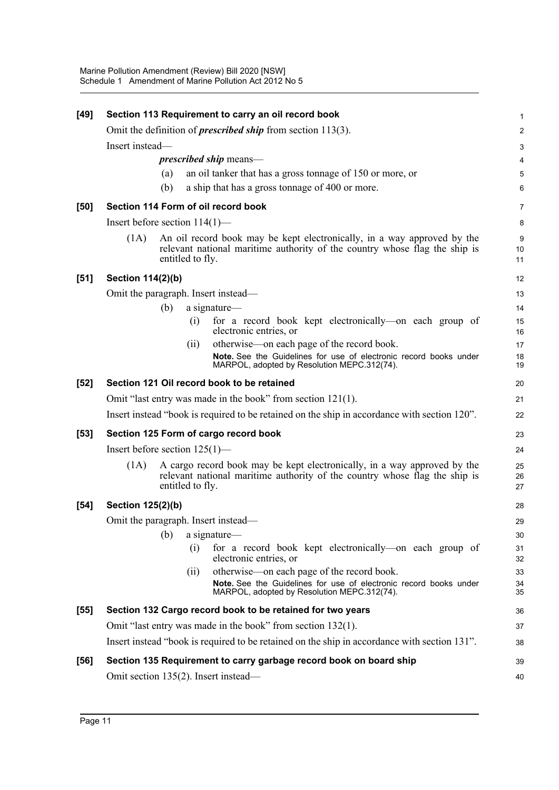| $[49]$ |                                                                                              |     |                  | Section 113 Requirement to carry an oil record book                                                                                                    | 1              |  |  |  |
|--------|----------------------------------------------------------------------------------------------|-----|------------------|--------------------------------------------------------------------------------------------------------------------------------------------------------|----------------|--|--|--|
|        |                                                                                              |     |                  | Omit the definition of <i>prescribed ship</i> from section $113(3)$ .                                                                                  | $\overline{c}$ |  |  |  |
|        | Insert instead-                                                                              |     |                  |                                                                                                                                                        |                |  |  |  |
|        |                                                                                              |     |                  | <i>prescribed ship</i> means—                                                                                                                          | 4              |  |  |  |
|        |                                                                                              | (a) |                  | an oil tanker that has a gross tonnage of 150 or more, or                                                                                              | 5              |  |  |  |
|        |                                                                                              | (b) |                  | a ship that has a gross tonnage of 400 or more.                                                                                                        | 6              |  |  |  |
| [50]   |                                                                                              |     |                  | Section 114 Form of oil record book                                                                                                                    | 7              |  |  |  |
|        | Insert before section $114(1)$ —                                                             |     |                  |                                                                                                                                                        | 8              |  |  |  |
|        | (1A)                                                                                         |     | entitled to fly. | An oil record book may be kept electronically, in a way approved by the<br>relevant national maritime authority of the country whose flag the ship is  | 9<br>10<br>11  |  |  |  |
| $[51]$ | <b>Section 114(2)(b)</b>                                                                     |     |                  |                                                                                                                                                        | 12             |  |  |  |
|        |                                                                                              |     |                  | Omit the paragraph. Insert instead—                                                                                                                    | 13             |  |  |  |
|        |                                                                                              | (b) |                  | a signature-                                                                                                                                           | 14             |  |  |  |
|        |                                                                                              |     | (i)              | for a record book kept electronically—on each group of<br>electronic entries, or                                                                       | 15<br>16       |  |  |  |
|        |                                                                                              |     | (ii)             | otherwise—on each page of the record book.                                                                                                             | 17             |  |  |  |
|        |                                                                                              |     |                  | Note. See the Guidelines for use of electronic record books under<br>MARPOL, adopted by Resolution MEPC.312(74).                                       | 18<br>19       |  |  |  |
| $[52]$ |                                                                                              |     |                  | Section 121 Oil record book to be retained                                                                                                             | 20             |  |  |  |
|        | Omit "last entry was made in the book" from section $121(1)$ .                               |     |                  |                                                                                                                                                        |                |  |  |  |
|        | Insert instead "book is required to be retained on the ship in accordance with section 120". |     |                  |                                                                                                                                                        |                |  |  |  |
| $[53]$ | Section 125 Form of cargo record book                                                        |     |                  |                                                                                                                                                        |                |  |  |  |
|        | Insert before section $125(1)$ —                                                             |     |                  |                                                                                                                                                        |                |  |  |  |
|        | (1A)                                                                                         |     | entitled to fly. | A cargo record book may be kept electronically, in a way approved by the<br>relevant national maritime authority of the country whose flag the ship is | 25<br>26<br>27 |  |  |  |
| $[54]$ | Section 125(2)(b)                                                                            |     |                  |                                                                                                                                                        | 28             |  |  |  |
|        |                                                                                              |     |                  | Omit the paragraph. Insert instead—                                                                                                                    | 29             |  |  |  |
|        |                                                                                              | (b) |                  | a signature—                                                                                                                                           | 30             |  |  |  |
|        |                                                                                              |     | (i)              | for a record book kept electronically—on each group of<br>electronic entries, or                                                                       | 31<br>32       |  |  |  |
|        |                                                                                              |     | (ii)             | otherwise—on each page of the record book.                                                                                                             | 33             |  |  |  |
|        |                                                                                              |     |                  | Note. See the Guidelines for use of electronic record books under<br>MARPOL, adopted by Resolution MEPC.312(74).                                       | 34<br>35       |  |  |  |
| $[55]$ |                                                                                              |     |                  | Section 132 Cargo record book to be retained for two years                                                                                             | 36             |  |  |  |
|        |                                                                                              |     |                  | Omit "last entry was made in the book" from section 132(1).                                                                                            | 37             |  |  |  |
|        |                                                                                              |     |                  | Insert instead "book is required to be retained on the ship in accordance with section 131".                                                           | 38             |  |  |  |
| [56]   |                                                                                              |     |                  | Section 135 Requirement to carry garbage record book on board ship                                                                                     | 39             |  |  |  |
|        |                                                                                              |     |                  | Omit section 135(2). Insert instead—                                                                                                                   | 40             |  |  |  |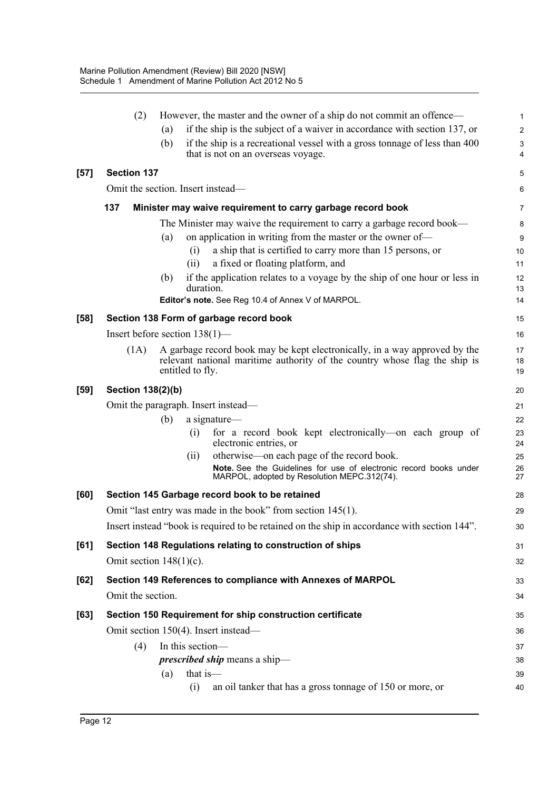|        | (2)                               |     |                  | However, the master and the owner of a ship do not commit an offence—                                                                                          | 1              |
|--------|-----------------------------------|-----|------------------|----------------------------------------------------------------------------------------------------------------------------------------------------------------|----------------|
|        |                                   | (a) |                  | if the ship is the subject of a waiver in accordance with section 137, or                                                                                      | $\overline{2}$ |
|        |                                   | (b) |                  | if the ship is a recreational vessel with a gross tonnage of less than 400<br>that is not on an overseas voyage.                                               | 3<br>4         |
| $[57]$ | <b>Section 137</b>                |     |                  |                                                                                                                                                                | 5              |
|        | Omit the section. Insert instead- |     |                  |                                                                                                                                                                | 6              |
|        | 137                               |     |                  | Minister may waive requirement to carry garbage record book                                                                                                    | $\overline{7}$ |
|        |                                   |     |                  | The Minister may waive the requirement to carry a garbage record book—                                                                                         | 8              |
|        |                                   | (a) |                  | on application in writing from the master or the owner of-                                                                                                     | 9              |
|        |                                   |     | (i)              | a ship that is certified to carry more than 15 persons, or                                                                                                     | 10             |
|        |                                   |     | (ii)             | a fixed or floating platform, and                                                                                                                              | 11             |
|        |                                   | (b) | duration.        | if the application relates to a voyage by the ship of one hour or less in                                                                                      | 12<br>13       |
|        |                                   |     |                  | Editor's note. See Reg 10.4 of Annex V of MARPOL.                                                                                                              | 14             |
| $[58]$ |                                   |     |                  | Section 138 Form of garbage record book                                                                                                                        | 15             |
|        | Insert before section $138(1)$ —  |     |                  |                                                                                                                                                                | 16             |
|        | (1A)                              |     | entitled to fly. | A garbage record book may be kept electronically, in a way approved by the<br>relevant national maritime authority of the country whose flag the ship is       | 17<br>18<br>19 |
| $[59]$ | Section 138(2)(b)                 |     |                  |                                                                                                                                                                | 20             |
|        |                                   |     |                  | Omit the paragraph. Insert instead—                                                                                                                            | 21             |
|        |                                   | (b) |                  | a signature-                                                                                                                                                   | 22             |
|        |                                   |     | (i)              | for a record book kept electronically—on each group of<br>electronic entries, or                                                                               | 23<br>24       |
|        |                                   |     | (ii)             | otherwise—on each page of the record book.<br>Note. See the Guidelines for use of electronic record books under<br>MARPOL, adopted by Resolution MEPC.312(74). | 25<br>26<br>27 |
| [60]   |                                   |     |                  | Section 145 Garbage record book to be retained                                                                                                                 | 28             |
|        |                                   |     |                  | Omit "last entry was made in the book" from section 145(1).                                                                                                    | 29             |
|        |                                   |     |                  | Insert instead "book is required to be retained on the ship in accordance with section 144".                                                                   |                |
|        |                                   |     |                  |                                                                                                                                                                | 30             |
| $[61]$ |                                   |     |                  | Section 148 Regulations relating to construction of ships                                                                                                      | 31             |
|        | Omit section $148(1)(c)$ .        |     |                  |                                                                                                                                                                | 32             |
| [62]   |                                   |     |                  | Section 149 References to compliance with Annexes of MARPOL                                                                                                    | 33             |
|        | Omit the section.                 |     |                  |                                                                                                                                                                | 34             |
| [63]   |                                   |     |                  | Section 150 Requirement for ship construction certificate                                                                                                      | 35             |
|        |                                   |     |                  | Omit section 150(4). Insert instead-                                                                                                                           | 36             |
|        | (4)                               |     | In this section- |                                                                                                                                                                | 37             |
|        |                                   |     |                  | <i>prescribed ship</i> means a ship-                                                                                                                           | 38             |
|        |                                   | (a) | that is-         |                                                                                                                                                                | 39             |
|        |                                   |     | (i)              | an oil tanker that has a gross tonnage of 150 or more, or                                                                                                      | 40             |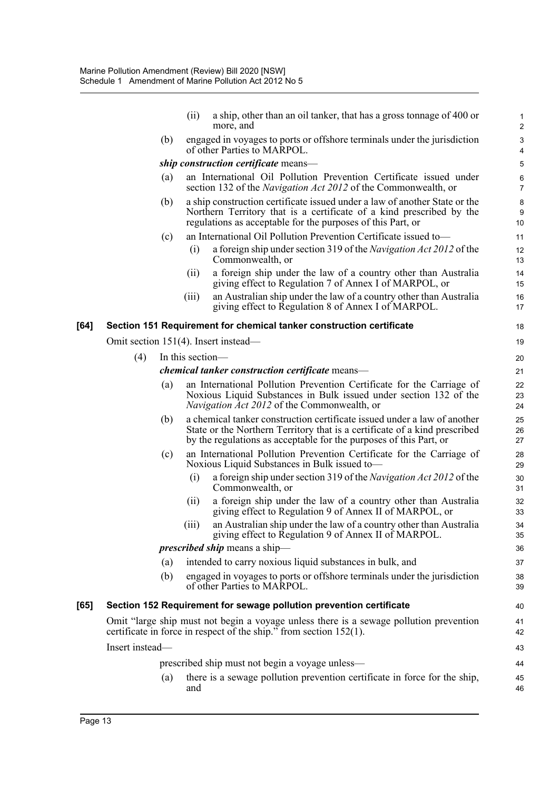|      |                 |     | (i)              | a ship, other than an oil tanker, that has a gross tonnage of 400 or<br>more, and                                                                                                                                            | 1<br>$\overline{2}$               |
|------|-----------------|-----|------------------|------------------------------------------------------------------------------------------------------------------------------------------------------------------------------------------------------------------------------|-----------------------------------|
|      |                 | (b) |                  | engaged in voyages to ports or offshore terminals under the jurisdiction<br>of other Parties to MARPOL.                                                                                                                      | 3<br>$\overline{\mathbf{4}}$      |
|      |                 |     |                  | ship construction certificate means-                                                                                                                                                                                         | 5                                 |
|      |                 | (a) |                  | an International Oil Pollution Prevention Certificate issued under<br>section 132 of the <i>Navigation Act 2012</i> of the Commonwealth, or                                                                                  | 6<br>$\overline{7}$               |
|      |                 | (b) |                  | a ship construction certificate issued under a law of another State or the<br>Northern Territory that is a certificate of a kind prescribed by the<br>regulations as acceptable for the purposes of this Part, or            | $\bf 8$<br>$\boldsymbol{9}$<br>10 |
|      |                 | (c) |                  | an International Oil Pollution Prevention Certificate issued to-                                                                                                                                                             | 11                                |
|      |                 |     | (i)              | a foreign ship under section 319 of the <i>Navigation Act 2012</i> of the<br>Commonwealth, or                                                                                                                                | 12<br>13                          |
|      |                 |     | (i)              | a foreign ship under the law of a country other than Australia<br>giving effect to Regulation 7 of Annex I of MARPOL, or                                                                                                     | 14<br>15                          |
|      |                 |     | (iii)            | an Australian ship under the law of a country other than Australia<br>giving effect to Regulation 8 of Annex I of MARPOL.                                                                                                    | 16<br>17                          |
| [64] |                 |     |                  | Section 151 Requirement for chemical tanker construction certificate                                                                                                                                                         | 18                                |
|      |                 |     |                  | Omit section 151(4). Insert instead—                                                                                                                                                                                         | 19                                |
|      | (4)             |     | In this section— |                                                                                                                                                                                                                              | 20                                |
|      |                 |     |                  | <i>chemical tanker construction certificate</i> means-                                                                                                                                                                       | 21                                |
|      |                 | (a) |                  | an International Pollution Prevention Certificate for the Carriage of<br>Noxious Liquid Substances in Bulk issued under section 132 of the<br><i>Navigation Act 2012</i> of the Commonwealth, or                             | 22<br>23<br>24                    |
|      |                 | (b) |                  | a chemical tanker construction certificate issued under a law of another<br>State or the Northern Territory that is a certificate of a kind prescribed<br>by the regulations as acceptable for the purposes of this Part, or | 25<br>26<br>27                    |
|      |                 | (c) |                  | an International Pollution Prevention Certificate for the Carriage of<br>Noxious Liquid Substances in Bulk issued to-                                                                                                        | 28<br>29                          |
|      |                 |     | (i)              | a foreign ship under section 319 of the Navigation Act 2012 of the<br>Commonwealth, or                                                                                                                                       | 30<br>31                          |
|      |                 |     | (ii)             | a foreign ship under the law of a country other than Australia<br>giving effect to Regulation 9 of Annex II of MARPOL, or                                                                                                    | 32<br>33                          |
|      |                 |     | (iii)            | an Australian ship under the law of a country other than Australia<br>giving effect to Regulation 9 of Annex II of MARPOL.                                                                                                   | 34<br>35                          |
|      |                 |     |                  | <i>prescribed ship</i> means a ship-                                                                                                                                                                                         | 36                                |
|      |                 | (a) |                  | intended to carry noxious liquid substances in bulk, and                                                                                                                                                                     | 37                                |
|      |                 | (b) |                  | engaged in voyages to ports or offshore terminals under the jurisdiction<br>of other Parties to MARPOL.                                                                                                                      | 38<br>39                          |
| [65] |                 |     |                  | Section 152 Requirement for sewage pollution prevention certificate                                                                                                                                                          | 40                                |
|      |                 |     |                  | Omit "large ship must not begin a voyage unless there is a sewage pollution prevention<br>certificate in force in respect of the ship." from section $152(1)$ .                                                              | 41<br>42                          |
|      | Insert instead- |     |                  |                                                                                                                                                                                                                              | 43                                |
|      |                 |     |                  | prescribed ship must not begin a voyage unless—                                                                                                                                                                              | 44                                |
|      |                 | (a) | and              | there is a sewage pollution prevention certificate in force for the ship,                                                                                                                                                    | 45<br>46                          |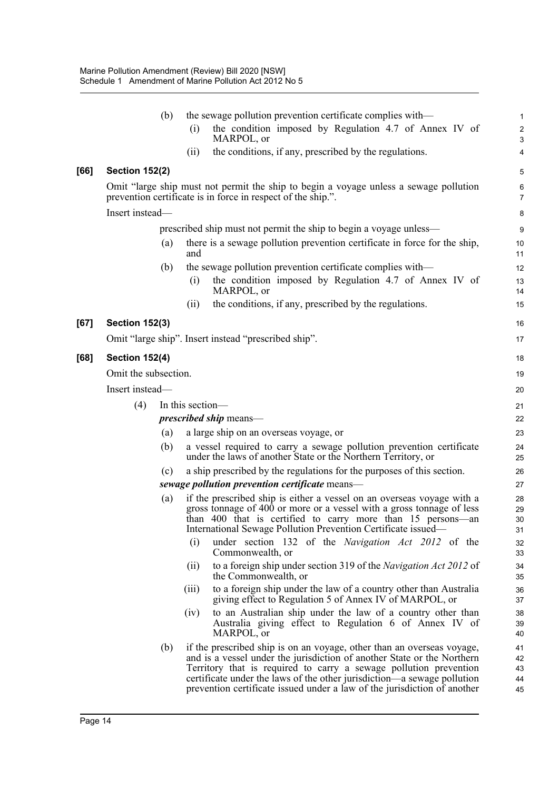|      | (b)                   |                  | the sewage pollution prevention certificate complies with—                                                                                                                                                                                                                                                                                                                    | $\mathbf{1}$               |
|------|-----------------------|------------------|-------------------------------------------------------------------------------------------------------------------------------------------------------------------------------------------------------------------------------------------------------------------------------------------------------------------------------------------------------------------------------|----------------------------|
|      |                       | (i)              | the condition imposed by Regulation 4.7 of Annex IV of<br>MARPOL, or                                                                                                                                                                                                                                                                                                          | $\boldsymbol{2}$<br>3      |
|      |                       | (ii)             | the conditions, if any, prescribed by the regulations.                                                                                                                                                                                                                                                                                                                        | 4                          |
| [66] | <b>Section 152(2)</b> |                  |                                                                                                                                                                                                                                                                                                                                                                               | 5                          |
|      |                       |                  | Omit "large ship must not permit the ship to begin a voyage unless a sewage pollution<br>prevention certificate is in force in respect of the ship.".                                                                                                                                                                                                                         | $\,6\,$<br>$\overline{7}$  |
|      | Insert instead-       |                  |                                                                                                                                                                                                                                                                                                                                                                               | 8                          |
|      |                       |                  | prescribed ship must not permit the ship to begin a voyage unless—                                                                                                                                                                                                                                                                                                            | 9                          |
|      | (a)                   | and              | there is a sewage pollution prevention certificate in force for the ship,                                                                                                                                                                                                                                                                                                     | 10<br>11                   |
|      | (b)                   |                  | the sewage pollution prevention certificate complies with—                                                                                                                                                                                                                                                                                                                    | 12                         |
|      |                       | (i)              | the condition imposed by Regulation 4.7 of Annex IV of<br>MARPOL, or                                                                                                                                                                                                                                                                                                          | 13<br>14                   |
|      |                       | (ii)             | the conditions, if any, prescribed by the regulations.                                                                                                                                                                                                                                                                                                                        | 15                         |
| [67] | <b>Section 152(3)</b> |                  |                                                                                                                                                                                                                                                                                                                                                                               | 16                         |
|      |                       |                  | Omit "large ship". Insert instead "prescribed ship".                                                                                                                                                                                                                                                                                                                          | 17                         |
| [68] | <b>Section 152(4)</b> |                  |                                                                                                                                                                                                                                                                                                                                                                               | 18                         |
|      | Omit the subsection.  |                  |                                                                                                                                                                                                                                                                                                                                                                               | 19                         |
|      | Insert instead-       |                  |                                                                                                                                                                                                                                                                                                                                                                               | 20                         |
|      | (4)                   | In this section- |                                                                                                                                                                                                                                                                                                                                                                               | 21                         |
|      |                       |                  | <i>prescribed ship</i> means—                                                                                                                                                                                                                                                                                                                                                 | 22                         |
|      | (a)                   |                  | a large ship on an overseas voyage, or                                                                                                                                                                                                                                                                                                                                        | 23                         |
|      | (b)                   |                  | a vessel required to carry a sewage pollution prevention certificate<br>under the laws of another State or the Northern Territory, or                                                                                                                                                                                                                                         | 24<br>25                   |
|      | (c)                   |                  | a ship prescribed by the regulations for the purposes of this section.                                                                                                                                                                                                                                                                                                        | 26                         |
|      |                       |                  | sewage pollution prevention certificate means-                                                                                                                                                                                                                                                                                                                                | 27                         |
|      | (a)                   |                  | if the prescribed ship is either a vessel on an overseas voyage with a<br>gross tonnage of 400 or more or a vessel with a gross tonnage of less<br>than 400 that is certified to carry more than 15 persons—an<br>International Sewage Pollution Prevention Certificate issued-                                                                                               | 28<br>29<br>30<br>31       |
|      |                       | (i)              | under section 132 of the Navigation Act 2012 of the<br>Commonwealth, or                                                                                                                                                                                                                                                                                                       | 32<br>33                   |
|      |                       | (ii)             | to a foreign ship under section 319 of the <i>Navigation Act 2012</i> of<br>the Commonwealth, or                                                                                                                                                                                                                                                                              | 34<br>35                   |
|      |                       | (iii)            | to a foreign ship under the law of a country other than Australia<br>giving effect to Regulation 5 of Annex IV of MARPOL, or                                                                                                                                                                                                                                                  | 36<br>37                   |
|      |                       | (iv)             | to an Australian ship under the law of a country other than<br>Australia giving effect to Regulation 6 of Annex IV of<br>MARPOL, or                                                                                                                                                                                                                                           | 38<br>39<br>40             |
|      | (b)                   |                  | if the prescribed ship is on an voyage, other than an overseas voyage,<br>and is a vessel under the jurisdiction of another State or the Northern<br>Territory that is required to carry a sewage pollution prevention<br>certificate under the laws of the other jurisdiction—a sewage pollution<br>prevention certificate issued under a law of the jurisdiction of another | 41<br>42<br>43<br>44<br>45 |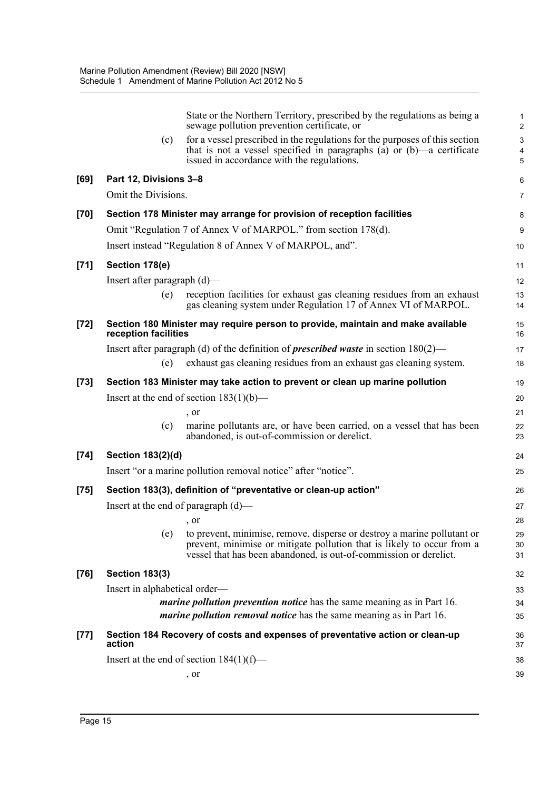|        |                                | State or the Northern Territory, prescribed by the regulations as being a<br>sewage pollution prevention certificate, or                                                                              | 1<br>$\overline{2}$ |
|--------|--------------------------------|-------------------------------------------------------------------------------------------------------------------------------------------------------------------------------------------------------|---------------------|
|        | (c)                            | for a vessel prescribed in the regulations for the purposes of this section<br>that is not a vessel specified in paragraphs (a) or $(b)$ —a certificate<br>issued in accordance with the regulations. | 3<br>4<br>5         |
| [69]   | Part 12, Divisions 3-8         |                                                                                                                                                                                                       | 6                   |
|        | Omit the Divisions.            |                                                                                                                                                                                                       | $\overline{7}$      |
| $[70]$ |                                | Section 178 Minister may arrange for provision of reception facilities                                                                                                                                | 8                   |
|        |                                | Omit "Regulation 7 of Annex V of MARPOL." from section 178(d).                                                                                                                                        | 9                   |
|        |                                | Insert instead "Regulation 8 of Annex V of MARPOL, and".                                                                                                                                              | 10                  |
| $[71]$ | Section 178(e)                 |                                                                                                                                                                                                       | 11                  |
|        | Insert after paragraph $(d)$ — |                                                                                                                                                                                                       | 12                  |
|        | (e)                            | reception facilities for exhaust gas cleaning residues from an exhaust<br>gas cleaning system under Regulation 17 of Annex VI of MARPOL.                                                              | 13<br>14            |
| $[72]$ | reception facilities           | Section 180 Minister may require person to provide, maintain and make available                                                                                                                       | 15<br>16            |
|        |                                | Insert after paragraph (d) of the definition of <i>prescribed waste</i> in section $180(2)$ —                                                                                                         | 17                  |
|        | (e)                            | exhaust gas cleaning residues from an exhaust gas cleaning system.                                                                                                                                    | 18                  |
| $[73]$ |                                | Section 183 Minister may take action to prevent or clean up marine pollution                                                                                                                          | 19                  |
|        |                                | Insert at the end of section $183(1)(b)$ —                                                                                                                                                            | 20                  |
|        |                                | , or                                                                                                                                                                                                  | 21                  |
|        | (c)                            | marine pollutants are, or have been carried, on a vessel that has been<br>abandoned, is out-of-commission or derelict.                                                                                | 22<br>23            |
| $[74]$ | Section 183(2)(d)              |                                                                                                                                                                                                       | 24                  |
|        |                                | Insert "or a marine pollution removal notice" after "notice".                                                                                                                                         | 25                  |
| $[75]$ |                                | Section 183(3), definition of "preventative or clean-up action"                                                                                                                                       | 26                  |
|        |                                | Insert at the end of paragraph $(d)$ —                                                                                                                                                                | 27                  |
|        |                                | , or                                                                                                                                                                                                  | 28                  |
|        | (e)                            | to prevent, minimise, remove, disperse or destroy a marine pollutant or                                                                                                                               | 29                  |
|        |                                | prevent, minimise or mitigate pollution that is likely to occur from a<br>vessel that has been abandoned, is out-of-commission or derelict.                                                           | 30<br>31            |
| $[76]$ | <b>Section 183(3)</b>          |                                                                                                                                                                                                       | 32                  |
|        | Insert in alphabetical order—  |                                                                                                                                                                                                       | 33                  |
|        |                                | <i>marine pollution prevention notice</i> has the same meaning as in Part 16.                                                                                                                         | 34                  |
|        |                                | <i>marine pollution removal notice</i> has the same meaning as in Part 16.                                                                                                                            | 35                  |
| $[77]$ | action                         | Section 184 Recovery of costs and expenses of preventative action or clean-up                                                                                                                         | 36<br>37            |
|        |                                | Insert at the end of section $184(1)(f)$ —                                                                                                                                                            | 38                  |
|        |                                | , or                                                                                                                                                                                                  | 39                  |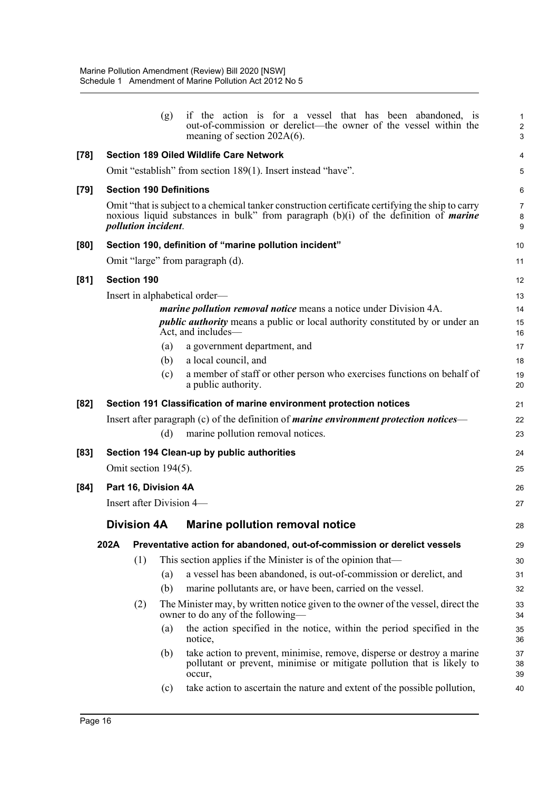|        |      |                            | (g) | if the action is for a vessel that has been abandoned, is<br>out-of-commission or derelict—the owner of the vessel within the<br>meaning of section $202A(6)$ .                                 | $\mathbf{1}$<br>$\sqrt{2}$<br>3 |
|--------|------|----------------------------|-----|-------------------------------------------------------------------------------------------------------------------------------------------------------------------------------------------------|---------------------------------|
| $[78]$ |      |                            |     | <b>Section 189 Oiled Wildlife Care Network</b>                                                                                                                                                  | $\overline{4}$                  |
|        |      |                            |     | Omit "establish" from section 189(1). Insert instead "have".                                                                                                                                    | 5                               |
| [79]   |      |                            |     | <b>Section 190 Definitions</b>                                                                                                                                                                  | 6                               |
|        |      | <i>pollution incident.</i> |     | Omit "that is subject to a chemical tanker construction certificate certifying the ship to carry<br>noxious liquid substances in bulk" from paragraph (b)(i) of the definition of <i>marine</i> | $\overline{7}$<br>8<br>9        |
| [80]   |      |                            |     | Section 190, definition of "marine pollution incident"                                                                                                                                          | 10                              |
|        |      |                            |     | Omit "large" from paragraph (d).                                                                                                                                                                | 11                              |
| [81]   |      | <b>Section 190</b>         |     |                                                                                                                                                                                                 | 12                              |
|        |      |                            |     | Insert in alphabetical order—                                                                                                                                                                   | 13                              |
|        |      |                            |     | <i>marine pollution removal notice</i> means a notice under Division 4A.                                                                                                                        | 14                              |
|        |      |                            |     | <i>public authority</i> means a public or local authority constituted by or under an<br>Act, and includes—                                                                                      | 15<br>16                        |
|        |      |                            | (a) | a government department, and                                                                                                                                                                    | 17                              |
|        |      |                            | (b) | a local council, and                                                                                                                                                                            | 18                              |
|        |      |                            | (c) | a member of staff or other person who exercises functions on behalf of<br>a public authority.                                                                                                   | 19<br>20                        |
| [82]   |      |                            |     | Section 191 Classification of marine environment protection notices                                                                                                                             | 21                              |
|        |      |                            | (d) | Insert after paragraph (c) of the definition of <i>marine environment protection notices</i> —<br>marine pollution removal notices.                                                             | 22<br>23                        |
| [83]   |      |                            |     | Section 194 Clean-up by public authorities                                                                                                                                                      | 24                              |
|        |      | Omit section 194(5).       |     |                                                                                                                                                                                                 | 25                              |
| [84]   |      | Part 16, Division 4A       |     |                                                                                                                                                                                                 | 26                              |
|        |      |                            |     | Insert after Division 4-                                                                                                                                                                        | 27                              |
|        |      | <b>Division 4A</b>         |     | Marine pollution removal notice                                                                                                                                                                 | 28                              |
|        | 202A |                            |     | Preventative action for abandoned, out-of-commission or derelict vessels                                                                                                                        | 29                              |
|        |      | (1)                        |     | This section applies if the Minister is of the opinion that—                                                                                                                                    | 30                              |
|        |      |                            | (a) | a vessel has been abandoned, is out-of-commission or derelict, and                                                                                                                              | 31                              |
|        |      |                            | (b) | marine pollutants are, or have been, carried on the vessel.                                                                                                                                     | 32                              |
|        |      | (2)                        |     | The Minister may, by written notice given to the owner of the vessel, direct the<br>owner to do any of the following—                                                                           | 33<br>34                        |
|        |      |                            | (a) | the action specified in the notice, within the period specified in the<br>notice,                                                                                                               | 35<br>36                        |
|        |      |                            | (b) | take action to prevent, minimise, remove, disperse or destroy a marine<br>pollutant or prevent, minimise or mitigate pollution that is likely to<br>occur,                                      | 37<br>38<br>39                  |
|        |      |                            | (c) | take action to ascertain the nature and extent of the possible pollution,                                                                                                                       | 40                              |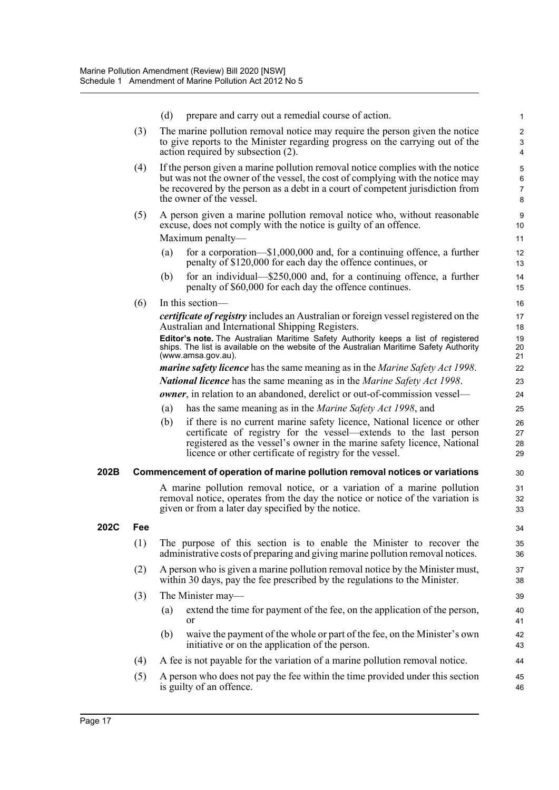|      |     | (d) | prepare and carry out a remedial course of action.                                                                                                                                                                                                                                  | 1                                           |
|------|-----|-----|-------------------------------------------------------------------------------------------------------------------------------------------------------------------------------------------------------------------------------------------------------------------------------------|---------------------------------------------|
|      | (3) |     | The marine pollution removal notice may require the person given the notice<br>to give reports to the Minister regarding progress on the carrying out of the                                                                                                                        | $\overline{c}$<br>$\ensuremath{\mathsf{3}}$ |
|      |     |     | action required by subsection (2).                                                                                                                                                                                                                                                  | $\overline{4}$                              |
|      | (4) |     | If the person given a marine pollution removal notice complies with the notice                                                                                                                                                                                                      | 5                                           |
|      |     |     | but was not the owner of the vessel, the cost of complying with the notice may                                                                                                                                                                                                      | $\,6\,$                                     |
|      |     |     | be recovered by the person as a debt in a court of competent jurisdiction from<br>the owner of the vessel.                                                                                                                                                                          | $\overline{7}$<br>8                         |
|      | (5) |     | A person given a marine pollution removal notice who, without reasonable<br>excuse, does not comply with the notice is guilty of an offence.                                                                                                                                        | 9<br>10                                     |
|      |     |     | Maximum penalty-                                                                                                                                                                                                                                                                    | 11                                          |
|      |     | (a) | for a corporation— $$1,000,000$ and, for a continuing offence, a further<br>penalty of \$120,000 for each day the offence continues, or                                                                                                                                             | 12<br>13                                    |
|      |     | (b) | for an individual— $$250,000$ and, for a continuing offence, a further<br>penalty of \$60,000 for each day the offence continues.                                                                                                                                                   | 14<br>15                                    |
|      | (6) |     | In this section—                                                                                                                                                                                                                                                                    | 16                                          |
|      |     |     | <i>certificate of registry</i> includes an Australian or foreign vessel registered on the<br>Australian and International Shipping Registers.                                                                                                                                       | 17<br>18                                    |
|      |     |     | Editor's note. The Australian Maritime Safety Authority keeps a list of registered<br>ships. The list is available on the website of the Australian Maritime Safety Authority<br>(www.amsa.gov.au).                                                                                 | 19<br>20<br>21                              |
|      |     |     | <i>marine safety licence</i> has the same meaning as in the <i>Marine Safety Act 1998</i> .                                                                                                                                                                                         | 22                                          |
|      |     |     | <b>National licence</b> has the same meaning as in the <i>Marine Safety Act 1998</i> .                                                                                                                                                                                              | 23                                          |
|      |     |     | <b><i>owner</i></b> , in relation to an abandoned, derelict or out-of-commission vessel—                                                                                                                                                                                            | 24                                          |
|      |     | (a) | has the same meaning as in the <i>Marine Safety Act 1998</i> , and                                                                                                                                                                                                                  | 25                                          |
|      |     | (b) | if there is no current marine safety licence, National licence or other<br>certificate of registry for the vessel—extends to the last person<br>registered as the vessel's owner in the marine safety licence, National<br>licence or other certificate of registry for the vessel. | 26<br>27<br>28<br>29                        |
| 202B |     |     | Commencement of operation of marine pollution removal notices or variations                                                                                                                                                                                                         | 30                                          |
|      |     |     | A marine pollution removal notice, or a variation of a marine pollution<br>removal notice, operates from the day the notice or notice of the variation is<br>given or from a later day specified by the notice.                                                                     | 31<br>32<br>33                              |
| 202C | Fee |     |                                                                                                                                                                                                                                                                                     | 34                                          |
|      | (1) |     | The purpose of this section is to enable the Minister to recover the<br>administrative costs of preparing and giving marine pollution removal notices.                                                                                                                              | 35<br>36                                    |
|      | (2) |     | A person who is given a marine pollution removal notice by the Minister must,<br>within 30 days, pay the fee prescribed by the regulations to the Minister.                                                                                                                         | 37<br>38                                    |
|      | (3) |     | The Minister may—                                                                                                                                                                                                                                                                   | 39                                          |
|      |     | (a) | extend the time for payment of the fee, on the application of the person,<br><sub>or</sub>                                                                                                                                                                                          | 40<br>41                                    |
|      |     | (b) | waive the payment of the whole or part of the fee, on the Minister's own<br>initiative or on the application of the person.                                                                                                                                                         | 42<br>43                                    |
|      | (4) |     | A fee is not payable for the variation of a marine pollution removal notice.                                                                                                                                                                                                        | 44                                          |
|      | (5) |     | A person who does not pay the fee within the time provided under this section<br>is guilty of an offence.                                                                                                                                                                           | 45<br>46                                    |
|      |     |     |                                                                                                                                                                                                                                                                                     |                                             |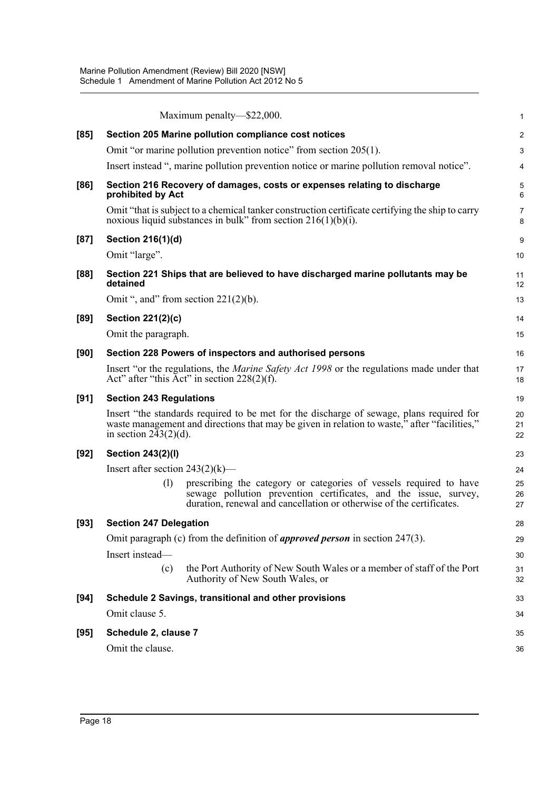|        | Maximum penalty—\$22,000.                                                                                                                                                                                             | $\mathbf 1$             |
|--------|-----------------------------------------------------------------------------------------------------------------------------------------------------------------------------------------------------------------------|-------------------------|
| [85]   | Section 205 Marine pollution compliance cost notices                                                                                                                                                                  | $\overline{2}$          |
|        | Omit "or marine pollution prevention notice" from section 205(1).                                                                                                                                                     | $\mathbf{3}$            |
|        | Insert instead ", marine pollution prevention notice or marine pollution removal notice".                                                                                                                             | $\overline{\mathbf{4}}$ |
| [86]   | Section 216 Recovery of damages, costs or expenses relating to discharge<br>prohibited by Act                                                                                                                         | 5<br>6                  |
|        | Omit "that is subject to a chemical tanker construction certificate certifying the ship to carry<br>noxious liquid substances in bulk" from section $216(1)(b)(i)$ .                                                  | $\overline{7}$<br>8     |
| [87]   | Section 216(1)(d)                                                                                                                                                                                                     | 9                       |
|        | Omit "large".                                                                                                                                                                                                         | 10                      |
| [88]   | Section 221 Ships that are believed to have discharged marine pollutants may be<br>detained                                                                                                                           | 11<br>12                |
|        | Omit ", and" from section $221(2)(b)$ .                                                                                                                                                                               | 13                      |
| $[89]$ | Section 221(2)(c)                                                                                                                                                                                                     | 14                      |
|        | Omit the paragraph.                                                                                                                                                                                                   | 15                      |
| [90]   | Section 228 Powers of inspectors and authorised persons                                                                                                                                                               | 16                      |
|        | Insert "or the regulations, the <i>Marine Safety Act 1998</i> or the regulations made under that<br>Act" after "this Act" in section $228(2)(f)$ .                                                                    | 17<br>18                |
| [91]   | <b>Section 243 Regulations</b>                                                                                                                                                                                        | 19                      |
|        | Insert "the standards required to be met for the discharge of sewage, plans required for<br>waste management and directions that may be given in relation to waste," after "facilities,"<br>in section $243(2)(d)$ .  | 20<br>21<br>22          |
| $[92]$ | <b>Section 243(2)(l)</b>                                                                                                                                                                                              | 23                      |
|        | Insert after section $243(2)(k)$ —                                                                                                                                                                                    | 24                      |
|        | (1)<br>prescribing the category or categories of vessels required to have<br>sewage pollution prevention certificates, and the issue, survey,<br>duration, renewal and cancellation or otherwise of the certificates. | 25<br>26<br>27          |
| $[93]$ | <b>Section 247 Delegation</b>                                                                                                                                                                                         | 28                      |
|        | Omit paragraph (c) from the definition of <i>approved person</i> in section $247(3)$ .                                                                                                                                | 29                      |
|        | Insert instead-                                                                                                                                                                                                       | 30                      |
|        | the Port Authority of New South Wales or a member of staff of the Port<br>(c)<br>Authority of New South Wales, or                                                                                                     | 31<br>32                |
| [94]   | Schedule 2 Savings, transitional and other provisions                                                                                                                                                                 | 33                      |
|        | Omit clause 5.                                                                                                                                                                                                        | 34                      |
| $[95]$ | Schedule 2, clause 7                                                                                                                                                                                                  | 35                      |
|        | Omit the clause.                                                                                                                                                                                                      | 36                      |
|        |                                                                                                                                                                                                                       |                         |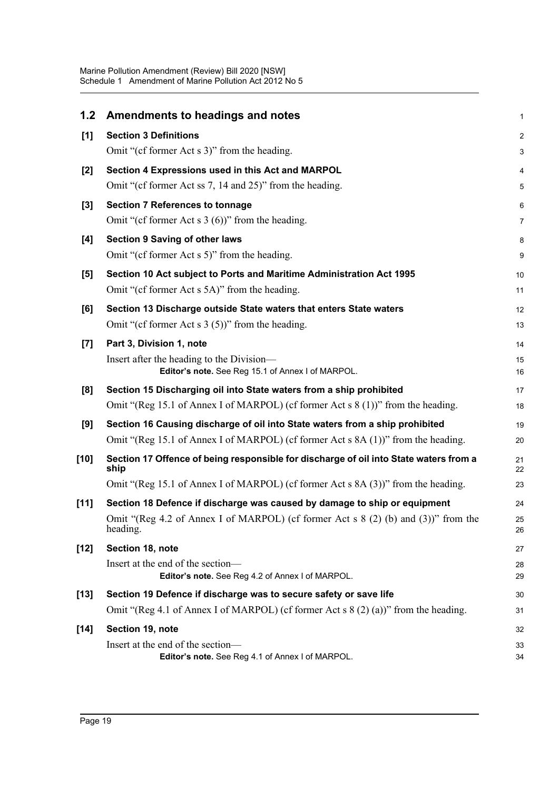| 1.2    | Amendments to headings and notes                                                                | 1              |
|--------|-------------------------------------------------------------------------------------------------|----------------|
| [1]    | <b>Section 3 Definitions</b>                                                                    | $\overline{2}$ |
|        | Omit "(cf former Act s 3)" from the heading.                                                    | 3              |
| $[2]$  | Section 4 Expressions used in this Act and MARPOL                                               | 4              |
|        | Omit "(cf former Act ss 7, 14 and 25)" from the heading.                                        | 5              |
| $[3]$  | <b>Section 7 References to tonnage</b>                                                          | 6              |
|        | Omit "(cf former Act s $3(6)$ )" from the heading.                                              | 7              |
| [4]    | <b>Section 9 Saving of other laws</b>                                                           | 8              |
|        | Omit "(cf former Act s 5)" from the heading.                                                    | 9              |
| [5]    | Section 10 Act subject to Ports and Maritime Administration Act 1995                            | 10             |
|        | Omit "(cf former Act s 5A)" from the heading.                                                   | 11             |
| [6]    | Section 13 Discharge outside State waters that enters State waters                              | 12             |
|        | Omit "(cf former Act s $3(5)$ )" from the heading.                                              | 13             |
| $[7]$  | Part 3, Division 1, note                                                                        | 14             |
|        | Insert after the heading to the Division-<br>Editor's note. See Reg 15.1 of Annex I of MARPOL.  | 15<br>16       |
| [8]    | Section 15 Discharging oil into State waters from a ship prohibited                             | 17             |
|        | Omit "(Reg 15.1 of Annex I of MARPOL) (cf former Act s 8 (1))" from the heading.                | 18             |
| [9]    | Section 16 Causing discharge of oil into State waters from a ship prohibited                    | 19             |
|        | Omit "(Reg 15.1 of Annex I of MARPOL) (cf former Act s 8A (1))" from the heading.               | 20             |
| [10]   | Section 17 Offence of being responsible for discharge of oil into State waters from a<br>ship   | 21<br>22       |
|        | Omit "(Reg 15.1 of Annex I of MARPOL) (cf former Act s 8A (3))" from the heading.               | 23             |
| $[11]$ | Section 18 Defence if discharge was caused by damage to ship or equipment                       | 24             |
|        | Omit "(Reg 4.2 of Annex I of MARPOL) (cf former Act s $8(2)$ (b) and (3))" from the<br>heading. | 25<br>26       |
| $[12]$ | Section 18, note                                                                                | 27             |
|        | Insert at the end of the section-                                                               | 28             |
|        | Editor's note. See Reg 4.2 of Annex I of MARPOL.                                                | 29             |
| $[13]$ | Section 19 Defence if discharge was to secure safety or save life                               | 30             |
|        | Omit "(Reg 4.1 of Annex I of MARPOL) (cf former Act s $8(2)(a)$ )" from the heading.            | 31             |
| $[14]$ | Section 19, note                                                                                | 32             |
|        | Insert at the end of the section-<br>Editor's note. See Reg 4.1 of Annex I of MARPOL.           | 33<br>34       |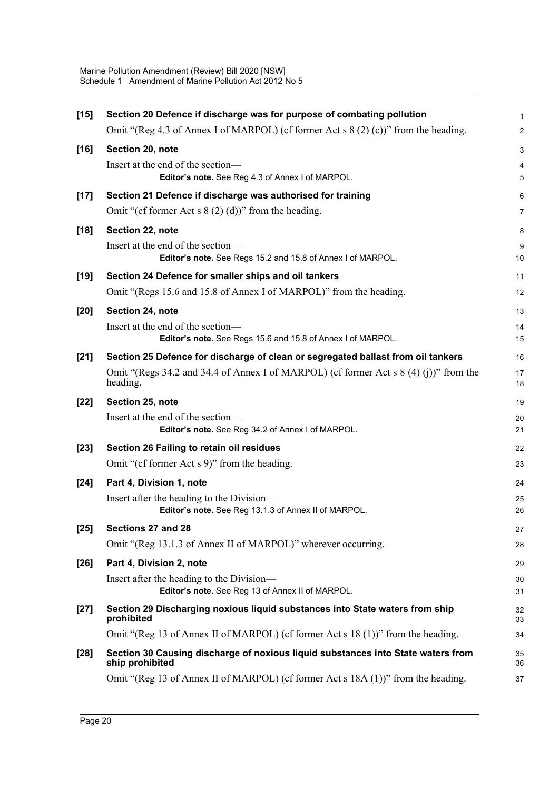| $[15]$ | Section 20 Defence if discharge was for purpose of combating pollution                              | 1              |
|--------|-----------------------------------------------------------------------------------------------------|----------------|
|        | Omit "(Reg 4.3 of Annex I of MARPOL) (cf former Act s $8(2)$ (c))" from the heading.                | $\overline{a}$ |
| $[16]$ | Section 20, note                                                                                    | 3              |
|        | Insert at the end of the section-                                                                   | 4              |
|        | Editor's note. See Reg 4.3 of Annex I of MARPOL.                                                    | 5              |
| $[17]$ | Section 21 Defence if discharge was authorised for training                                         | 6              |
|        | Omit "(cf former Act s $8(2)(d)$ )" from the heading.                                               | 7              |
| $[18]$ | Section 22, note                                                                                    | 8              |
|        | Insert at the end of the section-<br>Editor's note. See Regs 15.2 and 15.8 of Annex I of MARPOL.    | 9<br>10        |
| $[19]$ | Section 24 Defence for smaller ships and oil tankers                                                | 11             |
|        | Omit "(Regs 15.6 and 15.8 of Annex I of MARPOL)" from the heading.                                  | 12             |
| $[20]$ | Section 24, note                                                                                    | 13             |
|        | Insert at the end of the section-                                                                   | 14             |
|        | Editor's note. See Regs 15.6 and 15.8 of Annex I of MARPOL.                                         | 15             |
| $[21]$ | Section 25 Defence for discharge of clean or segregated ballast from oil tankers                    | 16             |
|        | Omit "(Regs 34.2 and 34.4 of Annex I of MARPOL) (cf former Act s $(4)(i)$ )" from the<br>heading.   | 17<br>18       |
| $[22]$ | Section 25, note                                                                                    | 19             |
|        | Insert at the end of the section-<br>Editor's note. See Reg 34.2 of Annex I of MARPOL.              | 20<br>21       |
| $[23]$ | Section 26 Failing to retain oil residues                                                           | 22             |
|        | Omit "(cf former Act s 9)" from the heading.                                                        | 23             |
| $[24]$ | Part 4, Division 1, note                                                                            | 24             |
|        | Insert after the heading to the Division-<br>Editor's note. See Reg 13.1.3 of Annex II of MARPOL.   | 25<br>26       |
| $[25]$ | Sections 27 and 28                                                                                  | 27             |
|        | Omit "(Reg 13.1.3 of Annex II of MARPOL)" wherever occurring.                                       | 28             |
| $[26]$ | Part 4, Division 2, note                                                                            | 29             |
|        | Insert after the heading to the Division—                                                           | 30             |
|        | Editor's note. See Reg 13 of Annex II of MARPOL.                                                    | 31             |
| $[27]$ | Section 29 Discharging noxious liquid substances into State waters from ship<br>prohibited          | 32<br>33       |
|        | Omit "(Reg 13 of Annex II of MARPOL) (cf former Act s 18 (1))" from the heading.                    | 34             |
| $[28]$ | Section 30 Causing discharge of noxious liquid substances into State waters from<br>ship prohibited | 35<br>36       |
|        | Omit "(Reg 13 of Annex II of MARPOL) (cf former Act s 18A (1))" from the heading.                   | 37             |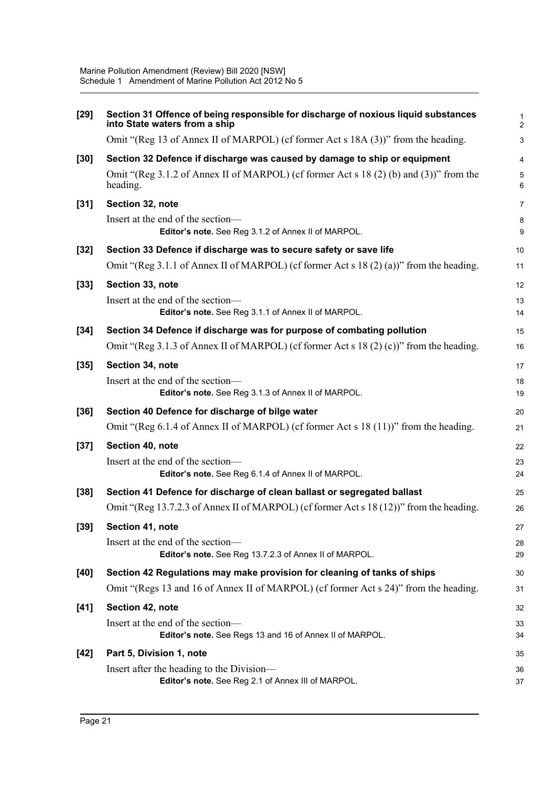| $[29]$ | Section 31 Offence of being responsible for discharge of noxious liquid substances<br>into State waters from a ship | $\mathbf{1}$<br>$\overline{2}$ |
|--------|---------------------------------------------------------------------------------------------------------------------|--------------------------------|
|        | Omit "(Reg 13 of Annex II of MARPOL) (cf former Act s 18A (3))" from the heading.                                   | $\mathbf{3}$                   |
| $[30]$ | Section 32 Defence if discharge was caused by damage to ship or equipment                                           | $\overline{\mathbf{4}}$        |
|        | Omit "(Reg 3.1.2 of Annex II of MARPOL) (cf former Act s 18 (2) (b) and (3))" from the<br>heading.                  | $\mathbf 5$<br>6               |
| $[31]$ | Section 32, note                                                                                                    | $\overline{7}$                 |
|        | Insert at the end of the section-<br>Editor's note. See Reg 3.1.2 of Annex II of MARPOL.                            | 8<br>9                         |
| $[32]$ | Section 33 Defence if discharge was to secure safety or save life                                                   | 10                             |
|        | Omit "(Reg 3.1.1 of Annex II of MARPOL) (cf former Act s 18 (2) (a))" from the heading.                             | 11                             |
| $[33]$ | Section 33, note                                                                                                    | 12                             |
|        | Insert at the end of the section-<br>Editor's note. See Reg 3.1.1 of Annex II of MARPOL.                            | 13<br>14                       |
| $[34]$ | Section 34 Defence if discharge was for purpose of combating pollution                                              | 15                             |
|        | Omit "(Reg 3.1.3 of Annex II of MARPOL) (cf former Act s 18 (2) (c))" from the heading.                             | 16                             |
| $[35]$ | Section 34, note                                                                                                    | 17                             |
|        | Insert at the end of the section-<br>Editor's note. See Reg 3.1.3 of Annex II of MARPOL.                            | 18<br>19                       |
| $[36]$ | Section 40 Defence for discharge of bilge water                                                                     | 20                             |
|        | Omit "(Reg 6.1.4 of Annex II of MARPOL) (cf former Act s 18 (11))" from the heading.                                | 21                             |
| $[37]$ | Section 40, note                                                                                                    | 22                             |
|        | Insert at the end of the section-<br>Editor's note. See Reg 6.1.4 of Annex II of MARPOL.                            | 23<br>24                       |
| $[38]$ | Section 41 Defence for discharge of clean ballast or segregated ballast                                             | 25                             |
|        | Omit "(Reg 13.7.2.3 of Annex II of MARPOL) (cf former Act s 18 (12))" from the heading.                             | 26                             |
| $[39]$ | Section 41, note                                                                                                    | 27                             |
|        | Insert at the end of the section-<br>Editor's note. See Reg 13.7.2.3 of Annex II of MARPOL.                         | 28<br>29                       |
| $[40]$ | Section 42 Regulations may make provision for cleaning of tanks of ships                                            | 30                             |
|        | Omit "(Regs 13 and 16 of Annex II of MARPOL) (cf former Act s 24)" from the heading.                                | 31                             |
| [41]   | Section 42, note                                                                                                    | 32                             |
|        | Insert at the end of the section-<br>Editor's note. See Regs 13 and 16 of Annex II of MARPOL.                       | 33<br>34                       |
| $[42]$ | Part 5, Division 1, note                                                                                            | 35                             |
|        | Insert after the heading to the Division-<br>Editor's note. See Reg 2.1 of Annex III of MARPOL.                     | 36<br>37                       |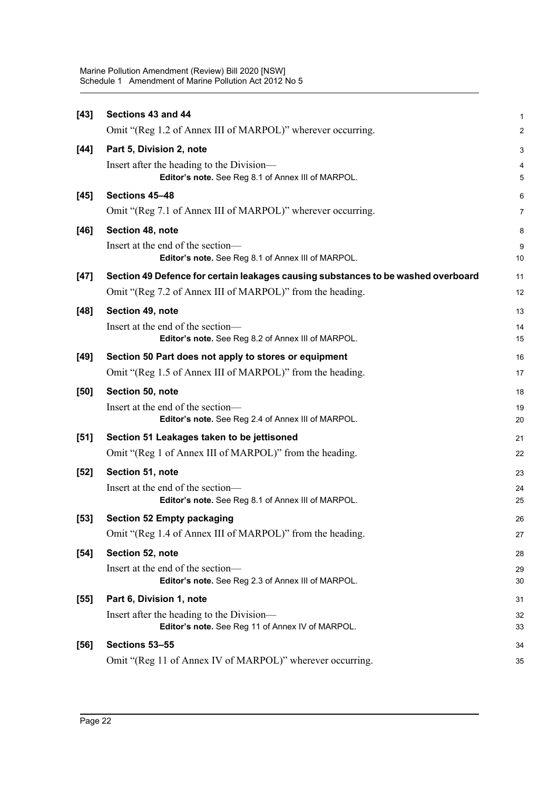| $[43]$ | Sections 43 and 44                                                                              | 1              |
|--------|-------------------------------------------------------------------------------------------------|----------------|
|        | Omit "(Reg 1.2 of Annex III of MARPOL)" wherever occurring.                                     | $\overline{c}$ |
| $[44]$ | Part 5, Division 2, note                                                                        | 3              |
|        | Insert after the heading to the Division-<br>Editor's note. See Reg 8.1 of Annex III of MARPOL. | 4<br>5         |
| $[45]$ | Sections 45-48                                                                                  | 6              |
|        | Omit "(Reg 7.1 of Annex III of MARPOL)" wherever occurring.                                     | 7              |
| $[46]$ | Section 48, note                                                                                | 8              |
|        | Insert at the end of the section-<br>Editor's note. See Reg 8.1 of Annex III of MARPOL.         | 9<br>10        |
| $[47]$ | Section 49 Defence for certain leakages causing substances to be washed overboard               | 11             |
|        | Omit "(Reg 7.2 of Annex III of MARPOL)" from the heading.                                       | 12             |
| $[48]$ | Section 49, note                                                                                | 13             |
|        | Insert at the end of the section-<br>Editor's note. See Reg 8.2 of Annex III of MARPOL.         | 14<br>15       |
| $[49]$ | Section 50 Part does not apply to stores or equipment                                           | 16             |
|        | Omit "(Reg 1.5 of Annex III of MARPOL)" from the heading.                                       | 17             |
| [50]   | Section 50, note                                                                                | 18             |
|        | Insert at the end of the section-<br>Editor's note. See Reg 2.4 of Annex III of MARPOL.         | 19<br>20       |
| $[51]$ | Section 51 Leakages taken to be jettisoned                                                      | 21             |
|        | Omit "(Reg 1 of Annex III of MARPOL)" from the heading.                                         | 22             |
| $[52]$ | Section 51, note                                                                                | 23             |
|        | Insert at the end of the section-<br>Editor's note. See Reg 8.1 of Annex III of MARPOL.         | 24<br>25       |
| $[53]$ | <b>Section 52 Empty packaging</b>                                                               | 26             |
|        | Omit "(Reg 1.4 of Annex III of MARPOL)" from the heading.                                       | 27             |
| $[54]$ | Section 52, note                                                                                | 28             |
|        | Insert at the end of the section-<br>Editor's note. See Reg 2.3 of Annex III of MARPOL.         | 29<br>30       |
| $[55]$ | Part 6, Division 1, note                                                                        | 31             |
|        | Insert after the heading to the Division-<br>Editor's note. See Reg 11 of Annex IV of MARPOL.   | 32<br>33       |
| $[56]$ | Sections 53-55                                                                                  | 34             |
|        | Omit "(Reg 11 of Annex IV of MARPOL)" wherever occurring.                                       | 35             |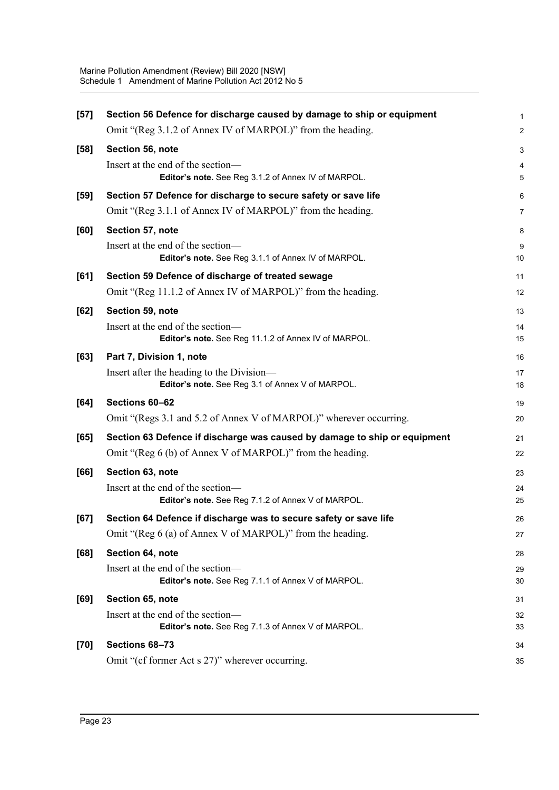| $[57]$ | Section 56 Defence for discharge caused by damage to ship or equipment                    | $\mathbf{1}$                 |
|--------|-------------------------------------------------------------------------------------------|------------------------------|
|        | Omit "(Reg 3.1.2 of Annex IV of MARPOL)" from the heading.                                | $\overline{2}$               |
| $[58]$ | Section 56, note                                                                          | 3                            |
|        | Insert at the end of the section-<br>Editor's note. See Reg 3.1.2 of Annex IV of MARPOL.  | $\overline{\mathbf{4}}$<br>5 |
| $[59]$ | Section 57 Defence for discharge to secure safety or save life                            | 6                            |
|        | Omit "(Reg 3.1.1 of Annex IV of MARPOL)" from the heading.                                | 7                            |
| [60]   | Section 57, note                                                                          | 8                            |
|        | Insert at the end of the section-<br>Editor's note. See Reg 3.1.1 of Annex IV of MARPOL.  | 9<br>10                      |
| [61]   | Section 59 Defence of discharge of treated sewage                                         | 11                           |
|        | Omit "(Reg 11.1.2 of Annex IV of MARPOL)" from the heading.                               | 12                           |
| $[62]$ | Section 59, note                                                                          | 13                           |
|        | Insert at the end of the section-<br>Editor's note. See Reg 11.1.2 of Annex IV of MARPOL. | 14<br>15                     |
| [63]   | Part 7, Division 1, note                                                                  | 16                           |
|        | Insert after the heading to the Division-                                                 | 17                           |
|        | Editor's note. See Reg 3.1 of Annex V of MARPOL.                                          | 18                           |
| $[64]$ | Sections 60-62                                                                            | 19                           |
|        | Omit "(Regs 3.1 and 5.2 of Annex V of MARPOL)" wherever occurring.                        | 20                           |
| [65]   | Section 63 Defence if discharge was caused by damage to ship or equipment                 | 21                           |
|        | Omit "(Reg 6 (b) of Annex V of MARPOL)" from the heading.                                 | 22                           |
| [66]   | Section 63, note                                                                          | 23                           |
|        | Insert at the end of the section-<br>Editor's note. See Reg 7.1.2 of Annex V of MARPOL.   | 24<br>25                     |
| [67]   | Section 64 Defence if discharge was to secure safety or save life                         | 26                           |
|        | Omit "(Reg 6 (a) of Annex V of MARPOL)" from the heading.                                 | 27                           |
| [68]   | Section 64, note                                                                          | 28                           |
|        | Insert at the end of the section-<br>Editor's note. See Reg 7.1.1 of Annex V of MARPOL.   | 29<br>30                     |
| [69]   | Section 65, note                                                                          | 31                           |
|        | Insert at the end of the section-<br>Editor's note. See Reg 7.1.3 of Annex V of MARPOL.   | 32<br>33                     |
| $[70]$ | Sections 68-73                                                                            | 34                           |
|        | Omit "(cf former Act s 27)" wherever occurring.                                           | 35                           |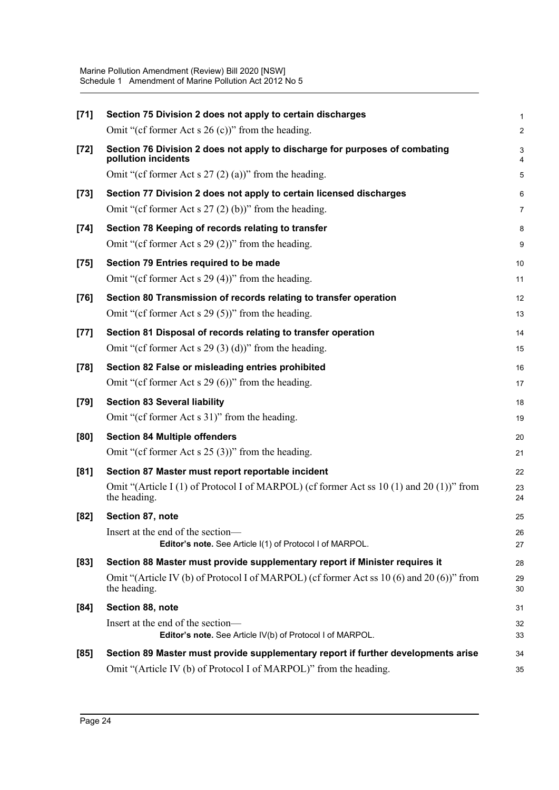| $[71]$ | Section 75 Division 2 does not apply to certain discharges                                                | 1              |
|--------|-----------------------------------------------------------------------------------------------------------|----------------|
|        | Omit "(cf former Act s $26$ (c))" from the heading.                                                       | $\overline{c}$ |
| $[72]$ | Section 76 Division 2 does not apply to discharge for purposes of combating<br>pollution incidents        | 3<br>4         |
|        | Omit "(cf former Act s $27(2)(a)$ )" from the heading.                                                    | 5              |
| $[73]$ | Section 77 Division 2 does not apply to certain licensed discharges                                       | 6              |
|        | Omit "(cf former Act s $27(2)(b)$ )" from the heading.                                                    | 7              |
| $[74]$ | Section 78 Keeping of records relating to transfer                                                        | 8              |
|        | Omit "(cf former Act s 29 (2))" from the heading.                                                         | 9              |
| $[75]$ | Section 79 Entries required to be made                                                                    | 10             |
|        | Omit "(cf former Act s $29(4)$ )" from the heading.                                                       | 11             |
| $[76]$ | Section 80 Transmission of records relating to transfer operation                                         | 12             |
|        | Omit "(cf former Act s $29(5)$ )" from the heading.                                                       | 13             |
| $[77]$ | Section 81 Disposal of records relating to transfer operation                                             | 14             |
|        | Omit "(cf former Act s $29(3)(d)$ )" from the heading.                                                    | 15             |
| $[78]$ | Section 82 False or misleading entries prohibited                                                         | 16             |
|        | Omit "(cf former Act s 29 $(6)$ )" from the heading.                                                      | 17             |
|        |                                                                                                           |                |
| $[79]$ | <b>Section 83 Several liability</b>                                                                       | 18             |
|        | Omit "(cf former Act s 31)" from the heading.                                                             | 19             |
| [80]   | <b>Section 84 Multiple offenders</b>                                                                      | 20             |
|        | Omit "(cf former Act s $25(3)$ )" from the heading.                                                       | 21             |
| [81]   | Section 87 Master must report reportable incident                                                         | 22             |
|        | Omit "(Article I (1) of Protocol I of MARPOL) (cf former Act ss 10 (1) and 20 (1))" from<br>the heading.  | 23<br>24       |
| [82]   | Section 87, note                                                                                          | 25             |
|        | Insert at the end of the section-<br>Editor's note. See Article I(1) of Protocol I of MARPOL.             | 26<br>27       |
| $[83]$ | Section 88 Master must provide supplementary report if Minister requires it                               | 28             |
|        | Omit "(Article IV (b) of Protocol I of MARPOL) (cf former Act ss 10 (6) and 20 (6))" from<br>the heading. | 29<br>30       |
| [84]   | Section 88, note                                                                                          | 31             |
|        | Insert at the end of the section-<br>Editor's note. See Article IV(b) of Protocol I of MARPOL.            | 32<br>33       |
| [85]   | Section 89 Master must provide supplementary report if further developments arise                         | 34             |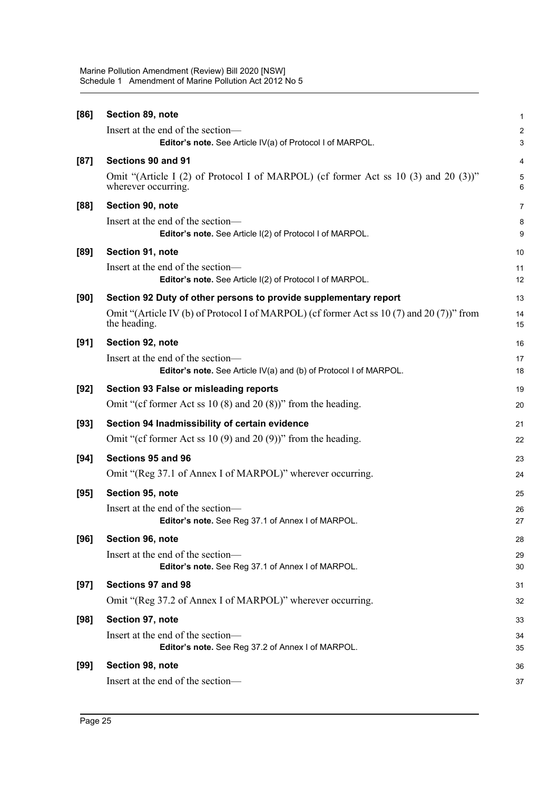| [86]   | Section 89, note                                                                                             | 1                       |
|--------|--------------------------------------------------------------------------------------------------------------|-------------------------|
|        | Insert at the end of the section-                                                                            | $\overline{\mathbf{c}}$ |
|        | Editor's note. See Article IV(a) of Protocol I of MARPOL.                                                    | 3                       |
| $[87]$ | Sections 90 and 91                                                                                           | 4                       |
|        | Omit "(Article I (2) of Protocol I of MARPOL) (cf former Act ss 10 (3) and 20 (3)"<br>wherever occurring.    | 5<br>6                  |
| [88]   | Section 90, note                                                                                             | 7                       |
|        | Insert at the end of the section—<br>Editor's note. See Article I(2) of Protocol I of MARPOL.                | 8<br>9                  |
| [89]   | Section 91, note                                                                                             | 10                      |
|        | Insert at the end of the section-<br>Editor's note. See Article I(2) of Protocol I of MARPOL.                | 11<br>12                |
| [90]   | Section 92 Duty of other persons to provide supplementary report                                             | 13                      |
|        | Omit "(Article IV (b) of Protocol I of MARPOL) (cf former Act ss $10(7)$ and $20(7)$ )" from<br>the heading. | 14<br>15                |
| [91]   | Section 92, note                                                                                             | 16                      |
|        | Insert at the end of the section-<br>Editor's note. See Article IV(a) and (b) of Protocol I of MARPOL.       | 17<br>18                |
| $[92]$ | Section 93 False or misleading reports                                                                       | 19                      |
|        | Omit "(cf former Act ss 10 $(8)$ and 20 $(8)$ )" from the heading.                                           | 20                      |
| $[93]$ | Section 94 Inadmissibility of certain evidence                                                               | 21                      |
|        | Omit "(cf former Act ss 10 $(9)$ and 20 $(9)$ )" from the heading.                                           | 22                      |
| $[94]$ | Sections 95 and 96                                                                                           | 23                      |
|        | Omit "(Reg 37.1 of Annex I of MARPOL)" wherever occurring.                                                   | 24                      |
| $[95]$ | Section 95, note                                                                                             | 25                      |
|        | Insert at the end of the section—<br>Editor's note. See Reg 37.1 of Annex I of MARPOL.                       | 26<br>27                |
| $[96]$ | Section 96, note                                                                                             |                         |
|        | Insert at the end of the section-                                                                            | 28<br>29                |
|        | Editor's note. See Reg 37.1 of Annex I of MARPOL.                                                            | 30                      |
| $[97]$ | Sections 97 and 98                                                                                           | 31                      |
|        | Omit "(Reg 37.2 of Annex I of MARPOL)" wherever occurring.                                                   | 32                      |
| $[98]$ | Section 97, note                                                                                             | 33                      |
|        | Insert at the end of the section-                                                                            | 34                      |
|        | Editor's note. See Reg 37.2 of Annex I of MARPOL.                                                            | 35                      |
| $[99]$ | Section 98, note                                                                                             | 36                      |
|        | Insert at the end of the section-                                                                            | 37                      |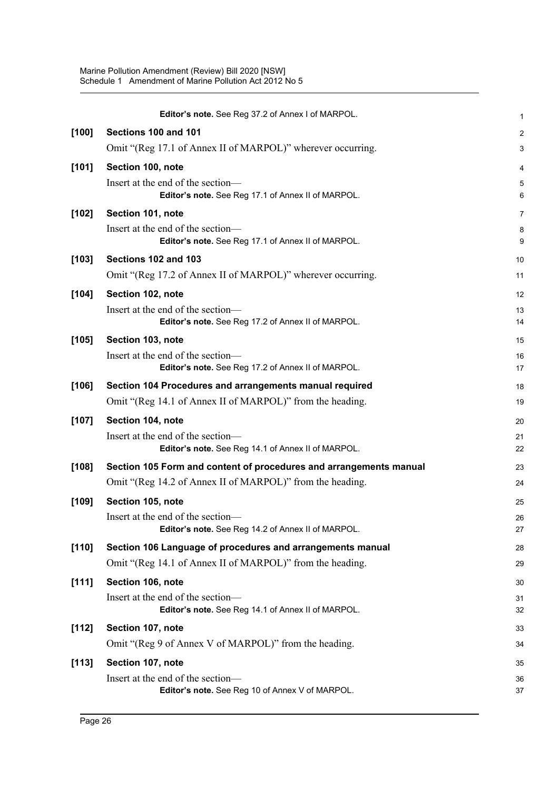|         | Editor's note. See Reg 37.2 of Annex I of MARPOL.                                       | $\mathbf{1}$     |
|---------|-----------------------------------------------------------------------------------------|------------------|
| [100]   | Sections 100 and 101                                                                    | $\boldsymbol{2}$ |
|         | Omit "(Reg 17.1 of Annex II of MARPOL)" wherever occurring.                             | 3                |
| [101]   | Section 100, note                                                                       | 4                |
|         | Insert at the end of the section-<br>Editor's note. See Reg 17.1 of Annex II of MARPOL. | 5<br>6           |
| $[102]$ | Section 101, note                                                                       | $\overline{7}$   |
|         | Insert at the end of the section-<br>Editor's note. See Reg 17.1 of Annex II of MARPOL. | 8<br>9           |
| $[103]$ | Sections 102 and 103                                                                    | 10               |
|         | Omit "(Reg 17.2 of Annex II of MARPOL)" wherever occurring.                             | 11               |
| $[104]$ | Section 102, note                                                                       | 12               |
|         | Insert at the end of the section-<br>Editor's note. See Reg 17.2 of Annex II of MARPOL. | 13<br>14         |
| $[105]$ | Section 103, note                                                                       | 15               |
|         | Insert at the end of the section-<br>Editor's note. See Reg 17.2 of Annex II of MARPOL. | 16<br>17         |
| $[106]$ | Section 104 Procedures and arrangements manual required                                 | 18               |
|         | Omit "(Reg 14.1 of Annex II of MARPOL)" from the heading.                               | 19               |
| $[107]$ | Section 104, note                                                                       | 20               |
|         | Insert at the end of the section-<br>Editor's note. See Reg 14.1 of Annex II of MARPOL. | 21<br>22         |
| [108]   | Section 105 Form and content of procedures and arrangements manual                      | 23               |
|         | Omit "(Reg 14.2 of Annex II of MARPOL)" from the heading.                               | 24               |
| [109]   | Section 105, note                                                                       | 25               |
|         | Insert at the end of the section-<br>Editor's note. See Reg 14.2 of Annex II of MARPOL. | 26<br>27         |
| $[110]$ | Section 106 Language of procedures and arrangements manual                              | 28               |
|         | Omit "(Reg 14.1 of Annex II of MARPOL)" from the heading.                               | 29               |
| [111]   | Section 106, note                                                                       | 30               |
|         | Insert at the end of the section-<br>Editor's note. See Reg 14.1 of Annex II of MARPOL. | 31<br>32         |
| [112]   | Section 107, note                                                                       | 33               |
|         | Omit "(Reg 9 of Annex V of MARPOL)" from the heading.                                   | 34               |
| [113]   | Section 107, note                                                                       | 35               |
|         | Insert at the end of the section-<br>Editor's note. See Reg 10 of Annex V of MARPOL.    | 36<br>37         |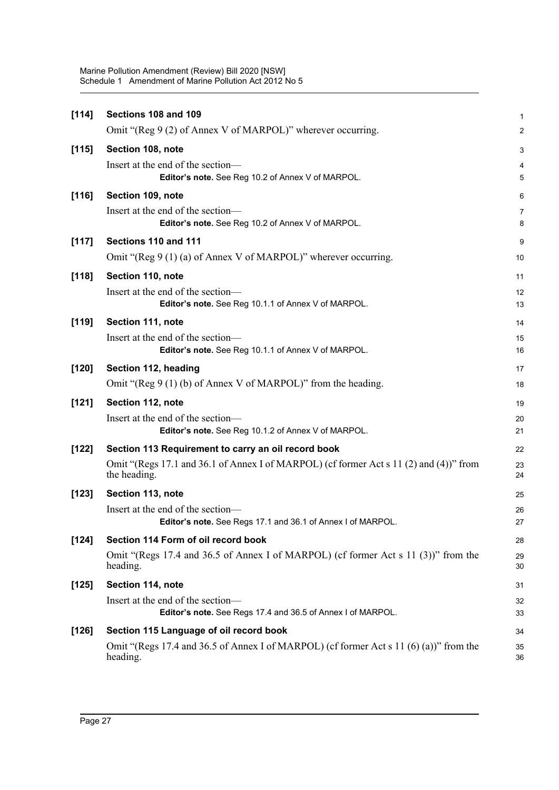| [114]   | Sections 108 and 109                                                                                   | 1                       |
|---------|--------------------------------------------------------------------------------------------------------|-------------------------|
|         | Omit "(Reg 9 (2) of Annex V of MARPOL)" wherever occurring.                                            | $\overline{\mathbf{c}}$ |
| [115]   | Section 108, note                                                                                      | 3                       |
|         | Insert at the end of the section-<br>Editor's note. See Reg 10.2 of Annex V of MARPOL.                 | 4<br>5                  |
| [116]   | Section 109, note                                                                                      | 6                       |
|         | Insert at the end of the section—<br>Editor's note. See Reg 10.2 of Annex V of MARPOL.                 | 7<br>8                  |
| [117]   | Sections 110 and 111                                                                                   | 9                       |
|         | Omit "(Reg 9 $(1)$ (a) of Annex V of MARPOL)" wherever occurring.                                      | 10                      |
| [118]   | Section 110, note                                                                                      | 11                      |
|         | Insert at the end of the section-<br>Editor's note. See Reg 10.1.1 of Annex V of MARPOL.               | 12<br>13                |
| [119]   | Section 111, note                                                                                      | 14                      |
|         | Insert at the end of the section-<br>Editor's note. See Reg 10.1.1 of Annex V of MARPOL.               | 15<br>16                |
| $[120]$ | Section 112, heading                                                                                   | 17                      |
|         | Omit "(Reg 9 $(1)$ (b) of Annex V of MARPOL)" from the heading.                                        | 18                      |
| [121]   | Section 112, note                                                                                      | 19                      |
|         | Insert at the end of the section-<br>Editor's note. See Reg 10.1.2 of Annex V of MARPOL.               | 20<br>21                |
| $[122]$ | Section 113 Requirement to carry an oil record book                                                    | 22                      |
|         | Omit "(Regs 17.1 and 36.1 of Annex I of MARPOL) (cf former Act s 11 (2) and (4))" from<br>the heading. | 23<br>24                |
| $[123]$ | Section 113, note                                                                                      | 25                      |
|         | Insert at the end of the section-<br>Editor's note. See Regs 17.1 and 36.1 of Annex I of MARPOL.       | 26<br>27                |
| $[124]$ | Section 114 Form of oil record book                                                                    | 28                      |
|         | Omit "(Regs 17.4 and 36.5 of Annex I of MARPOL) (cf former Act s 11 (3))" from the<br>heading.         | 29<br>30                |
| $[125]$ | Section 114, note                                                                                      | 31                      |
|         | Insert at the end of the section-<br>Editor's note. See Regs 17.4 and 36.5 of Annex I of MARPOL.       | 32<br>33                |
| $[126]$ | Section 115 Language of oil record book                                                                | 34                      |
|         | Omit "(Regs 17.4 and 36.5 of Annex I of MARPOL) (cf former Act s 11 (6) (a))" from the<br>heading.     | 35<br>36                |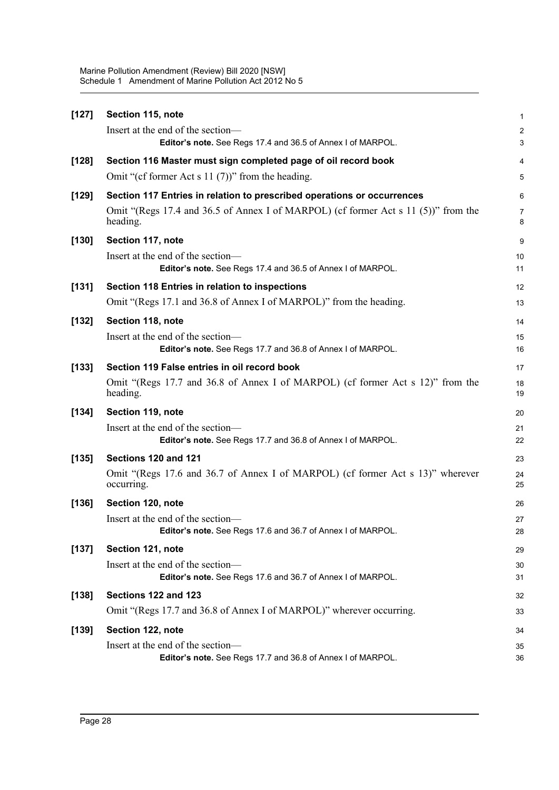| $[127]$ | Section 115, note                                                                                | 1                       |
|---------|--------------------------------------------------------------------------------------------------|-------------------------|
|         | Insert at the end of the section—                                                                | $\overline{\mathbf{c}}$ |
|         | Editor's note. See Regs 17.4 and 36.5 of Annex I of MARPOL.                                      | 3                       |
| $[128]$ | Section 116 Master must sign completed page of oil record book                                   | 4                       |
|         | Omit "(cf former Act s $11(7)$ )" from the heading.                                              | 5                       |
| $[129]$ | Section 117 Entries in relation to prescribed operations or occurrences                          | 6                       |
|         | Omit "(Regs 17.4 and 36.5 of Annex I of MARPOL) (cf former Act s 11 (5))" from the<br>heading.   | 7<br>8                  |
| [130]   | Section 117, note                                                                                | 9                       |
|         | Insert at the end of the section-<br>Editor's note. See Regs 17.4 and 36.5 of Annex I of MARPOL. | 10<br>11                |
| [131]   | Section 118 Entries in relation to inspections                                                   | 12                      |
|         | Omit "(Regs 17.1 and 36.8 of Annex I of MARPOL)" from the heading.                               | 13                      |
| [132]   | Section 118, note                                                                                | 14                      |
|         | Insert at the end of the section-                                                                | 15                      |
|         | Editor's note. See Regs 17.7 and 36.8 of Annex I of MARPOL.                                      | 16                      |
| [133]   | Section 119 False entries in oil record book                                                     | 17                      |
|         | Omit "(Regs 17.7 and 36.8 of Annex I of MARPOL) (cf former Act s 12)" from the<br>heading.       | 18<br>19                |
| $[134]$ | Section 119, note                                                                                | 20                      |
|         | Insert at the end of the section-<br>Editor's note. See Regs 17.7 and 36.8 of Annex I of MARPOL. | 21<br>22                |
| [135]   | Sections 120 and 121                                                                             | 23                      |
|         | Omit "(Regs 17.6 and 36.7 of Annex I of MARPOL) (cf former Act s 13)" wherever<br>occurring.     | 24<br>25                |
| [136]   | Section 120, note                                                                                | 26                      |
|         | Insert at the end of the section-<br>Editor's note. See Regs 17.6 and 36.7 of Annex I of MARPOL. | 27<br>28                |
| $[137]$ | Section 121, note                                                                                | 29                      |
|         | Insert at the end of the section-                                                                | 30                      |
|         | Editor's note. See Regs 17.6 and 36.7 of Annex I of MARPOL.                                      | 31                      |
| [138]   | Sections 122 and 123                                                                             | 32                      |
|         | Omit "(Regs 17.7 and 36.8 of Annex I of MARPOL)" wherever occurring.                             | 33                      |
| $[139]$ | Section 122, note                                                                                | 34                      |
|         | Insert at the end of the section-<br>Editor's note. See Regs 17.7 and 36.8 of Annex I of MARPOL. | 35<br>36                |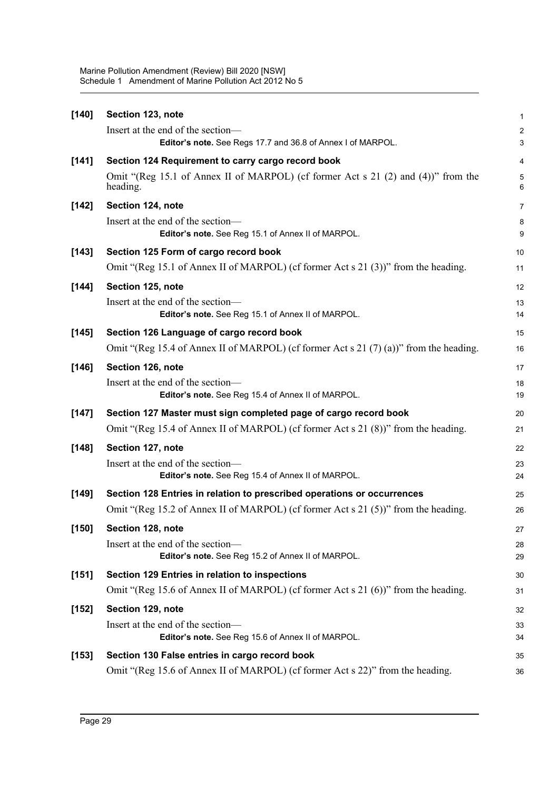| [140]   | Section 123, note                                                                                | 1                            |
|---------|--------------------------------------------------------------------------------------------------|------------------------------|
|         | Insert at the end of the section—<br>Editor's note. See Regs 17.7 and 36.8 of Annex I of MARPOL. | $\overline{\mathbf{c}}$<br>3 |
| [141]   | Section 124 Requirement to carry cargo record book                                               | 4                            |
|         | Omit "(Reg 15.1 of Annex II of MARPOL) (cf former Act s 21 (2) and (4))" from the<br>heading.    | 5<br>6                       |
| $[142]$ | Section 124, note                                                                                | 7                            |
|         | Insert at the end of the section-<br>Editor's note. See Reg 15.1 of Annex II of MARPOL.          | 8<br>9                       |
| $[143]$ | Section 125 Form of cargo record book                                                            | 10                           |
|         | Omit "(Reg 15.1 of Annex II of MARPOL) (cf former Act s 21 (3))" from the heading.               | 11                           |
| $[144]$ | Section 125, note                                                                                | 12                           |
|         | Insert at the end of the section-<br>Editor's note. See Reg 15.1 of Annex II of MARPOL.          | 13<br>14                     |
| [145]   | Section 126 Language of cargo record book                                                        | 15                           |
|         | Omit "(Reg 15.4 of Annex II of MARPOL) (cf former Act s 21 (7) (a))" from the heading.           | 16                           |
| [146]   | Section 126, note                                                                                | 17                           |
|         | Insert at the end of the section-<br>Editor's note. See Reg 15.4 of Annex II of MARPOL.          | 18<br>19                     |
| $[147]$ | Section 127 Master must sign completed page of cargo record book                                 | 20                           |
|         | Omit "(Reg 15.4 of Annex II of MARPOL) (cf former Act s 21 (8))" from the heading.               | 21                           |
| [148]   | Section 127, note                                                                                | 22                           |
|         | Insert at the end of the section-<br>Editor's note. See Reg 15.4 of Annex II of MARPOL.          | 23<br>24                     |
| [149]   | Section 128 Entries in relation to prescribed operations or occurrences                          | 25                           |
|         | Omit "(Reg 15.2 of Annex II of MARPOL) (cf former Act s 21 (5))" from the heading.               | 26                           |
| [150]   | Section 128, note                                                                                | 27                           |
|         | Insert at the end of the section-<br>Editor's note. See Reg 15.2 of Annex II of MARPOL.          | 28<br>29                     |
| [151]   | Section 129 Entries in relation to inspections                                                   | 30                           |
|         | Omit "(Reg 15.6 of Annex II of MARPOL) (cf former Act s 21 (6))" from the heading.               | 31                           |
| [152]   | Section 129, note                                                                                | 32                           |
|         | Insert at the end of the section-<br>Editor's note. See Reg 15.6 of Annex II of MARPOL.          | 33<br>34                     |
| $[153]$ | Section 130 False entries in cargo record book                                                   | 35                           |
|         | Omit "(Reg 15.6 of Annex II of MARPOL) (cf former Act s 22)" from the heading.                   | 36                           |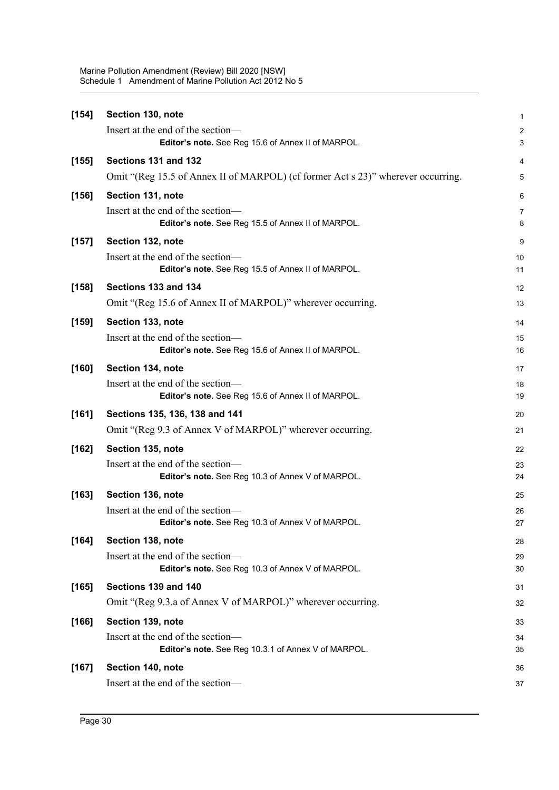| $[154]$ | Section 130, note                                                                       | 1                       |
|---------|-----------------------------------------------------------------------------------------|-------------------------|
|         | Insert at the end of the section-                                                       | $\overline{\mathbf{c}}$ |
|         | Editor's note. See Reg 15.6 of Annex II of MARPOL.                                      | 3                       |
| [155]   | Sections 131 and 132                                                                    | 4                       |
|         | Omit "(Reg 15.5 of Annex II of MARPOL) (cf former Act s 23)" wherever occurring.        | 5                       |
| $[156]$ | Section 131, note                                                                       | 6                       |
|         | Insert at the end of the section—<br>Editor's note. See Reg 15.5 of Annex II of MARPOL. | 7<br>8                  |
| $[157]$ | Section 132, note                                                                       | 9                       |
|         | Insert at the end of the section-<br>Editor's note. See Reg 15.5 of Annex II of MARPOL. | 10<br>11                |
| $[158]$ | Sections 133 and 134                                                                    | 12                      |
|         | Omit "(Reg 15.6 of Annex II of MARPOL)" wherever occurring.                             | 13                      |
| $[159]$ | Section 133, note                                                                       | 14                      |
|         | Insert at the end of the section-                                                       | 15                      |
|         | Editor's note. See Reg 15.6 of Annex II of MARPOL.                                      | 16                      |
| [160]   | Section 134, note                                                                       | 17                      |
|         | Insert at the end of the section-<br>Editor's note. See Reg 15.6 of Annex II of MARPOL. | 18<br>19                |
| [161]   | Sections 135, 136, 138 and 141                                                          | 20                      |
|         | Omit "(Reg 9.3 of Annex V of MARPOL)" wherever occurring.                               | 21                      |
| [162]   | Section 135, note                                                                       | 22                      |
|         | Insert at the end of the section-                                                       | 23                      |
|         | Editor's note. See Reg 10.3 of Annex V of MARPOL.                                       | 24                      |
| [163]   | Section 136, note                                                                       | 25                      |
|         | Insert at the end of the section-<br>Editor's note. See Reg 10.3 of Annex V of MARPOL.  | 26<br>27                |
| [164]   | Section 138, note                                                                       | 28                      |
|         | Insert at the end of the section-<br>Editor's note. See Reg 10.3 of Annex V of MARPOL.  | 29<br>30                |
| [165]   | Sections 139 and 140                                                                    | 31                      |
|         | Omit "(Reg 9.3.a of Annex V of MARPOL)" wherever occurring.                             | 32                      |
| $[166]$ | Section 139, note                                                                       | 33                      |
|         | Insert at the end of the section-                                                       | 34                      |
|         | Editor's note. See Reg 10.3.1 of Annex V of MARPOL.                                     | 35                      |
| $[167]$ | Section 140, note                                                                       | 36                      |
|         | Insert at the end of the section-                                                       | 37                      |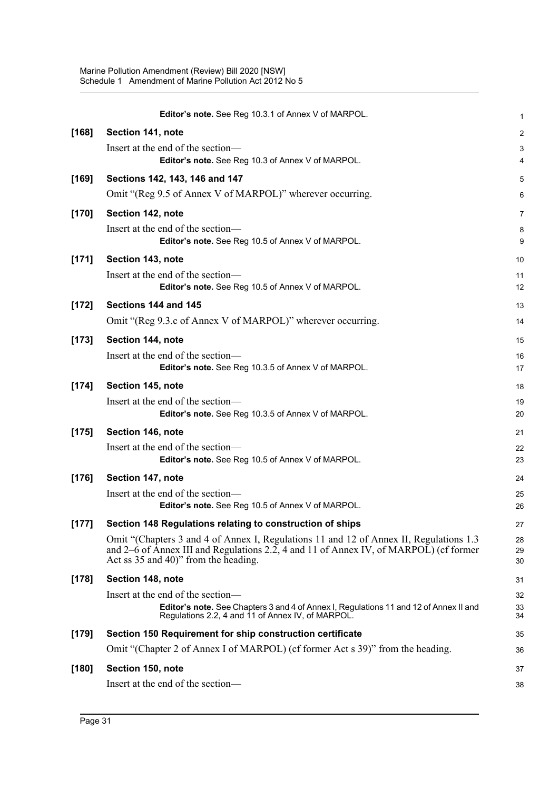|         | Editor's note. See Reg 10.3.1 of Annex V of MARPOL.                                                                                                                                                                     | $\mathbf{1}$     |
|---------|-------------------------------------------------------------------------------------------------------------------------------------------------------------------------------------------------------------------------|------------------|
| [168]   | Section 141, note                                                                                                                                                                                                       | $\boldsymbol{2}$ |
|         | Insert at the end of the section-                                                                                                                                                                                       | $\mathsf 3$      |
|         | Editor's note. See Reg 10.3 of Annex V of MARPOL.                                                                                                                                                                       | 4                |
| [169]   | Sections 142, 143, 146 and 147                                                                                                                                                                                          | 5                |
|         | Omit "(Reg 9.5 of Annex V of MARPOL)" wherever occurring.                                                                                                                                                               | 6                |
| $[170]$ | Section 142, note                                                                                                                                                                                                       | 7                |
|         | Insert at the end of the section-<br>Editor's note. See Reg 10.5 of Annex V of MARPOL.                                                                                                                                  | 8<br>9           |
| [171]   | Section 143, note                                                                                                                                                                                                       | 10               |
|         | Insert at the end of the section-<br>Editor's note. See Reg 10.5 of Annex V of MARPOL.                                                                                                                                  | 11<br>12         |
| $[172]$ | Sections 144 and 145                                                                                                                                                                                                    | 13               |
|         | Omit "(Reg 9.3.c of Annex V of MARPOL)" wherever occurring.                                                                                                                                                             | 14               |
| $[173]$ | Section 144, note                                                                                                                                                                                                       | 15               |
|         | Insert at the end of the section-<br>Editor's note. See Reg 10.3.5 of Annex V of MARPOL.                                                                                                                                | 16<br>17         |
| $[174]$ | Section 145, note                                                                                                                                                                                                       | 18               |
|         | Insert at the end of the section-<br>Editor's note. See Reg 10.3.5 of Annex V of MARPOL.                                                                                                                                | 19<br>20         |
| $[175]$ | Section 146, note                                                                                                                                                                                                       | 21               |
|         | Insert at the end of the section-<br>Editor's note. See Reg 10.5 of Annex V of MARPOL.                                                                                                                                  | 22<br>23         |
| $[176]$ | Section 147, note                                                                                                                                                                                                       | 24               |
|         | Insert at the end of the section-<br>Editor's note. See Reg 10.5 of Annex V of MARPOL.                                                                                                                                  | 25<br>26         |
| [177]   | Section 148 Regulations relating to construction of ships                                                                                                                                                               | 27               |
|         | Omit "(Chapters 3 and 4 of Annex I, Regulations 11 and 12 of Annex II, Regulations 1.3<br>and 2–6 of Annex III and Regulations 2.2, 4 and 11 of Annex IV, of MARPOL) (cf former<br>Act ss 35 and 40)" from the heading. | 28<br>29<br>30   |
| $[178]$ | Section 148, note                                                                                                                                                                                                       | 31               |
|         | Insert at the end of the section—<br>Editor's note. See Chapters 3 and 4 of Annex I, Regulations 11 and 12 of Annex II and<br>Regulations 2.2, 4 and 11 of Annex IV, of MARPOL.                                         | 32<br>33<br>34   |
| [179]   | Section 150 Requirement for ship construction certificate                                                                                                                                                               | 35               |
|         | Omit "(Chapter 2 of Annex I of MARPOL) (cf former Act s 39)" from the heading.                                                                                                                                          | 36               |
| [180]   | Section 150, note                                                                                                                                                                                                       | 37               |
|         | Insert at the end of the section-                                                                                                                                                                                       | 38               |
|         |                                                                                                                                                                                                                         |                  |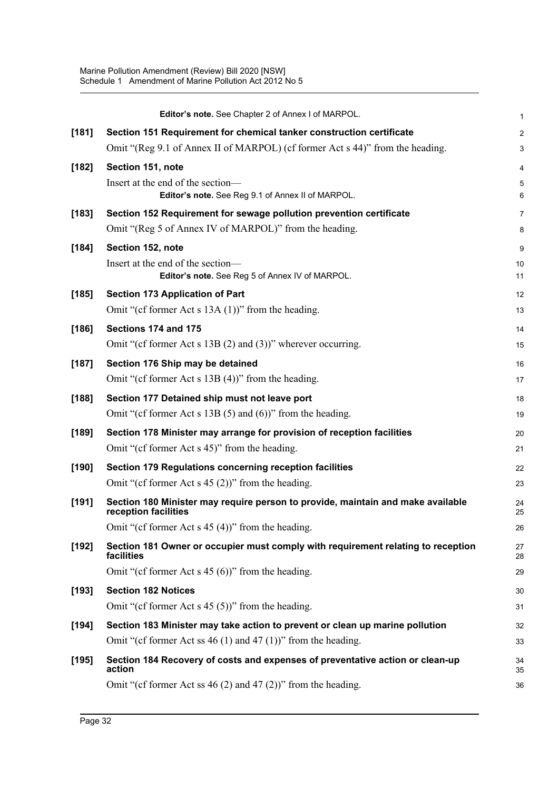|         | Editor's note. See Chapter 2 of Annex I of MARPOL.                                                                            | 1              |
|---------|-------------------------------------------------------------------------------------------------------------------------------|----------------|
| [181]   | Section 151 Requirement for chemical tanker construction certificate                                                          | $\overline{c}$ |
|         | Omit "(Reg 9.1 of Annex II of MARPOL) (cf former Act s 44)" from the heading.                                                 | 3              |
| $[182]$ | Section 151, note                                                                                                             | 4              |
|         | Insert at the end of the section-                                                                                             | 5              |
|         | Editor's note. See Reg 9.1 of Annex II of MARPOL.                                                                             | 6              |
| [183]   | Section 152 Requirement for sewage pollution prevention certificate<br>Omit "(Reg 5 of Annex IV of MARPOL)" from the heading. | 7              |
|         |                                                                                                                               | 8              |
| [184]   | Section 152, note<br>Insert at the end of the section-                                                                        | 9              |
|         | Editor's note. See Reg 5 of Annex IV of MARPOL.                                                                               | 10<br>11       |
| [185]   | <b>Section 173 Application of Part</b>                                                                                        | 12             |
|         | Omit "(cf former Act s $13A(1)$ )" from the heading.                                                                          | 13             |
| [186]   | Sections 174 and 175                                                                                                          | 14             |
|         | Omit "(cf former Act s $13B(2)$ and $(3)$ )" wherever occurring.                                                              | 15             |
| [187]   | Section 176 Ship may be detained                                                                                              | 16             |
|         | Omit "(cf former Act s $13B(4)$ )" from the heading.                                                                          | 17             |
| [188]   | Section 177 Detained ship must not leave port                                                                                 | 18             |
|         | Omit "(cf former Act s $13B(5)$ and $(6)$ )" from the heading.                                                                | 19             |
| [189]   | Section 178 Minister may arrange for provision of reception facilities                                                        | 20             |
|         | Omit "(cf former Act s 45)" from the heading.                                                                                 | 21             |
| [190]   | Section 179 Regulations concerning reception facilities                                                                       | 22             |
|         | Omit "(cf former Act s $45(2)$ )" from the heading.                                                                           | 23             |
| [191]   | Section 180 Minister may require person to provide, maintain and make available<br>reception facilities                       | 24<br>25       |
|         | Omit "(cf former Act s $45(4)$ )" from the heading.                                                                           | 26             |
| [192]   | Section 181 Owner or occupier must comply with requirement relating to reception<br>facilities                                | 27<br>28       |
|         | Omit "(cf former Act s $45(6)$ )" from the heading.                                                                           | 29             |
| [193]   | <b>Section 182 Notices</b>                                                                                                    | 30             |
|         | Omit "(cf former Act s $45(5)$ )" from the heading.                                                                           | 31             |
| [194]   | Section 183 Minister may take action to prevent or clean up marine pollution                                                  | 32             |
|         | Omit "(cf former Act ss 46 (1) and 47 (1))" from the heading.                                                                 | 33             |
| [195]   | Section 184 Recovery of costs and expenses of preventative action or clean-up<br>action                                       | 34<br>35       |
|         | Omit "(cf former Act ss $46(2)$ and $47(2)$ )" from the heading.                                                              | 36             |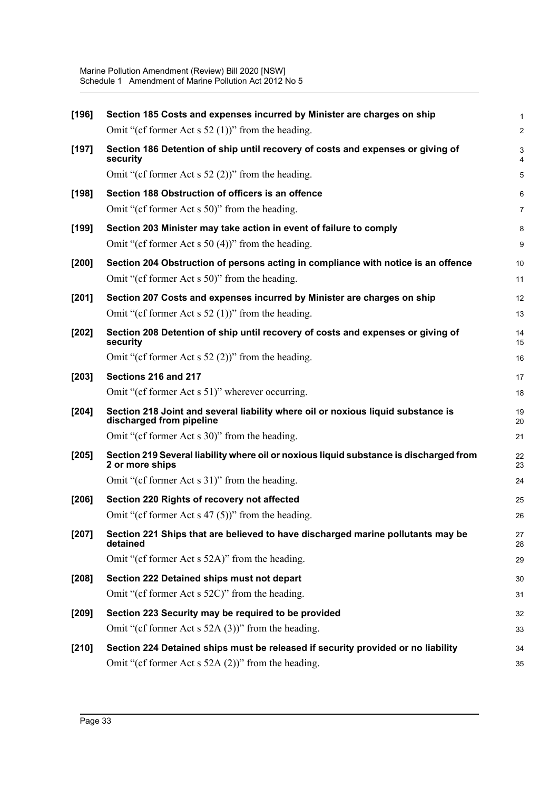| [196]   | Section 185 Costs and expenses incurred by Minister are charges on ship                                      |                |
|---------|--------------------------------------------------------------------------------------------------------------|----------------|
|         |                                                                                                              | 1              |
|         | Omit "(cf former Act s $52$ (1))" from the heading.                                                          | $\overline{a}$ |
| $[197]$ | Section 186 Detention of ship until recovery of costs and expenses or giving of<br>security                  | 3<br>4         |
|         | Omit "(cf former Act s $52$ (2))" from the heading.                                                          | 5              |
| [198]   | Section 188 Obstruction of officers is an offence                                                            | 6              |
|         | Omit "(cf former Act s 50)" from the heading.                                                                | 7              |
| [199]   | Section 203 Minister may take action in event of failure to comply                                           | 8              |
|         | Omit "(cf former Act s $50(4)$ )" from the heading.                                                          | 9              |
| $[200]$ | Section 204 Obstruction of persons acting in compliance with notice is an offence                            | 10             |
|         | Omit "(cf former Act s 50)" from the heading.                                                                | 11             |
| $[201]$ | Section 207 Costs and expenses incurred by Minister are charges on ship                                      | 12             |
|         | Omit "(cf former Act s $52$ (1))" from the heading.                                                          | 13             |
| $[202]$ | Section 208 Detention of ship until recovery of costs and expenses or giving of<br>security                  | 14<br>15       |
|         | Omit "(cf former Act s $52$ (2))" from the heading.                                                          | 16             |
| $[203]$ | Sections 216 and 217                                                                                         | 17             |
|         | Omit "(cf former Act s 51)" wherever occurring.                                                              | 18             |
| $[204]$ | Section 218 Joint and several liability where oil or noxious liquid substance is<br>discharged from pipeline | 19<br>20       |
|         | Omit "(cf former Act s 30)" from the heading.                                                                | 21             |
| $[205]$ | Section 219 Several liability where oil or noxious liquid substance is discharged from<br>2 or more ships    | 22<br>23       |
|         | Omit "(cf former Act s 31)" from the heading.                                                                | 24             |
| [206]   | Section 220 Rights of recovery not affected                                                                  | 25             |
|         | Omit "(cf former Act s $47(5)$ )" from the heading.                                                          | 26             |
| $[207]$ | Section 221 Ships that are believed to have discharged marine pollutants may be<br>detained                  | 27<br>28       |
|         | Omit "(cf former Act s 52A)" from the heading.                                                               | 29             |
| $[208]$ | Section 222 Detained ships must not depart                                                                   | 30             |
|         | Omit "(cf former Act s 52C)" from the heading.                                                               | 31             |
| $[209]$ | Section 223 Security may be required to be provided                                                          | 32             |
|         | Omit "(cf former Act s $52A(3)$ )" from the heading.                                                         | 33             |
| [210]   | Section 224 Detained ships must be released if security provided or no liability                             | 34             |
|         | Omit "(cf former Act s $52A(2)$ )" from the heading.                                                         | 35             |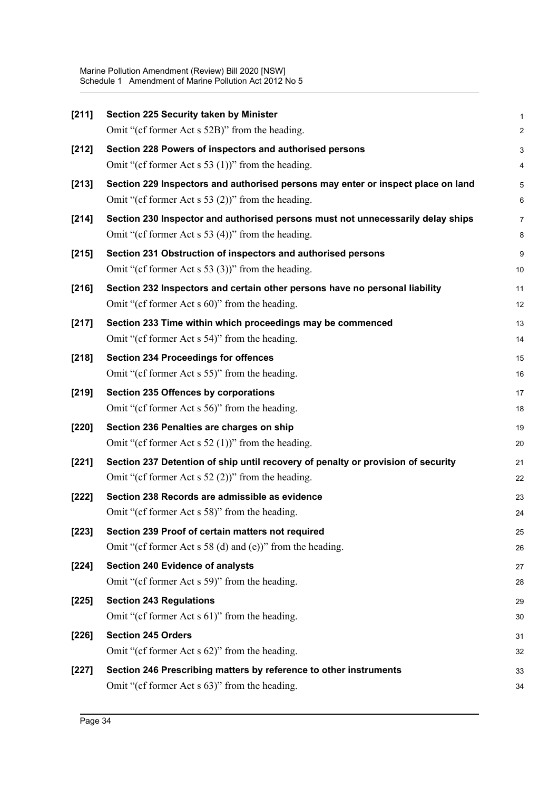| [211]   | Section 225 Security taken by Minister                                           | 1              |
|---------|----------------------------------------------------------------------------------|----------------|
|         | Omit "(cf former Act s 52B)" from the heading.                                   | $\overline{a}$ |
| $[212]$ | Section 228 Powers of inspectors and authorised persons                          | 3              |
|         | Omit "(cf former Act s 53 (1))" from the heading.                                | 4              |
| [213]   | Section 229 Inspectors and authorised persons may enter or inspect place on land | 5              |
|         | Omit "(cf former Act s 53 $(2)$ )" from the heading.                             | 6              |
| $[214]$ | Section 230 Inspector and authorised persons must not unnecessarily delay ships  | 7              |
|         | Omit "(cf former Act s 53 (4))" from the heading.                                | 8              |
| $[215]$ | Section 231 Obstruction of inspectors and authorised persons                     | 9              |
|         | Omit "(cf former Act s 53 (3))" from the heading.                                | 10             |
| $[216]$ | Section 232 Inspectors and certain other persons have no personal liability      | 11             |
|         | Omit "(cf former Act s 60)" from the heading.                                    | 12             |
| [217]   | Section 233 Time within which proceedings may be commenced                       | 13             |
|         | Omit "(cf former Act s 54)" from the heading.                                    | 14             |
| $[218]$ | <b>Section 234 Proceedings for offences</b>                                      | 15             |
|         | Omit "(cf former Act s 55)" from the heading.                                    | 16             |
| [219]   | Section 235 Offences by corporations                                             | 17             |
|         | Omit "(cf former Act s 56)" from the heading.                                    | 18             |
| $[220]$ | Section 236 Penalties are charges on ship                                        | 19             |
|         | Omit "(cf former Act s $52$ (1))" from the heading.                              | 20             |
| [221]   | Section 237 Detention of ship until recovery of penalty or provision of security | 21             |
|         | Omit "(cf former Act s $52$ (2))" from the heading.                              | 22             |
| $[222]$ | Section 238 Records are admissible as evidence                                   | 23             |
|         | Omit "(cf former Act s 58)" from the heading.                                    | 24             |
| $[223]$ | Section 239 Proof of certain matters not required                                | 25             |
|         | Omit "(cf former Act s 58 (d) and (e))" from the heading.                        | 26             |
| $[224]$ | <b>Section 240 Evidence of analysts</b>                                          | 27             |
|         | Omit "(cf former Act s 59)" from the heading.                                    | 28             |
| $[225]$ | <b>Section 243 Regulations</b>                                                   | 29             |
|         | Omit "(cf former Act s 61)" from the heading.                                    | 30             |
| $[226]$ | <b>Section 245 Orders</b>                                                        | 31             |
|         | Omit "(cf former Act s 62)" from the heading.                                    | 32             |
| $[227]$ | Section 246 Prescribing matters by reference to other instruments                | 33             |
|         | Omit "(cf former Act s 63)" from the heading.                                    | 34             |
|         |                                                                                  |                |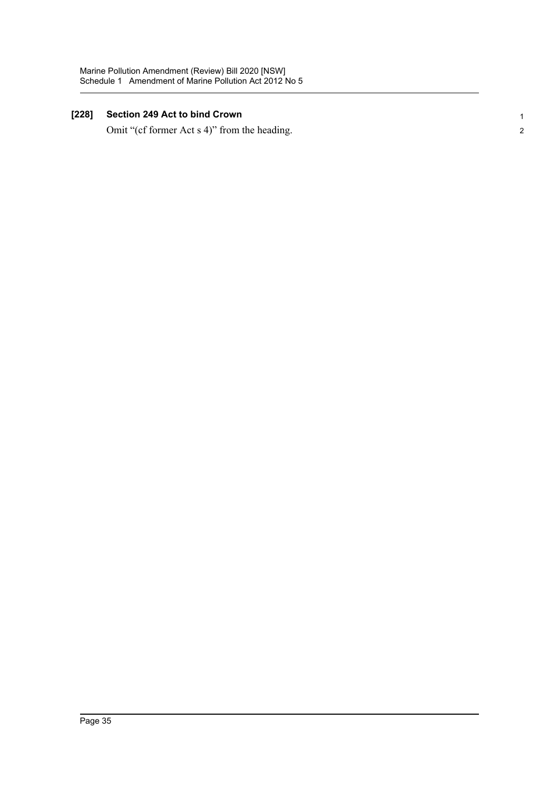### **[228] Section 249 Act to bind Crown**

Omit "(cf former Act s 4)" from the heading.

1 2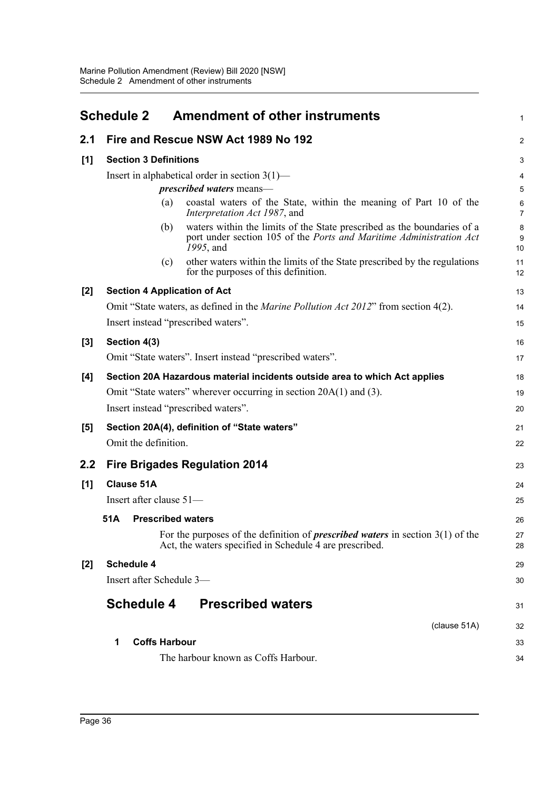<span id="page-43-0"></span>

|     | <b>Schedule 2</b>                                                          | <b>Amendment of other instruments</b>                                                                                                                       | $\mathbf{1}$        |
|-----|----------------------------------------------------------------------------|-------------------------------------------------------------------------------------------------------------------------------------------------------------|---------------------|
| 2.1 |                                                                            | Fire and Rescue NSW Act 1989 No 192                                                                                                                         | $\overline{2}$      |
| [1] | <b>Section 3 Definitions</b>                                               |                                                                                                                                                             | 3                   |
|     |                                                                            | Insert in alphabetical order in section $3(1)$ —                                                                                                            | $\overline{4}$      |
|     |                                                                            | <i>prescribed waters</i> means—                                                                                                                             | 5                   |
|     | (a)                                                                        | coastal waters of the State, within the meaning of Part 10 of the<br>Interpretation Act 1987, and                                                           | 6<br>$\overline{7}$ |
|     | (b)                                                                        | waters within the limits of the State prescribed as the boundaries of a<br>port under section 105 of the Ports and Maritime Administration Act<br>1995, and | 8<br>9<br>10        |
|     | (c)                                                                        | other waters within the limits of the State prescribed by the regulations<br>for the purposes of this definition.                                           | 11<br>12            |
| [2] | <b>Section 4 Application of Act</b>                                        |                                                                                                                                                             | 13                  |
|     |                                                                            | Omit "State waters, as defined in the Marine Pollution Act 2012" from section 4(2).                                                                         | 14                  |
|     | Insert instead "prescribed waters".                                        |                                                                                                                                                             | 15                  |
| [3] | Section 4(3)                                                               |                                                                                                                                                             | 16                  |
|     |                                                                            | Omit "State waters". Insert instead "prescribed waters".                                                                                                    | 17                  |
| [4] | Section 20A Hazardous material incidents outside area to which Act applies |                                                                                                                                                             | 18                  |
|     |                                                                            | Omit "State waters" wherever occurring in section 20A(1) and (3).                                                                                           | 19                  |
|     | Insert instead "prescribed waters".                                        |                                                                                                                                                             | 20                  |
| [5] |                                                                            | Section 20A(4), definition of "State waters"                                                                                                                | 21                  |
|     | Omit the definition.                                                       |                                                                                                                                                             | 22                  |
| 2.2 |                                                                            | <b>Fire Brigades Regulation 2014</b>                                                                                                                        | 23                  |
| [1] | <b>Clause 51A</b>                                                          |                                                                                                                                                             | 24                  |
|     | Insert after clause 51-                                                    |                                                                                                                                                             | 25                  |
|     | <b>Prescribed waters</b><br>51A                                            |                                                                                                                                                             | 26                  |
|     |                                                                            | For the purposes of the definition of <i>prescribed waters</i> in section $3(1)$ of the<br>Act, the waters specified in Schedule 4 are prescribed.          | 27<br>28            |
| [2] | <b>Schedule 4</b>                                                          |                                                                                                                                                             | 29                  |
|     | Insert after Schedule 3-                                                   |                                                                                                                                                             | 30                  |
|     | <b>Schedule 4</b>                                                          | <b>Prescribed waters</b>                                                                                                                                    | 31                  |
|     |                                                                            | (clause 51A)                                                                                                                                                | 32                  |
|     | 1<br><b>Coffs Harbour</b>                                                  |                                                                                                                                                             | 33                  |
|     |                                                                            | The harbour known as Coffs Harbour.                                                                                                                         | 34                  |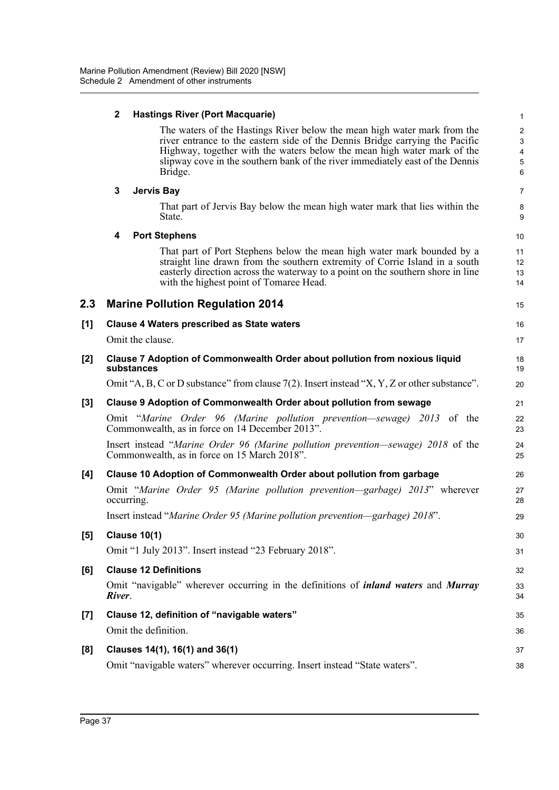### **2 Hastings River (Port Macquarie)**

The waters of the Hastings River below the mean high water mark from the river entrance to the eastern side of the Dennis Bridge carrying the Pacific Highway, together with the waters below the mean high water mark of the slipway cove in the southern bank of the river immediately east of the Dennis Bridge.

#### **3 Jervis Bay**

That part of Jervis Bay below the mean high water mark that lies within the State.

### **4 Port Stephens**

That part of Port Stephens below the mean high water mark bounded by a straight line drawn from the southern extremity of Corrie Island in a south easterly direction across the waterway to a point on the southern shore in line with the highest point of Tomaree Head.

## 15

17

7 8 9

16

| [1] | <b>Clause 4 Waters prescribed as State waters</b> |
|-----|---------------------------------------------------|
|     | $Q_{\text{init}}$ the eleves                      |

**2.3 Marine Pollution Regulation 2014**

Omit the clause.

| $[2]$ | Clause 7 Adoption of Commonwealth Order about pollution from noxious liquid<br>substances                                        | 18<br>19 |
|-------|----------------------------------------------------------------------------------------------------------------------------------|----------|
|       | Omit "A, B, C or D substance" from clause 7(2). Insert instead "X, Y, Z or other substance".                                     | 20       |
| [3]   | <b>Clause 9 Adoption of Commonwealth Order about pollution from sewage</b>                                                       | 21       |
|       | Omit "Marine Order 96 (Marine pollution prevention—sewage) 2013 of the<br>Commonwealth, as in force on 14 December 2013".        | 22<br>23 |
|       | Insert instead "Marine Order 96 (Marine pollution prevention—sewage) 2018 of the<br>Commonwealth, as in force on 15 March 2018". | 24<br>25 |
| [4]   | Clause 10 Adoption of Commonwealth Order about pollution from garbage                                                            | 26       |
|       | Omit "Marine Order 95 (Marine pollution prevention—garbage) 2013" wherever<br>occurring.                                         | 27<br>28 |
|       | Insert instead "Marine Order 95 (Marine pollution prevention—garbage) 2018".                                                     | 29       |
| [5]   | <b>Clause 10(1)</b>                                                                                                              | 30       |
|       | Omit "1 July 2013". Insert instead "23 February 2018".                                                                           | 31       |
| [6]   | <b>Clause 12 Definitions</b>                                                                                                     | 32       |
|       | Omit "navigable" wherever occurring in the definitions of <i>inland waters</i> and <i>Murray</i><br>River.                       | 33<br>34 |
| [7]   | Clause 12, definition of "navigable waters"                                                                                      | 35       |
|       | Omit the definition.                                                                                                             | 36       |
| [8]   | Clauses 14(1), 16(1) and 36(1)                                                                                                   | 37       |
|       | Omit "navigable waters" wherever occurring. Insert instead "State waters".                                                       | 38       |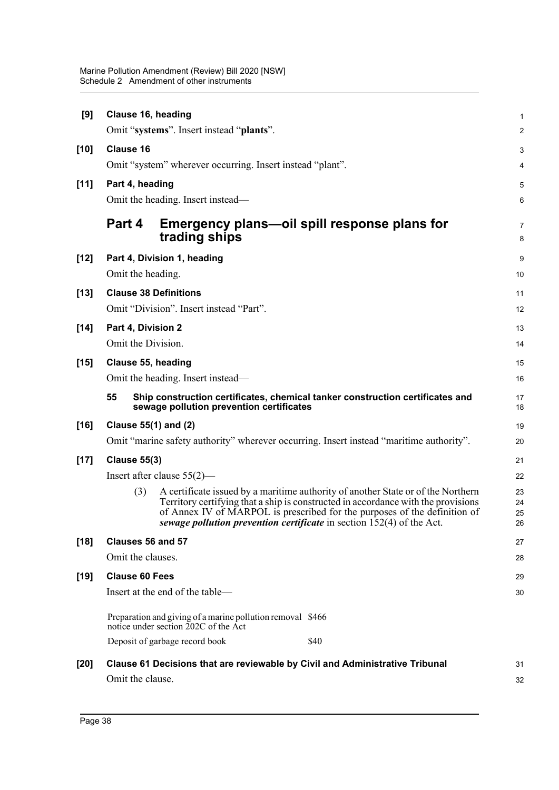| [9]    | Clause 16, heading                                                                                                                                                                                                                                                                                                                        | $\mathbf{1}$   |  |  |  |
|--------|-------------------------------------------------------------------------------------------------------------------------------------------------------------------------------------------------------------------------------------------------------------------------------------------------------------------------------------------|----------------|--|--|--|
|        | Omit "systems". Insert instead "plants".                                                                                                                                                                                                                                                                                                  | $\overline{2}$ |  |  |  |
| $[10]$ | <b>Clause 16</b>                                                                                                                                                                                                                                                                                                                          |                |  |  |  |
|        | Omit "system" wherever occurring. Insert instead "plant".                                                                                                                                                                                                                                                                                 | 4              |  |  |  |
| $[11]$ | Part 4, heading                                                                                                                                                                                                                                                                                                                           |                |  |  |  |
|        | Omit the heading. Insert instead—                                                                                                                                                                                                                                                                                                         | 6              |  |  |  |
|        | Part 4<br>Emergency plans—oil spill response plans for<br>trading ships                                                                                                                                                                                                                                                                   | 7<br>8         |  |  |  |
| $[12]$ | Part 4, Division 1, heading                                                                                                                                                                                                                                                                                                               | 9              |  |  |  |
|        | Omit the heading.                                                                                                                                                                                                                                                                                                                         | 10             |  |  |  |
| $[13]$ | <b>Clause 38 Definitions</b>                                                                                                                                                                                                                                                                                                              | 11             |  |  |  |
|        | Omit "Division". Insert instead "Part".                                                                                                                                                                                                                                                                                                   |                |  |  |  |
| $[14]$ | Part 4, Division 2                                                                                                                                                                                                                                                                                                                        |                |  |  |  |
|        | Omit the Division.                                                                                                                                                                                                                                                                                                                        |                |  |  |  |
| $[15]$ | Clause 55, heading                                                                                                                                                                                                                                                                                                                        |                |  |  |  |
|        | Omit the heading. Insert instead—                                                                                                                                                                                                                                                                                                         |                |  |  |  |
|        | 55<br>Ship construction certificates, chemical tanker construction certificates and<br>sewage pollution prevention certificates                                                                                                                                                                                                           |                |  |  |  |
| $[16]$ | Clause 55(1) and (2)                                                                                                                                                                                                                                                                                                                      | 19             |  |  |  |
|        | Omit "marine safety authority" wherever occurring. Insert instead "maritime authority".                                                                                                                                                                                                                                                   | 20             |  |  |  |
| $[17]$ | <b>Clause 55(3)</b>                                                                                                                                                                                                                                                                                                                       |                |  |  |  |
|        | Insert after clause $55(2)$ —                                                                                                                                                                                                                                                                                                             |                |  |  |  |
|        | A certificate issued by a maritime authority of another State or of the Northern<br>(3)<br>Territory certifying that a ship is constructed in accordance with the provisions<br>of Annex IV of MARPOL is prescribed for the purposes of the definition of<br>sewage <i>pollution prevention certificate</i> in section 152(4) of the Act. |                |  |  |  |
| $[18]$ | Clauses 56 and 57                                                                                                                                                                                                                                                                                                                         |                |  |  |  |
|        | Omit the clauses.                                                                                                                                                                                                                                                                                                                         |                |  |  |  |
| $[19]$ | <b>Clause 60 Fees</b>                                                                                                                                                                                                                                                                                                                     |                |  |  |  |
|        | Insert at the end of the table-                                                                                                                                                                                                                                                                                                           |                |  |  |  |
|        | Preparation and giving of a marine pollution removal \$466<br>notice under section 202C of the Act                                                                                                                                                                                                                                        |                |  |  |  |
|        | \$40<br>Deposit of garbage record book                                                                                                                                                                                                                                                                                                    |                |  |  |  |
| $[20]$ | Clause 61 Decisions that are reviewable by Civil and Administrative Tribunal                                                                                                                                                                                                                                                              | 31             |  |  |  |
|        | Omit the clause.                                                                                                                                                                                                                                                                                                                          | 32             |  |  |  |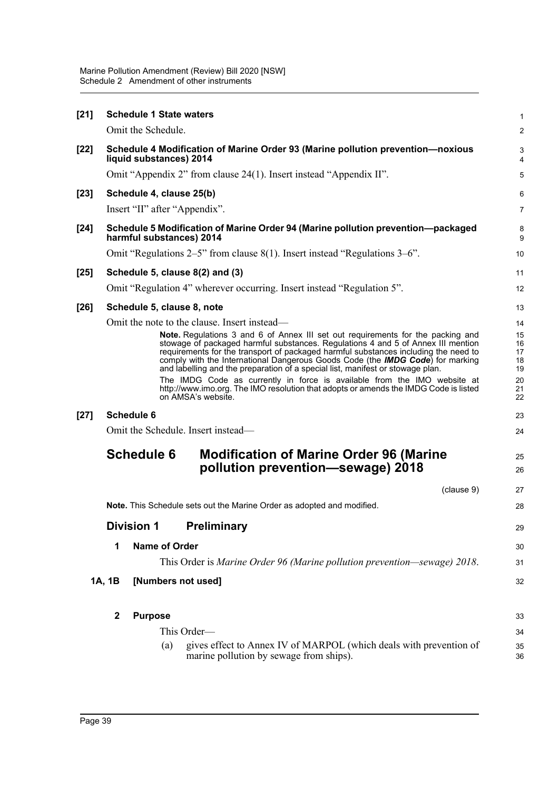| $[21]$ | <b>Schedule 1 State waters</b>                                                                             |                               |                                                                                                                                                                                                                                                                                                                                                                                                                                                                                                                                                                                                                                                                          |                                                    |  |
|--------|------------------------------------------------------------------------------------------------------------|-------------------------------|--------------------------------------------------------------------------------------------------------------------------------------------------------------------------------------------------------------------------------------------------------------------------------------------------------------------------------------------------------------------------------------------------------------------------------------------------------------------------------------------------------------------------------------------------------------------------------------------------------------------------------------------------------------------------|----------------------------------------------------|--|
|        |                                                                                                            | Omit the Schedule.            |                                                                                                                                                                                                                                                                                                                                                                                                                                                                                                                                                                                                                                                                          | $\overline{2}$                                     |  |
| $[22]$ | Schedule 4 Modification of Marine Order 93 (Marine pollution prevention-noxious<br>liquid substances) 2014 |                               |                                                                                                                                                                                                                                                                                                                                                                                                                                                                                                                                                                                                                                                                          |                                                    |  |
|        |                                                                                                            |                               | Omit "Appendix 2" from clause 24(1). Insert instead "Appendix II".                                                                                                                                                                                                                                                                                                                                                                                                                                                                                                                                                                                                       | 5                                                  |  |
| $[23]$ |                                                                                                            | Schedule 4, clause 25(b)      |                                                                                                                                                                                                                                                                                                                                                                                                                                                                                                                                                                                                                                                                          | 6                                                  |  |
|        |                                                                                                            | Insert "II" after "Appendix". |                                                                                                                                                                                                                                                                                                                                                                                                                                                                                                                                                                                                                                                                          | $\overline{7}$                                     |  |
| $[24]$ |                                                                                                            | harmful substances) 2014      | Schedule 5 Modification of Marine Order 94 (Marine pollution prevention-packaged                                                                                                                                                                                                                                                                                                                                                                                                                                                                                                                                                                                         | 8<br>9                                             |  |
|        |                                                                                                            |                               | Omit "Regulations 2–5" from clause $8(1)$ . Insert instead "Regulations 3–6".                                                                                                                                                                                                                                                                                                                                                                                                                                                                                                                                                                                            | 10                                                 |  |
| $[25]$ |                                                                                                            |                               | Schedule 5, clause 8(2) and (3)                                                                                                                                                                                                                                                                                                                                                                                                                                                                                                                                                                                                                                          | 11                                                 |  |
|        |                                                                                                            |                               | Omit "Regulation 4" wherever occurring. Insert instead "Regulation 5".                                                                                                                                                                                                                                                                                                                                                                                                                                                                                                                                                                                                   | 12                                                 |  |
| $[26]$ |                                                                                                            | Schedule 5, clause 8, note    |                                                                                                                                                                                                                                                                                                                                                                                                                                                                                                                                                                                                                                                                          | 13                                                 |  |
|        |                                                                                                            |                               | Omit the note to the clause. Insert instead—<br>Note. Regulations 3 and 6 of Annex III set out requirements for the packing and<br>stowage of packaged harmful substances. Regulations 4 and 5 of Annex III mention<br>requirements for the transport of packaged harmful substances including the need to<br>comply with the International Dangerous Goods Code (the IMDG Code) for marking<br>and labelling and the preparation of a special list, manifest or stowage plan.<br>The IMDG Code as currently in force is available from the IMO website at<br>http://www.imo.org. The IMO resolution that adopts or amends the IMDG Code is listed<br>on AMSA's website. | 14<br>15<br>16<br>17<br>18<br>19<br>20<br>21<br>22 |  |
| $[27]$ | <b>Schedule 6</b>                                                                                          |                               |                                                                                                                                                                                                                                                                                                                                                                                                                                                                                                                                                                                                                                                                          |                                                    |  |
|        | Omit the Schedule. Insert instead-                                                                         |                               |                                                                                                                                                                                                                                                                                                                                                                                                                                                                                                                                                                                                                                                                          |                                                    |  |
|        | <b>Schedule 6</b><br><b>Modification of Marine Order 96 (Marine</b><br>pollution prevention-sewage) 2018   |                               |                                                                                                                                                                                                                                                                                                                                                                                                                                                                                                                                                                                                                                                                          | 25<br>26                                           |  |
|        |                                                                                                            |                               | (clause 9)                                                                                                                                                                                                                                                                                                                                                                                                                                                                                                                                                                                                                                                               | 27                                                 |  |
|        |                                                                                                            |                               | <b>Note.</b> This Schedule sets out the Marine Order as adopted and modified.                                                                                                                                                                                                                                                                                                                                                                                                                                                                                                                                                                                            | 28                                                 |  |
|        |                                                                                                            | <b>Division 1</b>             | <b>Preliminary</b>                                                                                                                                                                                                                                                                                                                                                                                                                                                                                                                                                                                                                                                       | 29                                                 |  |
|        | 1                                                                                                          | <b>Name of Order</b>          |                                                                                                                                                                                                                                                                                                                                                                                                                                                                                                                                                                                                                                                                          | 30                                                 |  |
|        |                                                                                                            |                               | This Order is Marine Order 96 (Marine pollution prevention—sewage) 2018.                                                                                                                                                                                                                                                                                                                                                                                                                                                                                                                                                                                                 | 31                                                 |  |
|        | 1A, 1B                                                                                                     | [Numbers not used]            |                                                                                                                                                                                                                                                                                                                                                                                                                                                                                                                                                                                                                                                                          | 32                                                 |  |
|        | $\mathbf{2}$                                                                                               | <b>Purpose</b>                |                                                                                                                                                                                                                                                                                                                                                                                                                                                                                                                                                                                                                                                                          | 33                                                 |  |
|        |                                                                                                            |                               | This Order—                                                                                                                                                                                                                                                                                                                                                                                                                                                                                                                                                                                                                                                              | 34                                                 |  |
|        |                                                                                                            | (a)                           | gives effect to Annex IV of MARPOL (which deals with prevention of<br>marine pollution by sewage from ships).                                                                                                                                                                                                                                                                                                                                                                                                                                                                                                                                                            | 35<br>36                                           |  |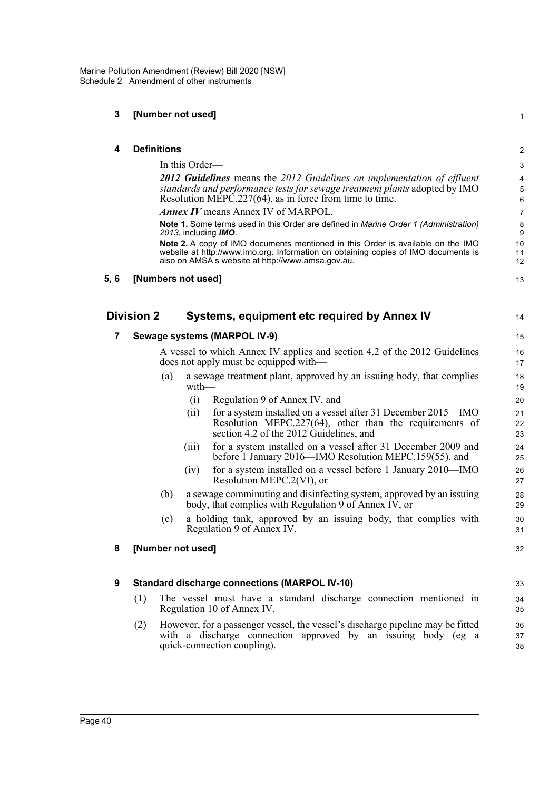### **3 [Number not used]**

| 4    | <b>Definitions</b>                                                                                                                                                                                                                | 2              |
|------|-----------------------------------------------------------------------------------------------------------------------------------------------------------------------------------------------------------------------------------|----------------|
|      | In this Order—                                                                                                                                                                                                                    | 3              |
|      | <b>2012 Guidelines</b> means the 2012 Guidelines on implementation of effluent                                                                                                                                                    | 4              |
|      | standards and performance tests for sewage treatment plants adopted by IMO<br>Resolution MEPC.227(64), as in force from time to time.                                                                                             | 5<br>6         |
|      | <b>Annex IV</b> means Annex IV of MARPOL.                                                                                                                                                                                         | $\overline{7}$ |
|      | <b>Note 1.</b> Some terms used in this Order are defined in Marine Order 1 (Administration)<br>2013, including IMO.                                                                                                               | 8<br>9         |
|      | <b>Note 2.</b> A copy of IMO documents mentioned in this Order is available on the IMO<br>website at http://www.imo.org. Information on obtaining copies of IMO documents is<br>also on AMSA's website at http://www.amsa.gov.au. | 10<br>11<br>12 |
| 5, 6 | [Numbers not used]                                                                                                                                                                                                                | 13             |
|      | <b>Division 2</b><br>Systems, equipment etc required by Annex IV                                                                                                                                                                  | 14             |
| 7    | Sewage systems (MARPOL IV-9)                                                                                                                                                                                                      | 15             |
|      | A vessel to which Annex IV applies and section 4.2 of the 2012 Guidelines<br>does not apply must be equipped with—                                                                                                                | 16<br>17       |
|      | a sewage treatment plant, approved by an issuing body, that complies<br>(a)                                                                                                                                                       | 18             |

1

- with— (i) Regulation 9 of Annex IV, and
	- (ii) for a system installed on a vessel after 31 December 2015—IMO Resolution MEPC.227(64), other than the requirements of section 4.2 of the 2012 Guidelines, and
	- (iii) for a system installed on a vessel after 31 December 2009 and before 1 January 2016—IMO Resolution MEPC.159(55), and
	- (iv) for a system installed on a vessel before 1 January 2010—IMO Resolution MEPC.2(VI), or
- (b) a sewage comminuting and disinfecting system, approved by an issuing body, that complies with Regulation 9 of Annex IV, or
- (c) a holding tank, approved by an issuing body, that complies with Regulation 9 of Annex IV.

### **8 [Number not used]**

### **9 Standard discharge connections (MARPOL IV-10)**

- (1) The vessel must have a standard discharge connection mentioned in Regulation 10 of Annex IV.
- (2) However, for a passenger vessel, the vessel's discharge pipeline may be fitted with a discharge connection approved by an issuing body (eg a quick-connection coupling).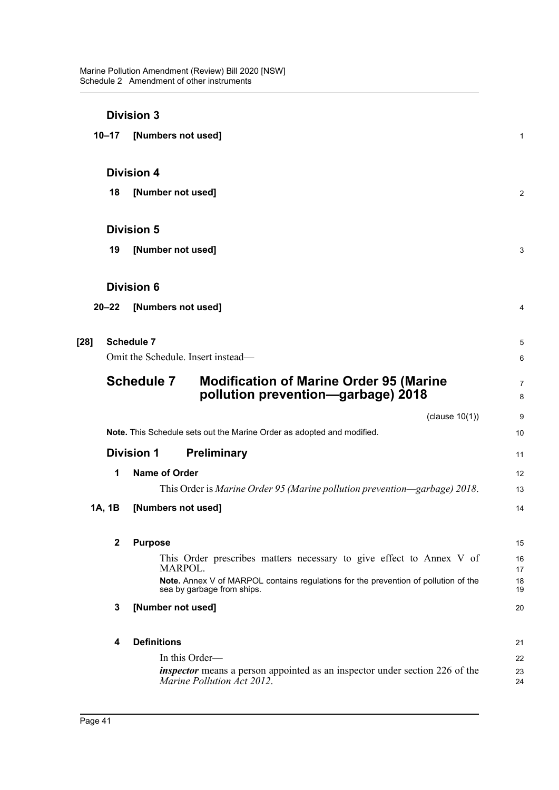|        |              | <b>Division 3</b>                                                                                                 |                     |
|--------|--------------|-------------------------------------------------------------------------------------------------------------------|---------------------|
|        | $10 - 17$    | [Numbers not used]                                                                                                | 1                   |
|        |              | <b>Division 4</b>                                                                                                 |                     |
|        | 18           | [Number not used]                                                                                                 | $\overline{2}$      |
|        |              | <b>Division 5</b>                                                                                                 |                     |
|        | 19           | [Number not used]                                                                                                 | 3                   |
|        |              | <b>Division 6</b>                                                                                                 |                     |
|        | $20 - 22$    | [Numbers not used]                                                                                                | 4                   |
| $[28]$ |              | <b>Schedule 7</b>                                                                                                 | 5                   |
|        |              | Omit the Schedule. Insert instead-                                                                                | 6                   |
|        |              | <b>Schedule 7</b><br><b>Modification of Marine Order 95 (Marine</b><br>pollution prevention-garbage) 2018         | $\overline{7}$<br>8 |
|        |              | (clause $10(1)$ )                                                                                                 | 9                   |
|        |              | Note. This Schedule sets out the Marine Order as adopted and modified.                                            | 10                  |
|        |              | <b>Division 1</b><br><b>Preliminary</b>                                                                           | 11                  |
|        | 1            | <b>Name of Order</b>                                                                                              | 12                  |
|        |              | This Order is Marine Order 95 (Marine pollution prevention—garbage) 2018.                                         | 13                  |
|        | 1A, 1B       | [Numbers not used]                                                                                                | 14                  |
|        | $\mathbf{2}$ | <b>Purpose</b>                                                                                                    | 15                  |
|        |              | This Order prescribes matters necessary to give effect to Annex V of<br>MARPOL.                                   | 16<br>17            |
|        |              | Note. Annex V of MARPOL contains regulations for the prevention of pollution of the<br>sea by garbage from ships. | 18<br>19            |
|        | 3            | [Number not used]                                                                                                 | 20                  |
|        | 4            | <b>Definitions</b>                                                                                                | 21                  |
|        |              | In this Order-                                                                                                    | 22                  |
|        |              | <i>inspector</i> means a person appointed as an inspector under section 226 of the<br>Marine Pollution Act 2012.  | 23<br>24            |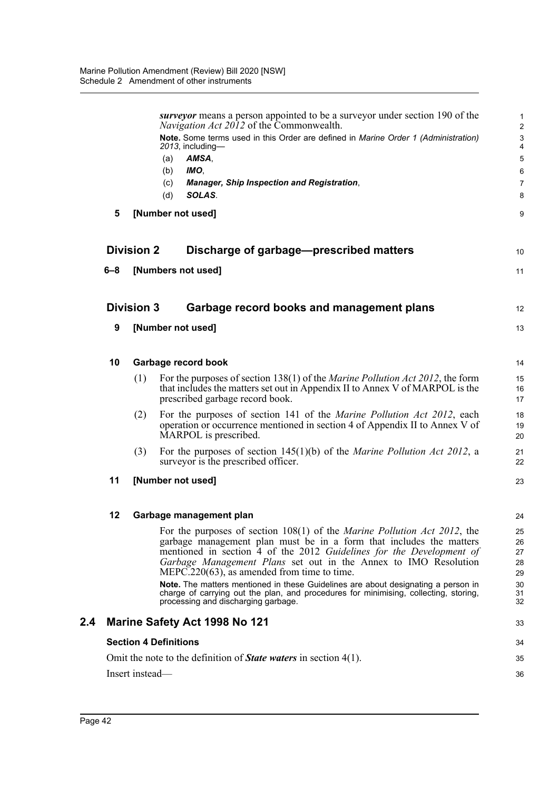|     |                              |                   | surveyor means a person appointed to be a surveyor under section 190 of the                                                                                                            | 1                            |
|-----|------------------------------|-------------------|----------------------------------------------------------------------------------------------------------------------------------------------------------------------------------------|------------------------------|
|     |                              |                   | Navigation Act 2012 of the Commonwealth.<br>Note. Some terms used in this Order are defined in Marine Order 1 (Administration)                                                         | $\overline{\mathbf{c}}$<br>3 |
|     |                              |                   | 2013, including-<br>AMSA,<br>(a)                                                                                                                                                       | 4<br>5                       |
|     |                              |                   | IMO,<br>(b)                                                                                                                                                                            | 6                            |
|     |                              |                   | (c)<br>Manager, Ship Inspection and Registration,                                                                                                                                      | 7                            |
|     |                              |                   | SOLAS.<br>(d)                                                                                                                                                                          | 8                            |
|     | 5                            |                   | [Number not used]                                                                                                                                                                      | 9                            |
|     |                              | <b>Division 2</b> | Discharge of garbage-prescribed matters                                                                                                                                                | 10                           |
|     | $6 - 8$                      |                   | [Numbers not used]                                                                                                                                                                     | 11                           |
|     |                              | <b>Division 3</b> | Garbage record books and management plans                                                                                                                                              | 12                           |
|     | 9                            |                   | [Number not used]                                                                                                                                                                      | 13                           |
|     | 10                           |                   | Garbage record book                                                                                                                                                                    | 14                           |
|     |                              | (1)               | For the purposes of section 138(1) of the <i>Marine Pollution Act 2012</i> , the form                                                                                                  | 15                           |
|     |                              |                   | that includes the matters set out in Appendix II to Annex V of MARPOL is the<br>prescribed garbage record book.                                                                        | 16<br>17                     |
|     |                              | (2)               | For the purposes of section 141 of the <i>Marine Pollution Act 2012</i> , each<br>operation or occurrence mentioned in section 4 of Appendix II to Annex V of<br>MARPOL is prescribed. | 18<br>19<br>20               |
|     |                              | (3)               | For the purposes of section $145(1)(b)$ of the <i>Marine Pollution Act 2012</i> , a<br>surveyor is the prescribed officer.                                                             | 21<br>22                     |
|     | 11                           |                   | [Number not used]                                                                                                                                                                      | 23                           |
|     | 12                           |                   | Garbage management plan                                                                                                                                                                | 24                           |
|     |                              |                   | For the purposes of section 108(1) of the <i>Marine Pollution Act 2012</i> , the                                                                                                       | 25                           |
|     |                              |                   | garbage management plan must be in a form that includes the matters<br>mentioned in section 4 of the 2012 Guidelines for the Development of                                            | 26<br>27                     |
|     |                              |                   | Garbage Management Plans set out in the Annex to IMO Resolution<br>$MEPC.220(63)$ , as amended from time to time.                                                                      | 28<br>29                     |
|     |                              |                   | Note. The matters mentioned in these Guidelines are about designating a person in                                                                                                      | 30                           |
|     |                              |                   | charge of carrying out the plan, and procedures for minimising, collecting, storing,<br>processing and discharging garbage.                                                            | 31<br>32                     |
| 2.4 |                              |                   | <b>Marine Safety Act 1998 No 121</b>                                                                                                                                                   | 33                           |
|     | <b>Section 4 Definitions</b> |                   |                                                                                                                                                                                        |                              |
|     |                              |                   | Omit the note to the definition of <b>State waters</b> in section $4(1)$ .                                                                                                             | 35                           |
|     |                              | Insert instead-   |                                                                                                                                                                                        | 36                           |
|     |                              |                   |                                                                                                                                                                                        |                              |